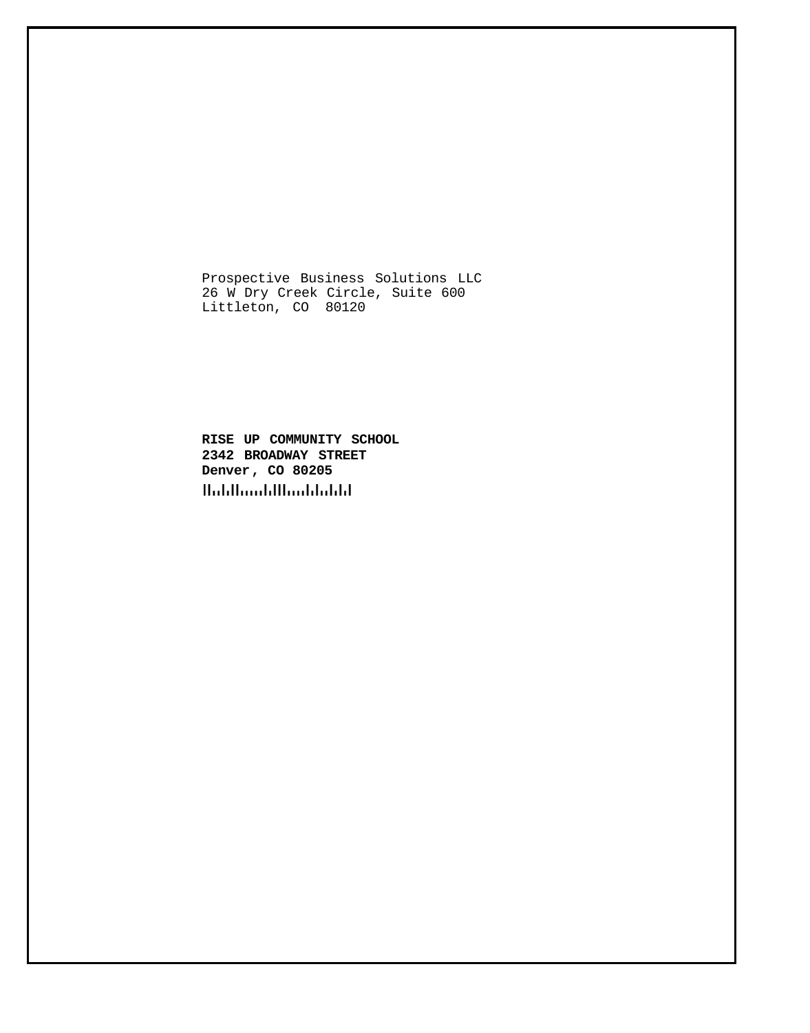Prospective Business Solutions LLC 26 W Dry Creek Circle, Suite 600 Littleton, CO 80120

**RISE UP COMMUNITY SCHOOL 2342 BROADWAY STREET Denver, CO 80205**Habilianbillianbiabili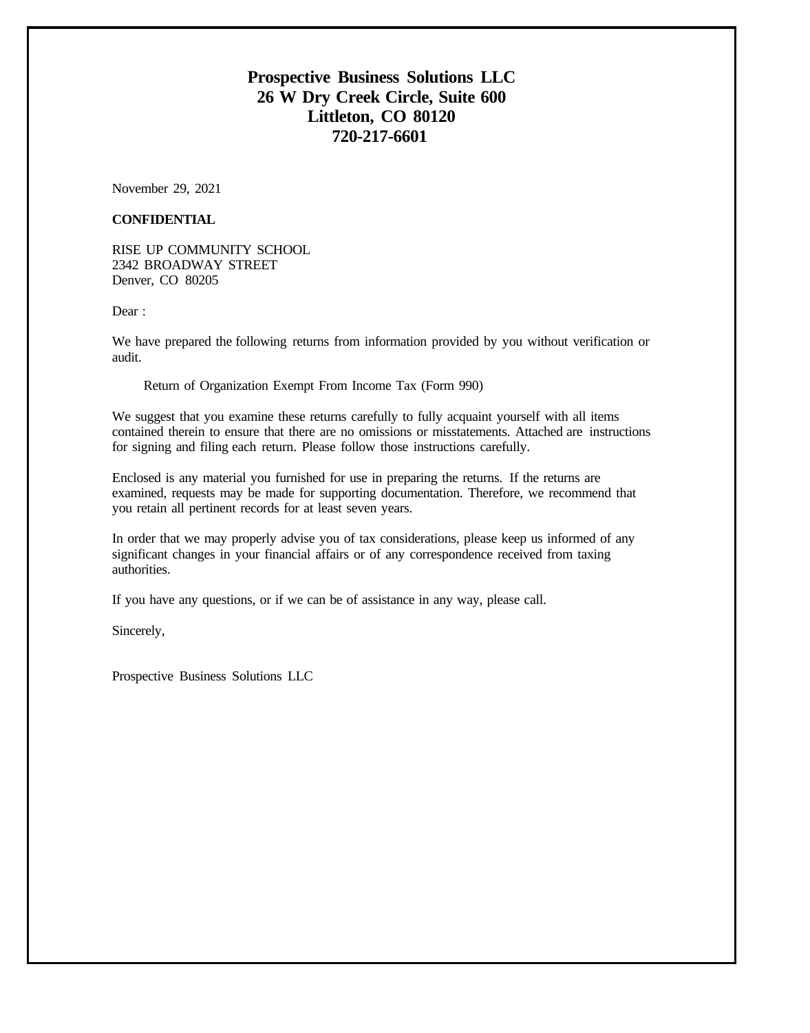# **Prospective Business Solutions LLC 26 W Dry Creek Circle, Suite 600 Littleton, CO 80120 720-217-6601**

November 29, 2021

## **CONFIDENTIAL**

RISE UP COMMUNITY SCHOOL 2342 BROADWAY STREET Denver, CO 80205

Dear :

We have prepared the following returns from information provided by you without verification or audit.

Return of Organization Exempt From Income Tax (Form 990)

We suggest that you examine these returns carefully to fully acquaint yourself with all items contained therein to ensure that there are no omissions or misstatements. Attached are instructions for signing and filing each return. Please follow those instructions carefully.

Enclosed is any material you furnished for use in preparing the returns. If the returns are examined, requests may be made for supporting documentation. Therefore, we recommend that you retain all pertinent records for at least seven years.

In order that we may properly advise you of tax considerations, please keep us informed of any significant changes in your financial affairs or of any correspondence received from taxing authorities.

If you have any questions, or if we can be of assistance in any way, please call.

Sincerely,

Prospective Business Solutions LLC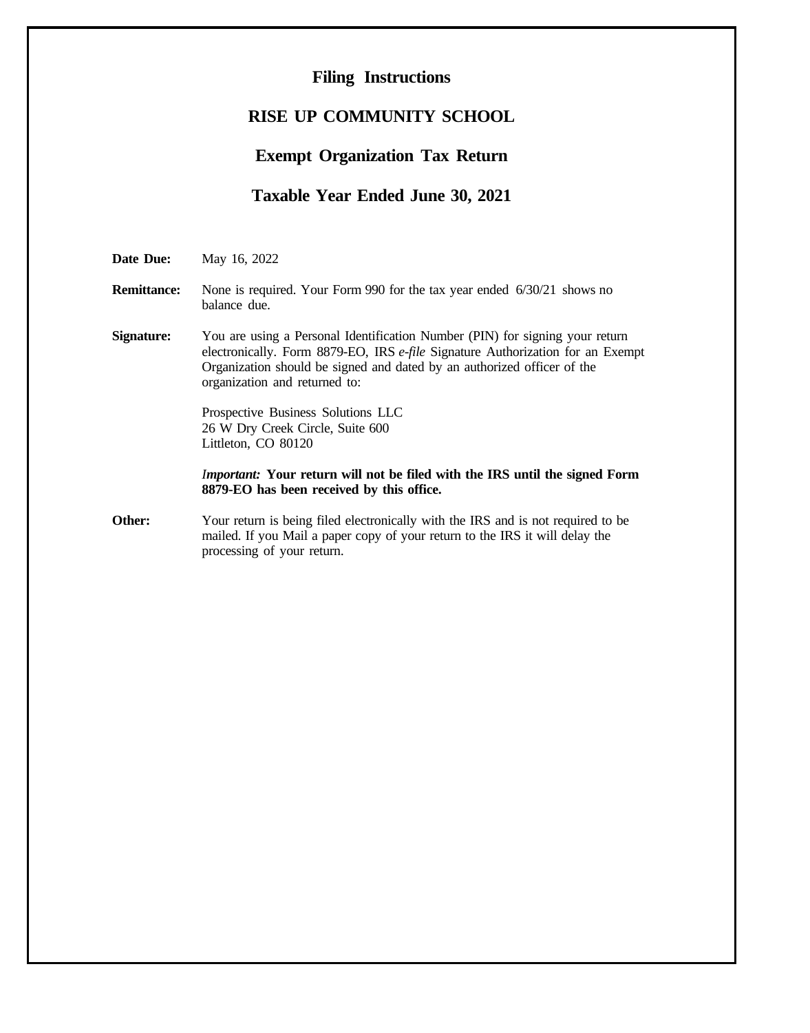## **Filing Instructions**

# **RISE UP COMMUNITY SCHOOL**

# **Exempt Organization Tax Return**

# **Taxable Year Ended June 30, 2021**

**Date Due:** May 16, 2022

## **Remittance:** None is required. Your Form 990 for the tax year ended 6/30/21 shows no balance due.

**Signature:** You are using a Personal Identification Number (PIN) for signing your return electronically. Form 8879-EO, IRS *e-file* Signature Authorization for an Exempt Organization should be signed and dated by an authorized officer of the organization and returned to:

> Prospective Business Solutions LLC 26 W Dry Creek Circle, Suite 600 Littleton, CO 80120

## *Important:* **Your return will not be filed with the IRS until the signed Form 8879-EO has been received by this office.**

**Other:** Your return is being filed electronically with the IRS and is not required to be mailed. If you Mail a paper copy of your return to the IRS it will delay the processing of your return.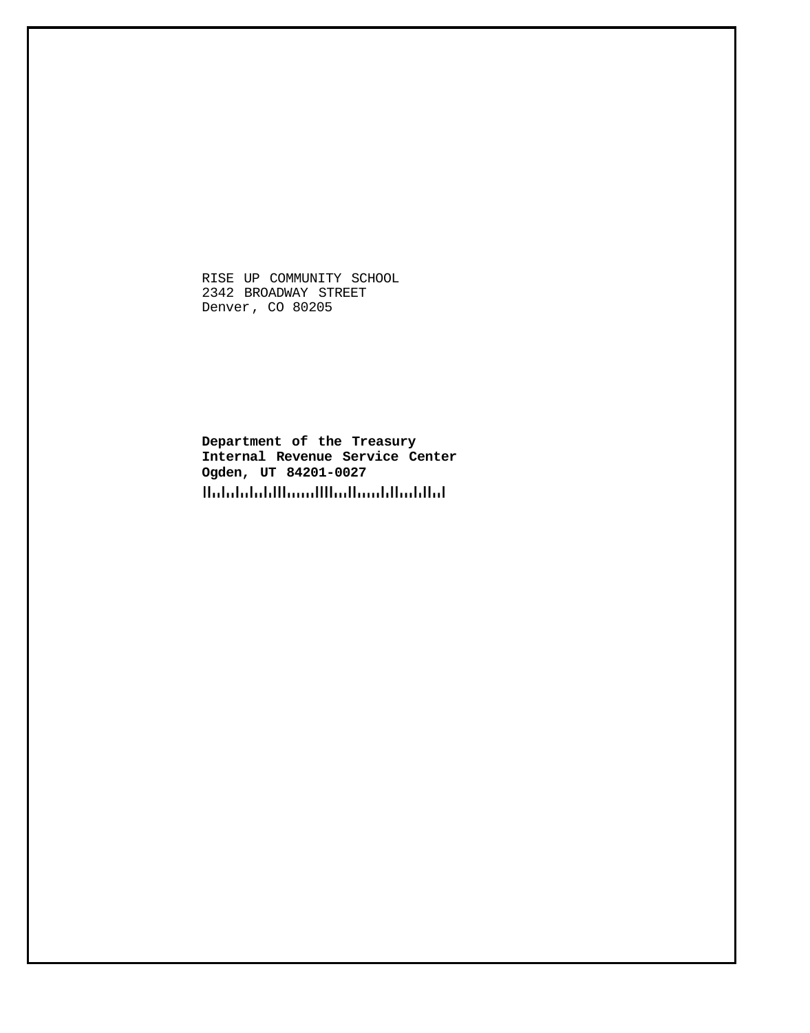RISE UP COMMUNITY SCHOOL 2342 BROADWAY STREET Denver, CO 80205

**Department of the Treasury Internal Revenue Service Center Ogden, UT 84201-0027**Halalalalillinnilllinillinildinlillid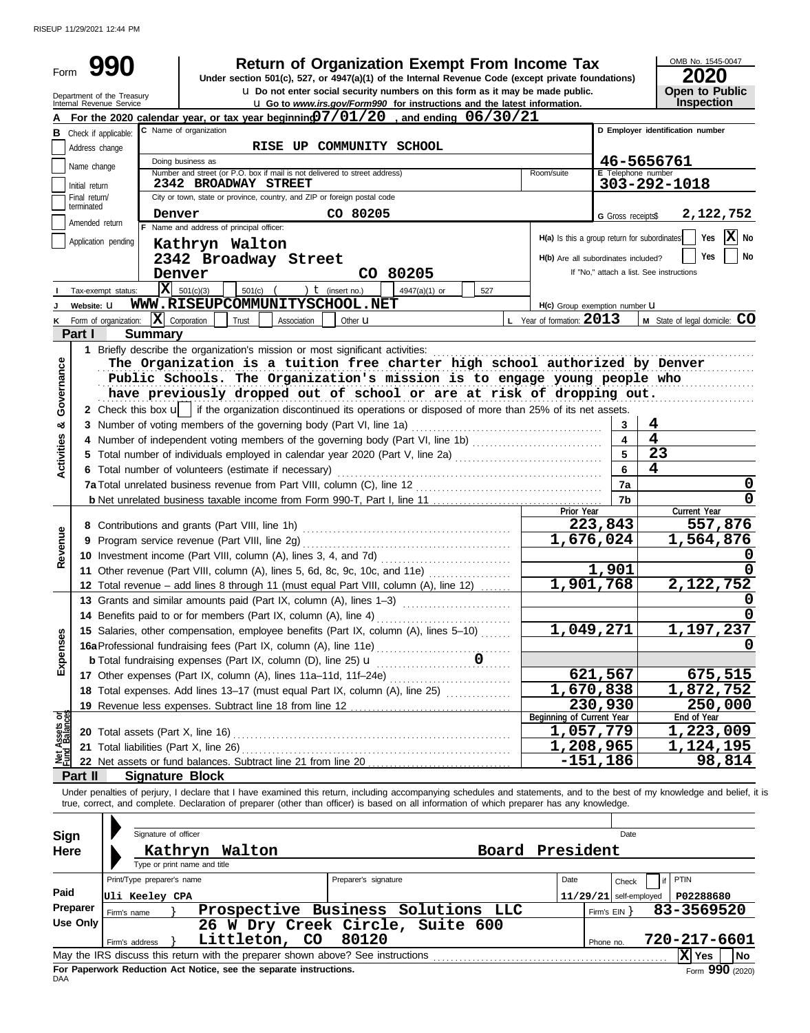RISEUP 11/29/2021 12:44 PM

| Form              |                                                        | <b>Return of Organization Exempt From Income Tax</b>                                                                                                                                |                           | OMB No. 1545-0047<br>2020                |
|-------------------|--------------------------------------------------------|-------------------------------------------------------------------------------------------------------------------------------------------------------------------------------------|---------------------------|------------------------------------------|
|                   | Department of the Treasury<br>Internal Revenue Service | Under section 501(c), 527, or 4947(a)(1) of the Internal Revenue Code (except private foundations)<br>u Do not enter social security numbers on this form as it may be made public. |                           | <b>Open to Public</b>                    |
|                   |                                                        | <b>u</b> Go to www.irs.gov/Form990 for instructions and the latest information.<br>For the 2020 calendar year, or tax year beginning $07/01/20$ , and ending $06/30/21$             |                           | Inspection                               |
|                   | <b>B</b> Check if applicable:                          | C Name of organization                                                                                                                                                              |                           | D Employer identification number         |
|                   | Address change                                         | RISE UP COMMUNITY SCHOOL                                                                                                                                                            |                           |                                          |
|                   |                                                        | Doing business as                                                                                                                                                                   |                           | 46-5656761                               |
|                   | Name change                                            | Number and street (or P.O. box if mail is not delivered to street address)<br>Room/suite                                                                                            | <b>E</b> Telephone number |                                          |
|                   | Initial return                                         | 2342 BROADWAY STREET                                                                                                                                                                |                           | 303-292-1018                             |
|                   | Final return/<br>terminated                            | City or town, state or province, country, and ZIP or foreign postal code                                                                                                            |                           |                                          |
|                   | Amended return                                         | CO 80205<br>Denver                                                                                                                                                                  | G Gross receipts\$        | 2,122,752                                |
|                   |                                                        | F Name and address of principal officer:<br>H(a) Is this a group return for subordinates                                                                                            |                           | $ \mathbf{X} $ No<br>Yes                 |
|                   | Application pending                                    | Kathryn Walton                                                                                                                                                                      |                           |                                          |
|                   |                                                        | 2342 Broadway Street<br>H(b) Are all subordinates included?                                                                                                                         |                           | <b>Yes</b><br>No                         |
|                   |                                                        | CO 80205<br>Denver                                                                                                                                                                  |                           | If "No," attach a list. See instructions |
|                   | Tax-exempt status:                                     | IхI<br>501(c)(3)<br>) $t$ (insert no.)<br>501(c)<br>4947(a)(1) or<br>527                                                                                                            |                           |                                          |
|                   | Website: U                                             | WWW.RISEUPCOMMUNITYSCHOOL.NET<br>H(c) Group exemption number LI                                                                                                                     |                           |                                          |
| ĸ                 | Form of organization:                                  | $\mathbf{X}$ Corporation<br>L Year of formation: $2013$<br>Trust<br>Association<br>Other <b>LI</b>                                                                                  |                           | M State of legal domicile: CO            |
|                   | Part I                                                 | <b>Summary</b>                                                                                                                                                                      |                           |                                          |
|                   |                                                        | 1 Briefly describe the organization's mission or most significant activities:                                                                                                       |                           |                                          |
|                   |                                                        | The Organization is a tuition free charter high school authorized by Denver                                                                                                         |                           |                                          |
| Governance        |                                                        | Public Schools. The Organization's mission is to engage young people who                                                                                                            |                           |                                          |
|                   |                                                        | have previously dropped out of school or are at risk of dropping out.                                                                                                               |                           |                                          |
|                   |                                                        | 2 Check this box u   if the organization discontinued its operations or disposed of more than 25% of its net assets.                                                                |                           |                                          |
| ఱ                 |                                                        | 3 Number of voting members of the governing body (Part VI, line 1a)                                                                                                                 | 3                         | 4                                        |
| <b>Activities</b> |                                                        | 4 Number of independent voting members of the governing body (Part VI, line 1b) [11] [11] Number of independent voting members of the governing body (Part VI, line 1b)             |                           | $\overline{\mathbf{4}}$                  |
|                   |                                                        |                                                                                                                                                                                     |                           | 23                                       |
|                   |                                                        | 6 Total number of volunteers (estimate if necessary)                                                                                                                                |                           | 4                                        |
|                   |                                                        |                                                                                                                                                                                     | 7a                        | 0                                        |
|                   |                                                        |                                                                                                                                                                                     | 7b                        | 0                                        |
|                   |                                                        | Prior Year                                                                                                                                                                          |                           | Current Year                             |
|                   |                                                        |                                                                                                                                                                                     | 223,843                   | 557,876                                  |
| Revenue           |                                                        |                                                                                                                                                                                     | 1,676,024                 | 1,564,876                                |
|                   |                                                        | 10 Investment income (Part VIII, column (A), lines 3, 4, and 7d)                                                                                                                    |                           | 0                                        |
|                   |                                                        | 11 Other revenue (Part VIII, column (A), lines 5, 6d, 8c, 9c, 10c, and 11e)                                                                                                         | 1,901                     |                                          |
|                   |                                                        | 12 Total revenue - add lines 8 through 11 (must equal Part VIII, column (A), line 12)                                                                                               | $\overline{1,901,768}$    | 2,122,752                                |
|                   |                                                        | 13 Grants and similar amounts paid (Part IX, column (A), lines 1-3)                                                                                                                 |                           | O                                        |
|                   |                                                        | 14 Benefits paid to or for members (Part IX, column (A), line 4)                                                                                                                    |                           | 0                                        |
| Expenses          |                                                        | 15 Salaries, other compensation, employee benefits (Part IX, column (A), lines 5-10)                                                                                                | 1,049,271                 | 1,197,237                                |
|                   |                                                        |                                                                                                                                                                                     |                           |                                          |
|                   |                                                        | <b>b</b> Total fundraising expenses (Part IX, column (D), line 25) <b>u</b><br>. 0                                                                                                  |                           |                                          |
|                   |                                                        | 17 Other expenses (Part IX, column (A), lines 11a-11d, 11f-24e)                                                                                                                     | 621,567                   | <u>675,515</u>                           |
|                   |                                                        | 18 Total expenses. Add lines 13-17 (must equal Part IX, column (A), line 25)                                                                                                        | 1,670,838                 | 1,872,752                                |
|                   |                                                        | Beginning of Current Year                                                                                                                                                           | 230,930                   | 250,000<br>End of Year                   |
| Assets or         |                                                        |                                                                                                                                                                                     | 1,057,779                 | 1,223,009                                |
|                   |                                                        | 21 Total liabilities (Part X, line 26)                                                                                                                                              | 1,208,965                 | <u>1,124,195</u>                         |
| ar<br>Nati        |                                                        |                                                                                                                                                                                     | $-151,186$                | 98,814                                   |
|                   | Part II                                                | <b>Signature Block</b>                                                                                                                                                              |                           |                                          |
|                   |                                                        | Under penalties of perjury, I declare that I have examined this return, including accompanying schedules and statements, and to the best of my knowledge and belief, it is          |                           |                                          |
|                   |                                                        | true, correct, and complete. Declaration of preparer (other than officer) is based on all information of which preparer has any knowledge.                                          |                           |                                          |
|                   |                                                        |                                                                                                                                                                                     |                           |                                          |
| <b>Sign</b>       |                                                        | Signature of officer                                                                                                                                                                | Date                      |                                          |
| Here              |                                                        | President<br>Kathryn Walton<br>Board                                                                                                                                                |                           |                                          |
|                   |                                                        | Type or print name and title                                                                                                                                                        |                           |                                          |
|                   |                                                        | Print/Type preparer's name<br>Date<br>Preparer's signature                                                                                                                          | Check                     | PTIN<br>if                               |
| Paid              |                                                        |                                                                                                                                                                                     |                           |                                          |
| Preparer          |                                                        | Uli Keeley CPA<br>Prospective Business Solutions LLC                                                                                                                                | $11/29/21$ self-employed  | P02288680<br>83-3569520                  |
|                   | Firm's name<br>Use Only                                | 26 W Dry Creek Circle, Suite 600                                                                                                                                                    | Firm's $EIN$ }            |                                          |
|                   |                                                        | 80120<br>Littleton, CO                                                                                                                                                              |                           | 720-217-6601                             |
|                   | Firm's address                                         |                                                                                                                                                                                     | Phone no.                 | X Yes<br>No                              |
|                   |                                                        | For Paperwork Reduction Act Notice, see the separate instructions.                                                                                                                  |                           | Form 990 (2020)                          |
|                   |                                                        |                                                                                                                                                                                     |                           |                                          |

| May the IRS discuss this return with the preparer shown above? See instructions | $ X $ Yes      |  |
|---------------------------------------------------------------------------------|----------------|--|
| For Paperwork Reduction Act Notice, see the separate instructions.<br>DAA       | Form $990$ (2) |  |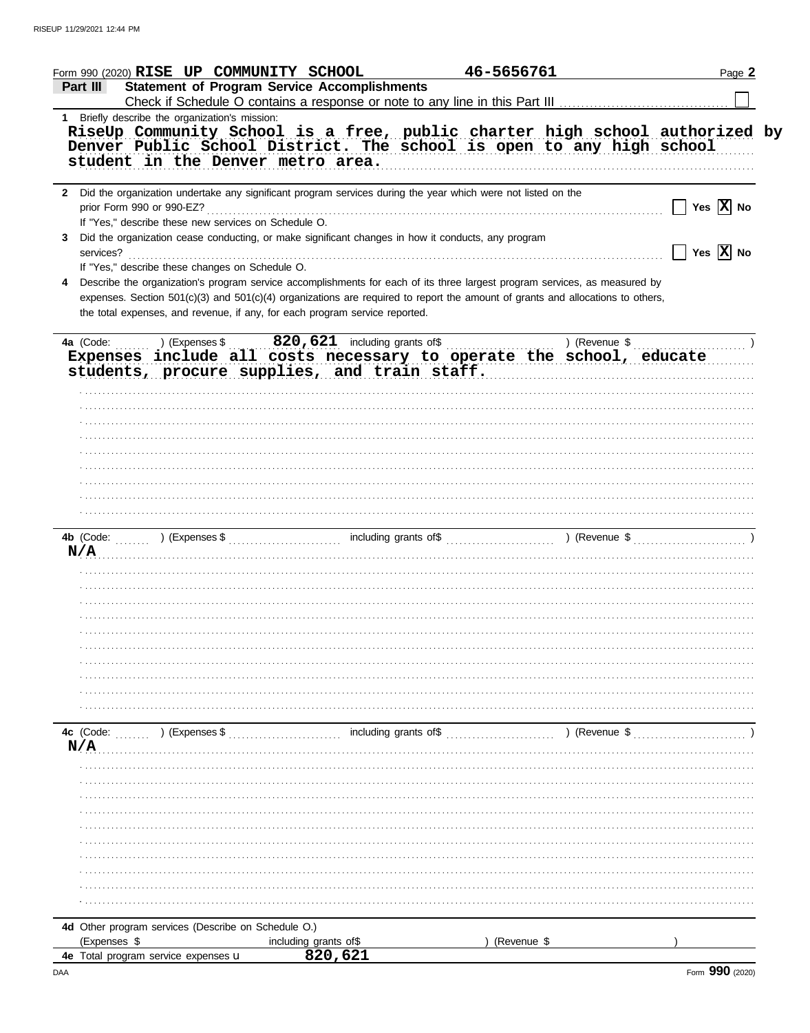|                           | Form 990 (2020) RISE UP COMMUNITY SCHOOL             |                                                                                                                                | 46-5656761  |                                          | Page 2                       |
|---------------------------|------------------------------------------------------|--------------------------------------------------------------------------------------------------------------------------------|-------------|------------------------------------------|------------------------------|
| Part III                  |                                                      | <b>Statement of Program Service Accomplishments</b>                                                                            |             |                                          |                              |
|                           |                                                      |                                                                                                                                |             |                                          |                              |
|                           | 1 Briefly describe the organization's mission:       |                                                                                                                                |             |                                          |                              |
|                           |                                                      | RiseUp Community School is a free, public charter high school authorized by                                                    |             |                                          |                              |
|                           |                                                      | Denver Public School District. The school is open to any high school                                                           |             |                                          |                              |
|                           | student in the Denver metro area.                    |                                                                                                                                |             |                                          |                              |
|                           |                                                      |                                                                                                                                |             |                                          |                              |
|                           |                                                      | 2 Did the organization undertake any significant program services during the year which were not listed on the                 |             |                                          |                              |
| prior Form 990 or 990-EZ? |                                                      |                                                                                                                                |             |                                          | $\Box$ Yes $\overline{X}$ No |
|                           | If "Yes," describe these new services on Schedule O. |                                                                                                                                |             |                                          |                              |
|                           |                                                      | 3 Did the organization cease conducting, or make significant changes in how it conducts, any program                           |             |                                          |                              |
| services?                 |                                                      |                                                                                                                                |             |                                          | $\Box$ Yes $\overline{X}$ No |
|                           | If "Yes," describe these changes on Schedule O.      |                                                                                                                                |             |                                          |                              |
|                           |                                                      | Describe the organization's program service accomplishments for each of its three largest program services, as measured by     |             |                                          |                              |
|                           |                                                      |                                                                                                                                |             |                                          |                              |
|                           |                                                      | expenses. Section 501(c)(3) and 501(c)(4) organizations are required to report the amount of grants and allocations to others, |             |                                          |                              |
|                           |                                                      | the total expenses, and revenue, if any, for each program service reported.                                                    |             |                                          |                              |
|                           |                                                      |                                                                                                                                |             |                                          |                              |
| 4a (Code:                 | ) (Expenses \$                                       |                                                                                                                                |             | ) (Revenue $\frac{1}{2}$ , $\frac{1}{2}$ |                              |
|                           |                                                      | Expenses include all costs necessary to operate the school, educate                                                            |             |                                          |                              |
|                           |                                                      | students, procure supplies, and train staff.                                                                                   |             |                                          |                              |
|                           |                                                      |                                                                                                                                |             |                                          |                              |
|                           |                                                      |                                                                                                                                |             |                                          |                              |
|                           |                                                      |                                                                                                                                |             |                                          |                              |
|                           |                                                      |                                                                                                                                |             |                                          |                              |
|                           |                                                      |                                                                                                                                |             |                                          |                              |
|                           |                                                      |                                                                                                                                |             |                                          |                              |
|                           |                                                      |                                                                                                                                |             |                                          |                              |
|                           |                                                      |                                                                                                                                |             |                                          |                              |
|                           |                                                      |                                                                                                                                |             |                                          |                              |
|                           |                                                      |                                                                                                                                |             |                                          |                              |
|                           |                                                      |                                                                                                                                |             |                                          |                              |
|                           |                                                      |                                                                                                                                |             |                                          |                              |
| N/A                       |                                                      |                                                                                                                                |             |                                          |                              |
|                           |                                                      |                                                                                                                                |             |                                          |                              |
|                           |                                                      |                                                                                                                                |             |                                          |                              |
|                           |                                                      |                                                                                                                                |             |                                          |                              |
|                           |                                                      |                                                                                                                                |             |                                          |                              |
|                           |                                                      |                                                                                                                                |             |                                          |                              |
|                           |                                                      |                                                                                                                                |             |                                          |                              |
|                           |                                                      |                                                                                                                                |             |                                          |                              |
|                           |                                                      |                                                                                                                                |             |                                          |                              |
|                           |                                                      |                                                                                                                                |             |                                          |                              |
|                           |                                                      |                                                                                                                                |             |                                          |                              |
|                           |                                                      |                                                                                                                                |             |                                          |                              |
| 4c (Code:                 | ) (Expenses \$                                       | including grants of\$                                                                                                          |             | ) (Revenue \$                            |                              |
| N/A                       |                                                      |                                                                                                                                |             |                                          |                              |
|                           |                                                      |                                                                                                                                |             |                                          |                              |
|                           |                                                      |                                                                                                                                |             |                                          |                              |
|                           |                                                      |                                                                                                                                |             |                                          |                              |
|                           |                                                      |                                                                                                                                |             |                                          |                              |
|                           |                                                      |                                                                                                                                |             |                                          |                              |
|                           |                                                      |                                                                                                                                |             |                                          |                              |
|                           |                                                      |                                                                                                                                |             |                                          |                              |
|                           |                                                      |                                                                                                                                |             |                                          |                              |
|                           |                                                      |                                                                                                                                |             |                                          |                              |
|                           |                                                      |                                                                                                                                |             |                                          |                              |
|                           |                                                      |                                                                                                                                |             |                                          |                              |
|                           |                                                      |                                                                                                                                |             |                                          |                              |
|                           | 4d Other program services (Describe on Schedule O.)  |                                                                                                                                |             |                                          |                              |
| (Expenses \$              |                                                      |                                                                                                                                | (Revenue \$ |                                          |                              |
|                           | 4e Total program service expenses u                  | including grants of \$<br>820,621                                                                                              |             |                                          |                              |
|                           |                                                      |                                                                                                                                |             |                                          |                              |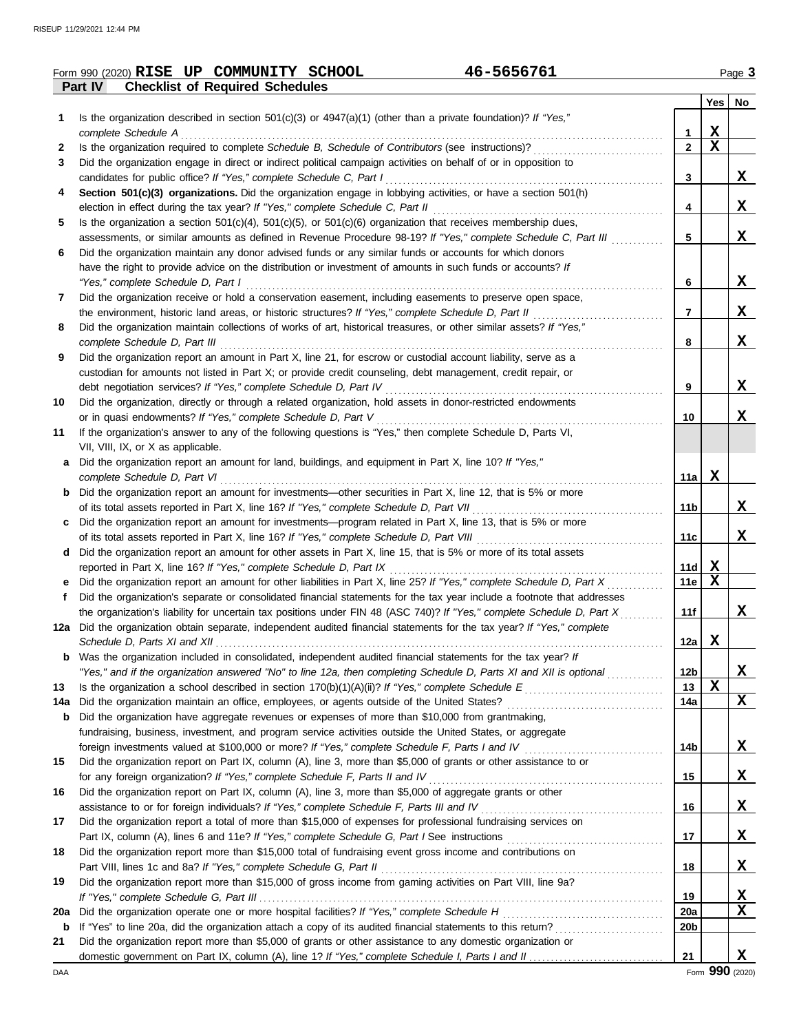|           | 46-5656761<br>Form 990 (2020) RISE UP COMMUNITY SCHOOL                                                                                                                                                                      |                   |             | Page 3 |
|-----------|-----------------------------------------------------------------------------------------------------------------------------------------------------------------------------------------------------------------------------|-------------------|-------------|--------|
|           | Part IV<br><b>Checklist of Required Schedules</b>                                                                                                                                                                           |                   |             |        |
|           |                                                                                                                                                                                                                             |                   | Yes         | No     |
| 1         | Is the organization described in section 501(c)(3) or 4947(a)(1) (other than a private foundation)? If "Yes,"                                                                                                               |                   | $\mathbf X$ |        |
| 2         | complete Schedule A<br>Is the organization required to complete Schedule B, Schedule of Contributors (see instructions)?                                                                                                    | 1<br>$\mathbf{2}$ | $\mathbf x$ |        |
| 3         | Did the organization engage in direct or indirect political campaign activities on behalf of or in opposition to                                                                                                            |                   |             |        |
|           | candidates for public office? If "Yes," complete Schedule C, Part I                                                                                                                                                         | 3                 |             | X      |
| 4         | Section 501(c)(3) organizations. Did the organization engage in lobbying activities, or have a section 501(h)                                                                                                               |                   |             |        |
|           | election in effect during the tax year? If "Yes," complete Schedule C, Part II                                                                                                                                              | 4                 |             | X      |
| 5.        | Is the organization a section $501(c)(4)$ , $501(c)(5)$ , or $501(c)(6)$ organization that receives membership dues,                                                                                                        |                   |             |        |
|           | assessments, or similar amounts as defined in Revenue Procedure 98-19? If "Yes," complete Schedule C, Part III                                                                                                              | 5                 |             | X      |
| 6         | Did the organization maintain any donor advised funds or any similar funds or accounts for which donors                                                                                                                     |                   |             |        |
|           | have the right to provide advice on the distribution or investment of amounts in such funds or accounts? If                                                                                                                 |                   |             |        |
|           | "Yes," complete Schedule D, Part I                                                                                                                                                                                          | 6                 |             | X      |
| 7         | Did the organization receive or hold a conservation easement, including easements to preserve open space,                                                                                                                   |                   |             | X      |
| 8         | the environment, historic land areas, or historic structures? If "Yes," complete Schedule D, Part II<br>Did the organization maintain collections of works of art, historical treasures, or other similar assets? If "Yes," | 7                 |             |        |
|           | complete Schedule D, Part III                                                                                                                                                                                               | 8                 |             | X      |
| 9         | Did the organization report an amount in Part X, line 21, for escrow or custodial account liability, serve as a                                                                                                             |                   |             |        |
|           | custodian for amounts not listed in Part X; or provide credit counseling, debt management, credit repair, or                                                                                                                |                   |             |        |
|           | debt negotiation services? If "Yes," complete Schedule D, Part IV                                                                                                                                                           | 9                 |             | X      |
| 10        | Did the organization, directly or through a related organization, hold assets in donor-restricted endowments                                                                                                                |                   |             |        |
|           | or in quasi endowments? If "Yes," complete Schedule D, Part V                                                                                                                                                               | 10                |             | X      |
| 11        | If the organization's answer to any of the following questions is "Yes," then complete Schedule D, Parts VI,                                                                                                                |                   |             |        |
|           | VII, VIII, IX, or X as applicable.                                                                                                                                                                                          |                   |             |        |
| а         | Did the organization report an amount for land, buildings, and equipment in Part X, line 10? If "Yes,"                                                                                                                      |                   |             |        |
|           | complete Schedule D, Part VI                                                                                                                                                                                                | 11a               | X           |        |
|           | Did the organization report an amount for investments—other securities in Part X, line 12, that is 5% or more                                                                                                               |                   |             | X      |
| c         | of its total assets reported in Part X, line 16? If "Yes," complete Schedule D, Part VII<br>Did the organization report an amount for investments—program related in Part X, line 13, that is 5% or more                    | 11b               |             |        |
|           | of its total assets reported in Part X, line 16? If "Yes," complete Schedule D, Part VIII                                                                                                                                   | 11c               |             | X      |
| d         | Did the organization report an amount for other assets in Part X, line 15, that is 5% or more of its total assets                                                                                                           |                   |             |        |
|           | reported in Part X, line 16? If "Yes," complete Schedule D, Part IX                                                                                                                                                         | 11d               | $\mathbf x$ |        |
|           | Did the organization report an amount for other liabilities in Part X, line 25? If "Yes," complete Schedule D, Part X                                                                                                       | 11e               | X           |        |
| f         | Did the organization's separate or consolidated financial statements for the tax year include a footnote that addresses                                                                                                     |                   |             |        |
|           | the organization's liability for uncertain tax positions under FIN 48 (ASC 740)? If "Yes," complete Schedule D, Part X                                                                                                      | 11f               |             | X      |
| 12a       | Did the organization obtain separate, independent audited financial statements for the tax year? If "Yes," complete                                                                                                         |                   |             |        |
|           |                                                                                                                                                                                                                             | 12a               | X           |        |
| b         | Was the organization included in consolidated, independent audited financial statements for the tax year? If                                                                                                                |                   |             |        |
|           | "Yes," and if the organization answered "No" to line 12a, then completing Schedule D, Parts XI and XII is optional                                                                                                          | 12b               | $\mathbf x$ | X      |
| 13<br>14a | Did the organization maintain an office, employees, or agents outside of the United States?                                                                                                                                 | 13<br>14a         |             | X      |
| b         | Did the organization have aggregate revenues or expenses of more than \$10,000 from grantmaking,                                                                                                                            |                   |             |        |
|           | fundraising, business, investment, and program service activities outside the United States, or aggregate                                                                                                                   |                   |             |        |
|           |                                                                                                                                                                                                                             | 14b               |             | X      |
| 15        | Did the organization report on Part IX, column (A), line 3, more than \$5,000 of grants or other assistance to or                                                                                                           |                   |             |        |
|           | for any foreign organization? If "Yes," complete Schedule F, Parts II and IV                                                                                                                                                | 15                |             | X      |
| 16        | Did the organization report on Part IX, column (A), line 3, more than \$5,000 of aggregate grants or other                                                                                                                  |                   |             |        |
|           |                                                                                                                                                                                                                             | 16                |             | X      |
| 17        | Did the organization report a total of more than \$15,000 of expenses for professional fundraising services on                                                                                                              |                   |             |        |
|           |                                                                                                                                                                                                                             | 17                |             | X      |
| 18        | Did the organization report more than \$15,000 total of fundraising event gross income and contributions on                                                                                                                 |                   |             |        |
|           | Part VIII, lines 1c and 8a? If "Yes," complete Schedule G, Part II                                                                                                                                                          | 18                |             | X      |
| 19        | Did the organization report more than \$15,000 of gross income from gaming activities on Part VIII, line 9a?                                                                                                                | 19                |             | X      |
| 20a       |                                                                                                                                                                                                                             | 20a               |             | X      |
| b         |                                                                                                                                                                                                                             | 20 <sub>b</sub>   |             |        |
| 21        | Did the organization report more than \$5,000 of grants or other assistance to any domestic organization or                                                                                                                 |                   |             |        |
|           |                                                                                                                                                                                                                             | 21                |             | X      |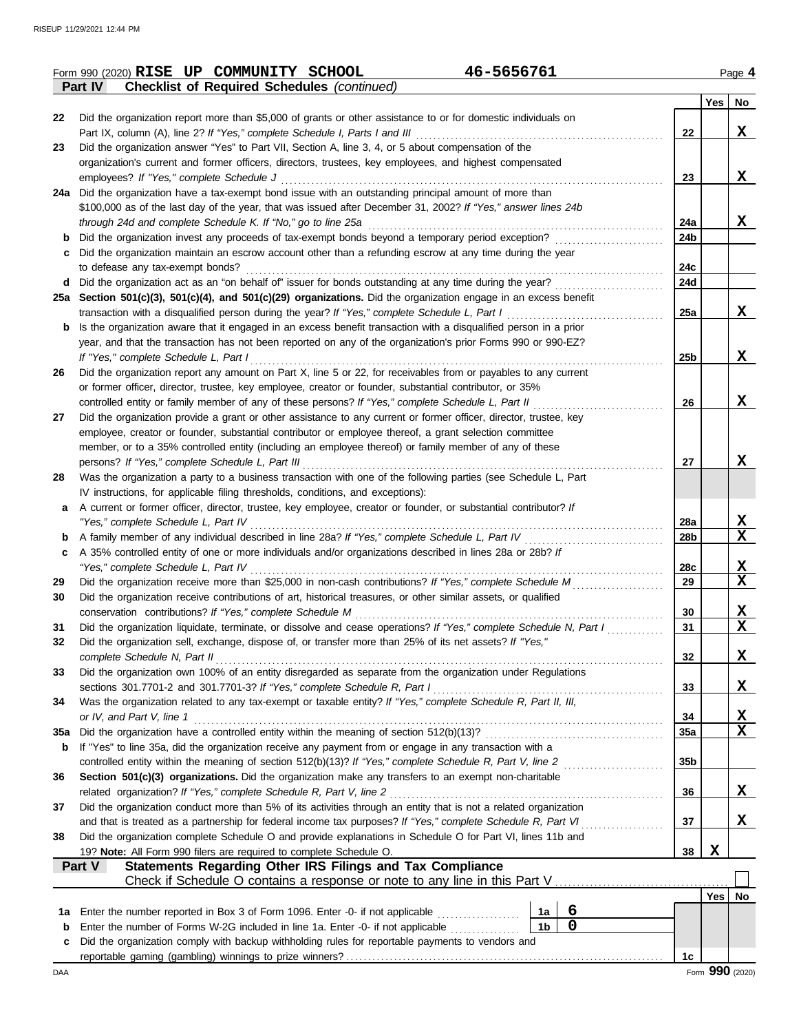|     | 46-5656761<br>Form 990 (2020) RISE UP COMMUNITY SCHOOL                                                                                                                             |                        |     | Page 4                  |
|-----|------------------------------------------------------------------------------------------------------------------------------------------------------------------------------------|------------------------|-----|-------------------------|
|     | <b>Checklist of Required Schedules (continued)</b><br><b>Part IV</b>                                                                                                               |                        |     |                         |
|     |                                                                                                                                                                                    |                        | Yes | No                      |
| 22  | Did the organization report more than \$5,000 of grants or other assistance to or for domestic individuals on                                                                      | 22                     |     | X                       |
| 23  | Part IX, column (A), line 2? If "Yes," complete Schedule I, Parts I and III<br>Did the organization answer "Yes" to Part VII, Section A, line 3, 4, or 5 about compensation of the |                        |     |                         |
|     | organization's current and former officers, directors, trustees, key employees, and highest compensated                                                                            |                        |     |                         |
|     | employees? If "Yes," complete Schedule J                                                                                                                                           | 23                     |     | X                       |
|     | 24a Did the organization have a tax-exempt bond issue with an outstanding principal amount of more than                                                                            |                        |     |                         |
|     | \$100,000 as of the last day of the year, that was issued after December 31, 2002? If "Yes," answer lines 24b                                                                      |                        |     |                         |
|     | through 24d and complete Schedule K. If "No," go to line 25a                                                                                                                       | 24a                    |     | X                       |
|     | Did the organization invest any proceeds of tax-exempt bonds beyond a temporary period exception?                                                                                  | 24 <sub>b</sub>        |     |                         |
|     | Did the organization maintain an escrow account other than a refunding escrow at any time during the year                                                                          |                        |     |                         |
|     | to defease any tax-exempt bonds?                                                                                                                                                   | 24c                    |     |                         |
| d   | Did the organization act as an "on behalf of" issuer for bonds outstanding at any time during the year?                                                                            | 24d                    |     |                         |
|     | 25a Section 501(c)(3), 501(c)(4), and 501(c)(29) organizations. Did the organization engage in an excess benefit                                                                   |                        |     |                         |
|     | transaction with a disqualified person during the year? If "Yes," complete Schedule L, Part I                                                                                      | 25a                    |     | x                       |
| b   | Is the organization aware that it engaged in an excess benefit transaction with a disqualified person in a prior                                                                   |                        |     |                         |
|     | year, and that the transaction has not been reported on any of the organization's prior Forms 990 or 990-EZ?                                                                       |                        |     |                         |
|     | If "Yes," complete Schedule L, Part I                                                                                                                                              | 25b                    |     | X                       |
| 26  | Did the organization report any amount on Part X, line 5 or 22, for receivables from or payables to any current                                                                    |                        |     |                         |
|     | or former officer, director, trustee, key employee, creator or founder, substantial contributor, or 35%                                                                            |                        |     |                         |
|     | controlled entity or family member of any of these persons? If "Yes," complete Schedule L, Part II                                                                                 | 26                     |     | X                       |
| 27  | Did the organization provide a grant or other assistance to any current or former officer, director, trustee, key                                                                  |                        |     |                         |
|     | employee, creator or founder, substantial contributor or employee thereof, a grant selection committee                                                                             |                        |     |                         |
|     | member, or to a 35% controlled entity (including an employee thereof) or family member of any of these                                                                             |                        |     |                         |
|     | persons? If "Yes," complete Schedule L, Part III                                                                                                                                   | 27                     |     | X                       |
| 28  | Was the organization a party to a business transaction with one of the following parties (see Schedule L, Part                                                                     |                        |     |                         |
|     | IV instructions, for applicable filing thresholds, conditions, and exceptions):                                                                                                    |                        |     |                         |
| a   | A current or former officer, director, trustee, key employee, creator or founder, or substantial contributor? If                                                                   |                        |     | X                       |
|     | "Yes," complete Schedule L, Part IV<br>A family member of any individual described in line 28a? If "Yes," complete Schedule L, Part IV                                             | 28a<br>28 <sub>b</sub> |     | X                       |
| b   | A 35% controlled entity of one or more individuals and/or organizations described in lines 28a or 28b? If                                                                          |                        |     |                         |
| с   | "Yes," complete Schedule L, Part IV                                                                                                                                                | 28c                    |     | X                       |
| 29  | Did the organization receive more than \$25,000 in non-cash contributions? If "Yes," complete Schedule M                                                                           | 29                     |     | $\mathbf X$             |
| 30  | Did the organization receive contributions of art, historical treasures, or other similar assets, or qualified                                                                     |                        |     |                         |
|     | conservation contributions? If "Yes," complete Schedule M                                                                                                                          | 30                     |     | <u>х</u>                |
| 31  | Did the organization liquidate, terminate, or dissolve and cease operations? If "Yes," complete Schedule N, Part I                                                                 | 31                     |     | $\overline{\mathbf{x}}$ |
| 32  | Did the organization sell, exchange, dispose of, or transfer more than 25% of its net assets? If "Yes,"                                                                            |                        |     |                         |
|     | complete Schedule N, Part II                                                                                                                                                       | 32                     |     | X                       |
| 33  | Did the organization own 100% of an entity disregarded as separate from the organization under Regulations                                                                         |                        |     |                         |
|     | sections 301.7701-2 and 301.7701-3? If "Yes," complete Schedule R, Part I                                                                                                          | 33                     |     | X                       |
| 34  | Was the organization related to any tax-exempt or taxable entity? If "Yes," complete Schedule R, Part II, III,                                                                     |                        |     |                         |
|     | or IV, and Part V, line 1                                                                                                                                                          | 34                     |     | X                       |
| 35а | Did the organization have a controlled entity within the meaning of section 512(b)(13)?                                                                                            | 35a                    |     | X                       |
| b   | If "Yes" to line 35a, did the organization receive any payment from or engage in any transaction with a                                                                            |                        |     |                         |
|     | controlled entity within the meaning of section 512(b)(13)? If "Yes," complete Schedule R, Part V, line 2                                                                          | 35b                    |     |                         |
| 36  | Section 501(c)(3) organizations. Did the organization make any transfers to an exempt non-charitable                                                                               |                        |     |                         |
|     | related organization? If "Yes," complete Schedule R, Part V, line 2                                                                                                                | 36                     |     | X                       |
| 37  | Did the organization conduct more than 5% of its activities through an entity that is not a related organization                                                                   |                        |     |                         |
|     | and that is treated as a partnership for federal income tax purposes? If "Yes," complete Schedule R, Part VI                                                                       | 37                     |     | X                       |
| 38  | Did the organization complete Schedule O and provide explanations in Schedule O for Part VI, lines 11b and                                                                         |                        |     |                         |
|     | 19? Note: All Form 990 filers are required to complete Schedule O.                                                                                                                 | 38                     | X   |                         |
|     | Statements Regarding Other IRS Filings and Tax Compliance<br>Part V                                                                                                                |                        |     |                         |
|     |                                                                                                                                                                                    |                        | Yes | No                      |
| 1a  | 6<br>Enter the number reported in Box 3 of Form 1096. Enter -0- if not applicable<br>1a                                                                                            |                        |     |                         |
| b   | $\mathbf 0$<br>1 <sub>b</sub><br>Enter the number of Forms W-2G included in line 1a. Enter -0- if not applicable                                                                   |                        |     |                         |
| c   | Did the organization comply with backup withholding rules for reportable payments to vendors and                                                                                   |                        |     |                         |
|     |                                                                                                                                                                                    | 1 <sub>c</sub>         |     |                         |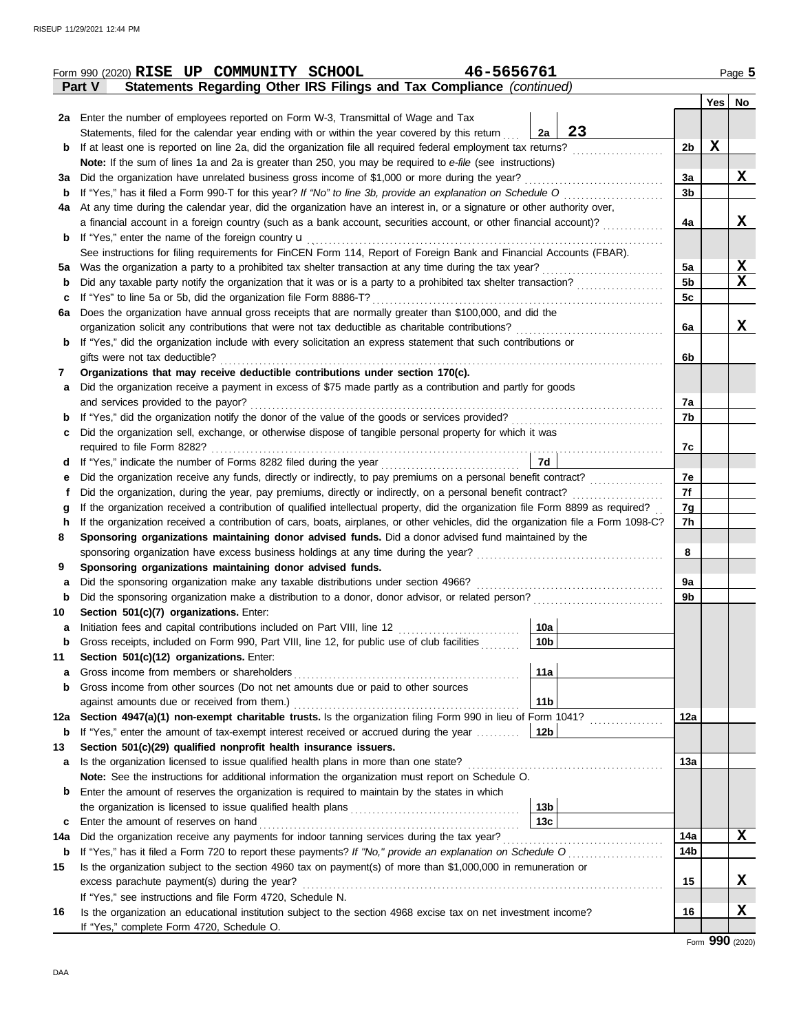|        | 46-5656761<br>Form 990 (2020) RISE UP COMMUNITY SCHOOL                                                                                          |                |     | Page 5      |
|--------|-------------------------------------------------------------------------------------------------------------------------------------------------|----------------|-----|-------------|
|        | Statements Regarding Other IRS Filings and Tax Compliance (continued)<br>Part V                                                                 |                |     |             |
|        |                                                                                                                                                 |                | Yes | No          |
|        | 2a Enter the number of employees reported on Form W-3, Transmittal of Wage and Tax                                                              |                |     |             |
|        | 23<br>Statements, filed for the calendar year ending with or within the year covered by this return<br>2a                                       |                |     |             |
| b      | If at least one is reported on line 2a, did the organization file all required federal employment tax returns?                                  | 2 <sub>b</sub> | X   |             |
|        | Note: If the sum of lines 1a and 2a is greater than 250, you may be required to e-file (see instructions)                                       |                |     |             |
| За     | Did the organization have unrelated business gross income of \$1,000 or more during the year?                                                   | За             |     | X           |
| b      | If "Yes," has it filed a Form 990-T for this year? If "No" to line 3b, provide an explanation on Schedule O                                     | 3 <sub>b</sub> |     |             |
| 4a     | At any time during the calendar year, did the organization have an interest in, or a signature or other authority over,                         |                |     |             |
|        | a financial account in a foreign country (such as a bank account, securities account, or other financial account)?                              | 4a             |     | x           |
| b      | If "Yes," enter the name of the foreign country $\mathbf u$                                                                                     |                |     |             |
|        | See instructions for filing requirements for FinCEN Form 114, Report of Foreign Bank and Financial Accounts (FBAR).                             |                |     |             |
| 5a     | Was the organization a party to a prohibited tax shelter transaction at any time during the tax year?                                           | 5a             |     | $\mathbf x$ |
| b      | Did any taxable party notify the organization that it was or is a party to a prohibited tax shelter transaction?                                | 5b             |     | X           |
| с      | If "Yes" to line 5a or 5b, did the organization file Form 8886-T?                                                                               | 5c             |     |             |
| 6a     | Does the organization have annual gross receipts that are normally greater than \$100,000, and did the                                          |                |     |             |
|        | organization solicit any contributions that were not tax deductible as charitable contributions?                                                | 6a             |     | X           |
| b      | If "Yes," did the organization include with every solicitation an express statement that such contributions or                                  |                |     |             |
|        | gifts were not tax deductible?                                                                                                                  | 6b             |     |             |
| 7      | Organizations that may receive deductible contributions under section 170(c).                                                                   |                |     |             |
| a      | Did the organization receive a payment in excess of \$75 made partly as a contribution and partly for goods                                     |                |     |             |
|        | and services provided to the payor?                                                                                                             | 7a             |     |             |
| b      | If "Yes," did the organization notify the donor of the value of the goods or services provided?                                                 | 7b             |     |             |
| с      | Did the organization sell, exchange, or otherwise dispose of tangible personal property for which it was                                        |                |     |             |
|        |                                                                                                                                                 | 7c             |     |             |
| d      | 7d                                                                                                                                              |                |     |             |
| е      | Did the organization receive any funds, directly or indirectly, to pay premiums on a personal benefit contract?                                 | 7e             |     |             |
| Ť      | Did the organization, during the year, pay premiums, directly or indirectly, on a personal benefit contract?                                    | 7f             |     |             |
| g      | If the organization received a contribution of qualified intellectual property, did the organization file Form 8899 as required?                | 7g             |     |             |
| h      | If the organization received a contribution of cars, boats, airplanes, or other vehicles, did the organization file a Form 1098-C?              | 7h             |     |             |
| 8      | Sponsoring organizations maintaining donor advised funds. Did a donor advised fund maintained by the                                            |                |     |             |
| 9      |                                                                                                                                                 | 8              |     |             |
|        | Sponsoring organizations maintaining donor advised funds.<br>Did the sponsoring organization make any taxable distributions under section 4966? | 9а             |     |             |
| a<br>b | Did the sponsoring organization make a distribution to a donor, donor advisor, or related person?                                               | 9b             |     |             |
| 10     | Section 501(c)(7) organizations. Enter:                                                                                                         |                |     |             |
|        | 10a<br>Initiation fees and capital contributions included on Part VIII, line 12 [11][11][11][11][11][11][11][11][11][                           |                |     |             |
| b      | 10 <sub>b</sub><br>Gross receipts, included on Form 990, Part VIII, line 12, for public use of club facilities                                  |                |     |             |
| 11     | Section 501(c)(12) organizations. Enter:                                                                                                        |                |     |             |
| a      | 11a<br>Gross income from members or shareholders                                                                                                |                |     |             |
| b      | Gross income from other sources (Do not net amounts due or paid to other sources                                                                |                |     |             |
|        | 11 <sub>b</sub><br>against amounts due or received from them.)                                                                                  |                |     |             |
| 12a    | Section 4947(a)(1) non-exempt charitable trusts. Is the organization filing Form 990 in lieu of Form 1041?                                      | 12a            |     |             |
| b      | If "Yes," enter the amount of tax-exempt interest received or accrued during the year<br>12 <sub>b</sub>                                        |                |     |             |
| 13     | Section 501(c)(29) qualified nonprofit health insurance issuers.                                                                                |                |     |             |
| а      | Is the organization licensed to issue qualified health plans in more than one state?                                                            | 13а            |     |             |
|        | Note: See the instructions for additional information the organization must report on Schedule O.                                               |                |     |             |
| b      | Enter the amount of reserves the organization is required to maintain by the states in which                                                    |                |     |             |
|        | 13 <sub>b</sub>                                                                                                                                 |                |     |             |
| c      | 13 <sub>c</sub><br>Enter the amount of reserves on hand                                                                                         |                |     |             |
| 14a    | Did the organization receive any payments for indoor tanning services during the tax year?                                                      | 14a            |     | X           |
| b      | If "Yes," has it filed a Form 720 to report these payments? If "No," provide an explanation on Schedule O                                       | 14b            |     |             |
| 15     | Is the organization subject to the section 4960 tax on payment(s) of more than \$1,000,000 in remuneration or                                   |                |     |             |
|        | excess parachute payment(s) during the year?                                                                                                    | 15             |     | X           |
|        | If "Yes," see instructions and file Form 4720, Schedule N.                                                                                      |                |     |             |
| 16     | Is the organization an educational institution subject to the section 4968 excise tax on net investment income?                                 | 16             |     | X           |
|        | If "Yes," complete Form 4720, Schedule O.                                                                                                       |                |     |             |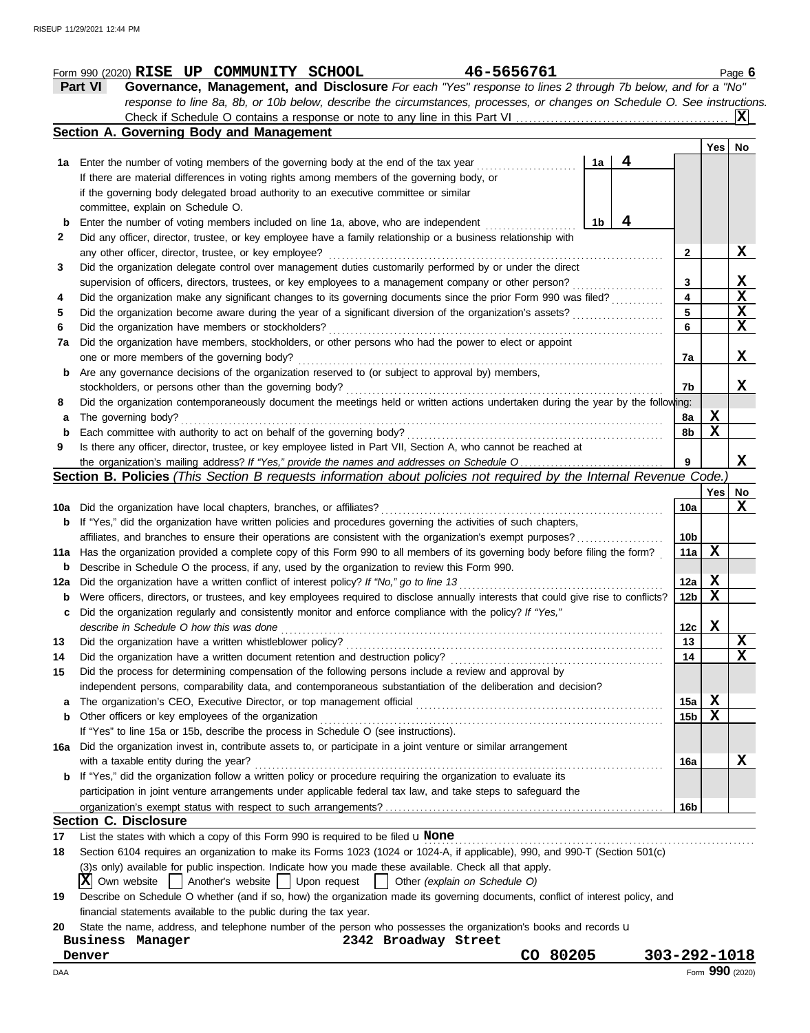|             | 46-5656761<br>Form 990 (2020) RISE UP COMMUNITY SCHOOL                                                                              |                 |             | Page $6$        |
|-------------|-------------------------------------------------------------------------------------------------------------------------------------|-----------------|-------------|-----------------|
|             | Governance, Management, and Disclosure For each "Yes" response to lines 2 through 7b below, and for a "No"<br>Part VI               |                 |             |                 |
|             | response to line 8a, 8b, or 10b below, describe the circumstances, processes, or changes on Schedule O. See instructions.           |                 |             |                 |
|             |                                                                                                                                     |                 |             |                 |
|             | Section A. Governing Body and Management                                                                                            |                 |             |                 |
|             |                                                                                                                                     |                 | Yes   No    |                 |
| 1а          | 4<br>1a<br>Enter the number of voting members of the governing body at the end of the tax year                                      |                 |             |                 |
|             | If there are material differences in voting rights among members of the governing body, or                                          |                 |             |                 |
|             | if the governing body delegated broad authority to an executive committee or similar                                                |                 |             |                 |
|             | committee, explain on Schedule O.                                                                                                   |                 |             |                 |
| b           | 4<br>Enter the number of voting members included on line 1a, above, who are independent<br>1b                                       |                 |             |                 |
| 2           | Did any officer, director, trustee, or key employee have a family relationship or a business relationship with                      |                 |             |                 |
|             | any other officer, director, trustee, or key employee?                                                                              | 2               |             | X               |
| 3           | Did the organization delegate control over management duties customarily performed by or under the direct                           |                 |             |                 |
|             | supervision of officers, directors, trustees, or key employees to a management company or other person?                             | 3               |             | X               |
| 4           | Did the organization make any significant changes to its governing documents since the prior Form 990 was filed?                    | 4               |             | X               |
| 5           | Did the organization become aware during the year of a significant diversion of the organization's assets?                          | 5               |             | X               |
| 6           | Did the organization have members or stockholders?                                                                                  | 6               |             | X               |
| 7a          | Did the organization have members, stockholders, or other persons who had the power to elect or appoint                             |                 |             |                 |
|             | one or more members of the governing body?                                                                                          | 7a              |             | X               |
| b           | Are any governance decisions of the organization reserved to (or subject to approval by) members,                                   |                 |             |                 |
|             | stockholders, or persons other than the governing body?                                                                             | 7b              |             | x               |
| 8           | Did the organization contemporaneously document the meetings held or written actions undertaken during the year by the following:   |                 |             |                 |
| a           | The governing body?                                                                                                                 | 8a              | X           |                 |
| b           | Each committee with authority to act on behalf of the governing body?                                                               | 8b              | $\mathbf x$ |                 |
| 9           | Is there any officer, director, trustee, or key employee listed in Part VII, Section A, who cannot be reached at                    |                 |             |                 |
|             | the organization's mailing address? If "Yes," provide the names and addresses on Schedule O                                         | 9               |             | X               |
|             | Section B. Policies (This Section B requests information about policies not required by the Internal Revenue Code.)                 |                 |             |                 |
|             |                                                                                                                                     |                 | Yes         | No              |
|             | <b>10a</b> Did the organization have local chapters, branches, or affiliates?                                                       | 10a             |             | X               |
|             | <b>b</b> If "Yes," did the organization have written policies and procedures governing the activities of such chapters,             |                 |             |                 |
|             | affiliates, and branches to ensure their operations are consistent with the organization's exempt purposes?                         | 10 <sub>b</sub> |             |                 |
|             | 11a Has the organization provided a complete copy of this Form 990 to all members of its governing body before filing the form?     | 11a             | X           |                 |
| $\mathbf b$ | Describe in Schedule O the process, if any, used by the organization to review this Form 990.                                       |                 |             |                 |
| 12a         | Did the organization have a written conflict of interest policy? If "No," go to line 13                                             | 12a             | X           |                 |
| b           | Were officers, directors, or trustees, and key employees required to disclose annually interests that could give rise to conflicts? | 12 <sub>b</sub> | X           |                 |
| c           | Did the organization regularly and consistently monitor and enforce compliance with the policy? If "Yes,"                           |                 |             |                 |
|             | describe in Schedule O how this was done                                                                                            | 12c             | X           |                 |
| 13          | Did the organization have a written whistleblower policy?                                                                           | 13              |             | X               |
| 14          | Did the organization have a written document retention and destruction policy?                                                      | 14              |             | X               |
| 15          | Did the process for determining compensation of the following persons include a review and approval by                              |                 |             |                 |
|             | independent persons, comparability data, and contemporaneous substantiation of the deliberation and decision?                       |                 |             |                 |
| a           | The organization's CEO, Executive Director, or top management official                                                              | 15a             | X           |                 |
| b           | Other officers or key employees of the organization                                                                                 | 15b             | X           |                 |
|             | If "Yes" to line 15a or 15b, describe the process in Schedule O (see instructions).                                                 |                 |             |                 |
| 16a         | Did the organization invest in, contribute assets to, or participate in a joint venture or similar arrangement                      |                 |             |                 |
|             | with a taxable entity during the year?                                                                                              | 16a             |             | X               |
|             | If "Yes," did the organization follow a written policy or procedure requiring the organization to evaluate its                      |                 |             |                 |
|             | participation in joint venture arrangements under applicable federal tax law, and take steps to safeguard the                       |                 |             |                 |
|             |                                                                                                                                     |                 |             |                 |
|             | <b>Section C. Disclosure</b>                                                                                                        | 16b             |             |                 |
|             |                                                                                                                                     |                 |             |                 |
| 17          | List the states with which a copy of this Form 990 is required to be filed $\mathbf u$ None                                         |                 |             |                 |
| 18          | Section 6104 requires an organization to make its Forms 1023 (1024 or 1024-A, if applicable), 990, and 990-T (Section 501(c)        |                 |             |                 |
|             | (3)s only) available for public inspection. Indicate how you made these available. Check all that apply.                            |                 |             |                 |
|             | X Own website<br>  Another's website   Upon request<br>Other (explain on Schedule O)                                                |                 |             |                 |
| 19          | Describe on Schedule O whether (and if so, how) the organization made its governing documents, conflict of interest policy, and     |                 |             |                 |
|             | financial statements available to the public during the tax year.                                                                   |                 |             |                 |
| 20          | State the name, address, and telephone number of the person who possesses the organization's books and records u                    |                 |             |                 |
|             | 2342 Broadway Street<br>Business Manager                                                                                            |                 |             |                 |
|             | CO 80205<br>303-292-1018<br>Denver                                                                                                  |                 |             |                 |
| DAA         |                                                                                                                                     |                 |             | Form 990 (2020) |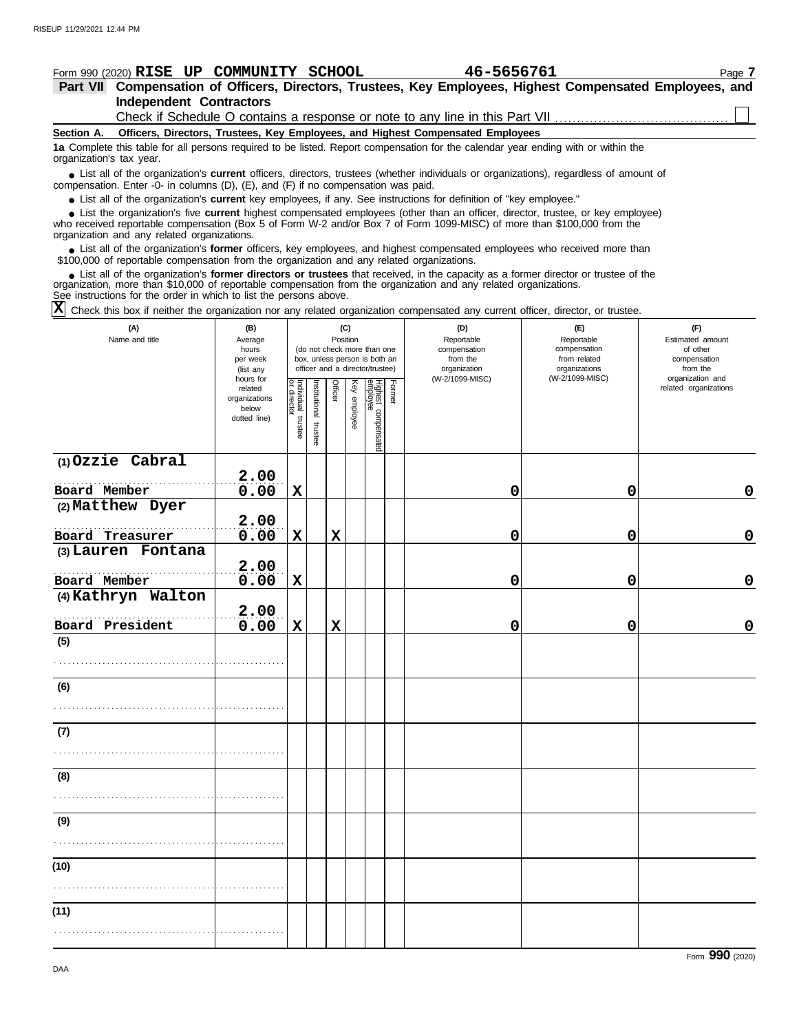### **Section A. Independent Contractors Part VII Compensation of Officers, Directors, Trustees, Key Employees, Highest Compensated Employees, and Form 990 (2020) RISE UP COMMUNITY SCHOOL 46-5656761** Page 7 **Officers, Directors, Trustees, Key Employees, and Highest Compensated Employees 1a** Complete this table for all persons required to be listed. Report compensation for the calendar year ending with or within the ■ List all of the organization's **current** officers, directors, trustees (whether individuals or organizations), regardless of amount of the organization Enter -0- in columns (D), (E), and (E) if no compensation was paid compensation. Enter -0- in columns (D), (E), and (F) if no compensation was paid. ● List all of the organization's **current** key employees, if any. See instructions for definition of "key employee." who received reportable compensation (Box 5 of Form W-2 and/or Box 7 of Form 1099-MISC) of more than \$100,000 from the organization and any related organizations. ■ List all of the organization's **former** officers, key employees, and highest compensated employees who received more than<br>00,000 of reportable compensation from the organization and any related organizations \$100,000 of reportable compensation from the organization and any related organizations. ■ List all of the organization's **former directors or trustees** that received, in the capacity as a former director or trustee of the<br>enization, more than \$10,000 of reportable compensation from the organization and any r organization, more than \$10,000 of reportable compensation from the organization and any related organizations. organization's tax year. ■ List the organization's five **current** highest compensated employees (other than an officer, director, trustee, or key employee)<br>
a received reportable compensation (Box 5 of Form W-2 and/or Box 7 of Form 1099-MISC) of Check if Schedule O contains a response or note to any line in this Part VII

See instructions for the order in which to list the persons above.

Check this box if neither the organization nor any related organization compensated any current officer, director, or trustee. **X**

| (A)<br>Name and title                 | (B)<br>Average<br>hours<br>per week<br>(list any               |                                   |                       | (C)<br>Position |              | (do not check more than one<br>box, unless person is both an<br>officer and a director/trustee) |        | (D)<br>Reportable<br>compensation<br>from the<br>organization | (E)<br>Reportable<br>compensation<br>from related<br>organizations | (F)<br>Estimated amount<br>of other<br>compensation<br>from the |
|---------------------------------------|----------------------------------------------------------------|-----------------------------------|-----------------------|-----------------|--------------|-------------------------------------------------------------------------------------------------|--------|---------------------------------------------------------------|--------------------------------------------------------------------|-----------------------------------------------------------------|
|                                       | hours for<br>related<br>organizations<br>below<br>dotted line) | Individual trustee<br>or director | Institutional trustee | Officer         | Key employee | Highest compensated<br>employee                                                                 | Former | (W-2/1099-MISC)                                               | (W-2/1099-MISC)                                                    | organization and<br>related organizations                       |
| $(1)$ Ozzie Cabral<br>Board Member    | 2.00<br>0.00                                                   | $\mathbf x$                       |                       |                 |              |                                                                                                 |        | 0                                                             | 0                                                                  | $\mathbf 0$                                                     |
| (2) Matthew Dyer                      | 2.00                                                           |                                   |                       |                 |              |                                                                                                 |        |                                                               |                                                                    |                                                                 |
| Board Treasurer<br>(3) Lauren Fontana | 0.00<br>2.00                                                   | $\mathbf X$                       |                       | $\mathbf x$     |              |                                                                                                 |        | 0                                                             | 0                                                                  | $\mathbf 0$                                                     |
| Board Member<br>(4) Kathryn Walton    | 0.00                                                           | X                                 |                       |                 |              |                                                                                                 |        | 0                                                             | 0                                                                  | $\mathbf 0$                                                     |
| Board President<br>(5)                | 2.00<br>0.00                                                   | $\mathbf X$                       |                       | $\mathbf x$     |              |                                                                                                 |        | $\mathbf 0$                                                   | 0                                                                  | $\mathbf 0$                                                     |
|                                       |                                                                |                                   |                       |                 |              |                                                                                                 |        |                                                               |                                                                    |                                                                 |
| (6)                                   |                                                                |                                   |                       |                 |              |                                                                                                 |        |                                                               |                                                                    |                                                                 |
| (7)                                   |                                                                |                                   |                       |                 |              |                                                                                                 |        |                                                               |                                                                    |                                                                 |
| (8)                                   |                                                                |                                   |                       |                 |              |                                                                                                 |        |                                                               |                                                                    |                                                                 |
| (9)                                   |                                                                |                                   |                       |                 |              |                                                                                                 |        |                                                               |                                                                    |                                                                 |
| (10)                                  |                                                                |                                   |                       |                 |              |                                                                                                 |        |                                                               |                                                                    |                                                                 |
| (11)                                  |                                                                |                                   |                       |                 |              |                                                                                                 |        |                                                               |                                                                    |                                                                 |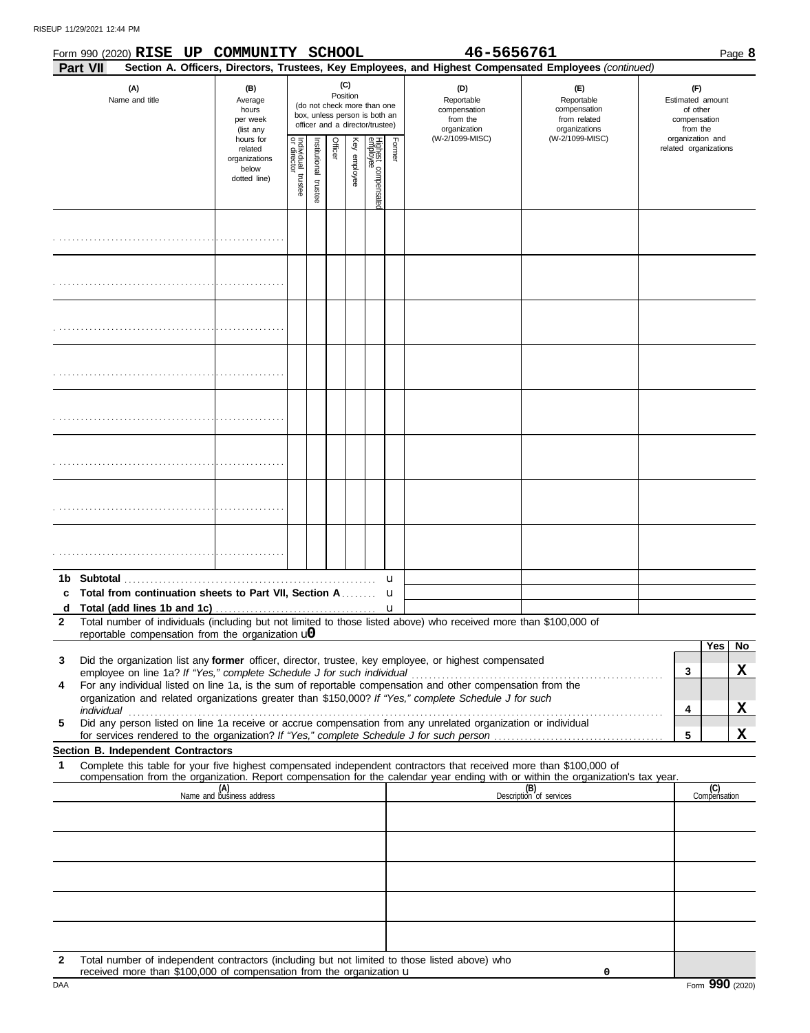|              |                 | Form 990 (2020) RISE UP COMMUNITY SCHOOL                   |                                                                |                                   |                          |         |                 |                                                                                                 |        | 46-5656761                                                                                                                                                                                                                                                                                                                            |                                                                                                                                                                                                                                     |                                                                 | Page 8                                    |
|--------------|-----------------|------------------------------------------------------------|----------------------------------------------------------------|-----------------------------------|--------------------------|---------|-----------------|-------------------------------------------------------------------------------------------------|--------|---------------------------------------------------------------------------------------------------------------------------------------------------------------------------------------------------------------------------------------------------------------------------------------------------------------------------------------|-------------------------------------------------------------------------------------------------------------------------------------------------------------------------------------------------------------------------------------|-----------------------------------------------------------------|-------------------------------------------|
|              | <b>Part VII</b> |                                                            |                                                                |                                   |                          |         |                 |                                                                                                 |        |                                                                                                                                                                                                                                                                                                                                       | Section A. Officers, Directors, Trustees, Key Employees, and Highest Compensated Employees (continued)                                                                                                                              |                                                                 |                                           |
|              |                 | (A)<br>Name and title                                      | (B)<br>Average<br>hours<br>per week<br>(list any               |                                   |                          |         | (C)<br>Position | (do not check more than one<br>box, unless person is both an<br>officer and a director/trustee) |        | (D)<br>Reportable<br>compensation<br>from the<br>organization                                                                                                                                                                                                                                                                         | (E)<br>Reportable<br>compensation<br>from related<br>organizations                                                                                                                                                                  | (F)<br>Estimated amount<br>of other<br>compensation<br>from the |                                           |
|              |                 |                                                            | hours for<br>related<br>organizations<br>below<br>dotted line) | Individual trustee<br>or director | Institutional<br>trustee | Officer | Key employee    | Highest compensatec<br>employee                                                                 | Former | (W-2/1099-MISC)                                                                                                                                                                                                                                                                                                                       | (W-2/1099-MISC)                                                                                                                                                                                                                     | organization and<br>related organizations                       |                                           |
|              |                 |                                                            |                                                                |                                   |                          |         |                 |                                                                                                 |        |                                                                                                                                                                                                                                                                                                                                       |                                                                                                                                                                                                                                     |                                                                 |                                           |
|              |                 |                                                            |                                                                |                                   |                          |         |                 |                                                                                                 |        |                                                                                                                                                                                                                                                                                                                                       |                                                                                                                                                                                                                                     |                                                                 |                                           |
|              |                 |                                                            |                                                                |                                   |                          |         |                 |                                                                                                 |        |                                                                                                                                                                                                                                                                                                                                       |                                                                                                                                                                                                                                     |                                                                 |                                           |
|              |                 |                                                            |                                                                |                                   |                          |         |                 |                                                                                                 |        |                                                                                                                                                                                                                                                                                                                                       |                                                                                                                                                                                                                                     |                                                                 |                                           |
|              |                 |                                                            |                                                                |                                   |                          |         |                 |                                                                                                 |        |                                                                                                                                                                                                                                                                                                                                       |                                                                                                                                                                                                                                     |                                                                 |                                           |
|              |                 |                                                            |                                                                |                                   |                          |         |                 |                                                                                                 |        |                                                                                                                                                                                                                                                                                                                                       |                                                                                                                                                                                                                                     |                                                                 |                                           |
|              |                 |                                                            |                                                                |                                   |                          |         |                 |                                                                                                 |        |                                                                                                                                                                                                                                                                                                                                       |                                                                                                                                                                                                                                     |                                                                 |                                           |
|              |                 |                                                            |                                                                |                                   |                          |         |                 |                                                                                                 |        |                                                                                                                                                                                                                                                                                                                                       |                                                                                                                                                                                                                                     |                                                                 |                                           |
|              |                 | c Total from continuation sheets to Part VII, Section A    |                                                                |                                   |                          |         |                 |                                                                                                 | u<br>u |                                                                                                                                                                                                                                                                                                                                       |                                                                                                                                                                                                                                     |                                                                 |                                           |
| $\mathbf{2}$ |                 | reportable compensation from the organization $\mathbf{u}$ |                                                                |                                   |                          |         |                 |                                                                                                 |        | Total number of individuals (including but not limited to those listed above) who received more than \$100,000 of                                                                                                                                                                                                                     |                                                                                                                                                                                                                                     |                                                                 |                                           |
| 3            |                 |                                                            |                                                                |                                   |                          |         |                 |                                                                                                 |        | Did the organization list any former officer, director, trustee, key employee, or highest compensated                                                                                                                                                                                                                                 |                                                                                                                                                                                                                                     | 3                                                               | $\overline{Yes}$  <br>N <sub>o</sub><br>X |
| 4<br>5       |                 |                                                            |                                                                |                                   |                          |         |                 |                                                                                                 |        | For any individual listed on line 1a, is the sum of reportable compensation and other compensation from the<br>organization and related organizations greater than \$150,000? If "Yes," complete Schedule J for such<br>Did any person listed on line 1a receive or accrue compensation from any unrelated organization or individual | individual <b>construction of the construction of the construction</b> of the construction of the construction of the construction of the construction of the construction of the construction of the construction of the construct | 4                                                               | X                                         |
|              |                 |                                                            |                                                                |                                   |                          |         |                 |                                                                                                 |        |                                                                                                                                                                                                                                                                                                                                       |                                                                                                                                                                                                                                     | 5                                                               | X                                         |
| 1            |                 | Section B. Independent Contractors                         |                                                                |                                   |                          |         |                 |                                                                                                 |        | Complete this table for your five highest compensated independent contractors that received more than \$100,000 of                                                                                                                                                                                                                    |                                                                                                                                                                                                                                     |                                                                 |                                           |
|              |                 |                                                            | (A)<br>Name and business address                               |                                   |                          |         |                 |                                                                                                 |        |                                                                                                                                                                                                                                                                                                                                       | compensation from the organization. Report compensation for the calendar year ending with or within the organization's tax year.<br>(B)<br>Description of services                                                                  |                                                                 | (C)<br>Compensation                       |
|              |                 |                                                            |                                                                |                                   |                          |         |                 |                                                                                                 |        |                                                                                                                                                                                                                                                                                                                                       |                                                                                                                                                                                                                                     |                                                                 |                                           |
|              |                 |                                                            |                                                                |                                   |                          |         |                 |                                                                                                 |        |                                                                                                                                                                                                                                                                                                                                       |                                                                                                                                                                                                                                     |                                                                 |                                           |
|              |                 |                                                            |                                                                |                                   |                          |         |                 |                                                                                                 |        |                                                                                                                                                                                                                                                                                                                                       |                                                                                                                                                                                                                                     |                                                                 |                                           |
|              |                 |                                                            |                                                                |                                   |                          |         |                 |                                                                                                 |        |                                                                                                                                                                                                                                                                                                                                       |                                                                                                                                                                                                                                     |                                                                 |                                           |
|              |                 |                                                            |                                                                |                                   |                          |         |                 |                                                                                                 |        |                                                                                                                                                                                                                                                                                                                                       |                                                                                                                                                                                                                                     |                                                                 |                                           |
|              |                 |                                                            |                                                                |                                   |                          |         |                 |                                                                                                 |        |                                                                                                                                                                                                                                                                                                                                       |                                                                                                                                                                                                                                     |                                                                 |                                           |

| Total number of independent contractors (including but not limited to those listed above) who |
|-----------------------------------------------------------------------------------------------|
| received more than \$100,000 of compensation from the organization $\mathbf u$                |

**0**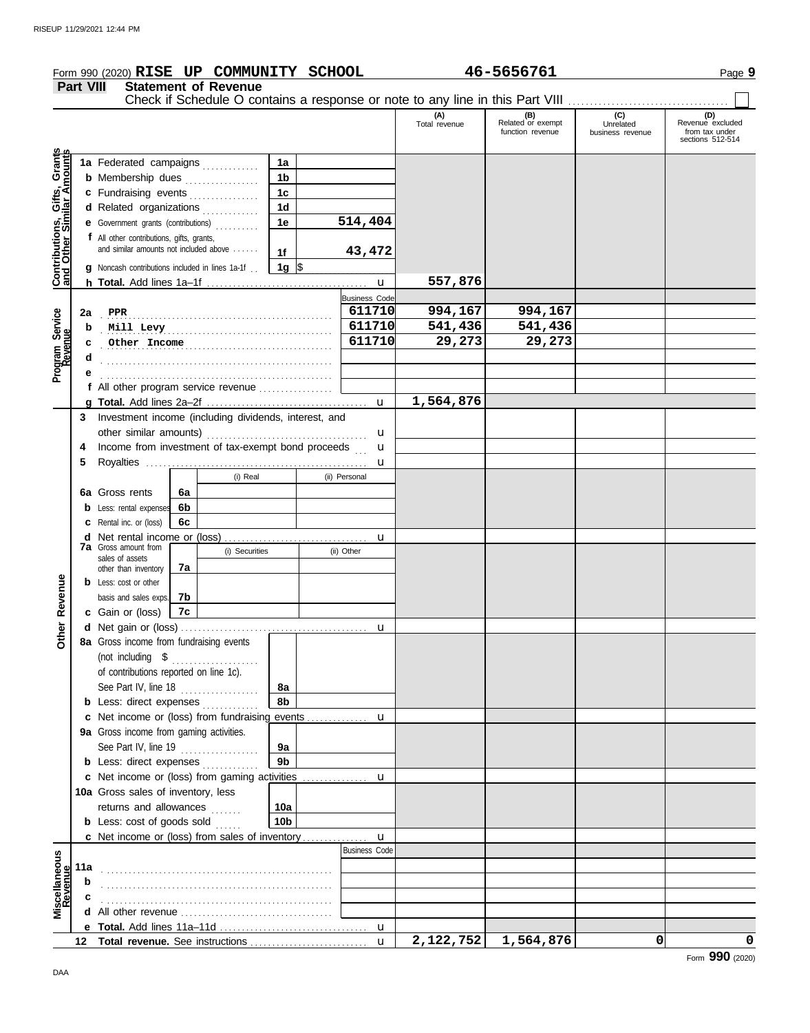|                                                                                         | Part VIII    | Form 990 (2020) RISE UP COMMUNITY SCHOOL<br><b>Statement of Revenue</b>                                                                                                                                                                                                                                                                                                                                                                                                                                                                                                        |                                                                         |                                         | 46-5656761                                   |                                      | Page 9                                                        |
|-----------------------------------------------------------------------------------------|--------------|--------------------------------------------------------------------------------------------------------------------------------------------------------------------------------------------------------------------------------------------------------------------------------------------------------------------------------------------------------------------------------------------------------------------------------------------------------------------------------------------------------------------------------------------------------------------------------|-------------------------------------------------------------------------|-----------------------------------------|----------------------------------------------|--------------------------------------|---------------------------------------------------------------|
|                                                                                         |              |                                                                                                                                                                                                                                                                                                                                                                                                                                                                                                                                                                                |                                                                         | (A)<br>Total revenue                    | (B)<br>Related or exempt<br>function revenue | (C)<br>Unrelated<br>business revenue | (D)<br>Revenue excluded<br>from tax under<br>sections 512-514 |
| Contributions, Gifts, Grants<br>and Other Similar Amounts<br>Program Service<br>Revenue | 2a<br>b<br>c | 1a Federated campaigns<br>1a<br><b>b</b> Membership dues<br>1 <sub>b</sub><br>1 <sub>c</sub><br>c Fundraising events<br>1 <sub>d</sub><br>d Related organizations<br><b>e</b> Government grants (contributions)<br>1e<br>f All other contributions, gifts, grants,<br>and similar amounts not included above<br>1f<br>$\vert$ 1g $\vert$ \$<br><b>g</b> Noncash contributions included in lines 1a-1f.<br>PPR<br>Mill Levy<br>Other Income                                                                                                                                     | 514,404<br>43,472<br><b>Business Code</b><br>611710<br>611710<br>611710 | 557,876<br>994,167<br>541,436<br>29,273 | 994,167<br>541,436<br>29,273                 |                                      |                                                               |
|                                                                                         |              | f All other program service revenue                                                                                                                                                                                                                                                                                                                                                                                                                                                                                                                                            | u                                                                       | 1,564,876                               |                                              |                                      |                                                               |
| Revenue<br>Other                                                                        | 4<br>5       | 3 Investment income (including dividends, interest, and<br>Income from investment of tax-exempt bond proceeds<br>(i) Real<br>(ii) Personal<br>6a Gross rents<br>6a<br><b>b</b> Less: rental expenses<br>6b<br><b>c</b> Rental inc. or (loss)<br>6c<br><b>7a</b> Gross amount from<br>(i) Securities<br>(ii) Other<br>sales of assets<br>7а<br>other than inventory<br><b>b</b> Less: cost or other<br>basis and sales exps.<br>7b<br>c Gain or (loss)<br>7c<br>8a Gross income from fundraising events<br>of contributions reported on line 1c).<br>See Part IV, line 18<br>8a | u<br>u<br>u<br>u                                                        |                                         |                                              |                                      |                                                               |
|                                                                                         |              | 8b<br><b>b</b> Less: direct expenses <i>minimum</i><br>c Net income or (loss) from fundraising events<br>9a Gross income from gaming activities.                                                                                                                                                                                                                                                                                                                                                                                                                               | u                                                                       |                                         |                                              |                                      |                                                               |
|                                                                                         |              | See Part IV, line 19 $\ldots$<br><b>9a</b><br>9b<br><b>b</b> Less: direct expenses                                                                                                                                                                                                                                                                                                                                                                                                                                                                                             |                                                                         |                                         |                                              |                                      |                                                               |
|                                                                                         |              | 10a Gross sales of inventory, less<br>returns and allowances<br>10a<br><b>b</b> Less: $cost$ of goods sold $\ldots$<br>10 <sub>b</sub>                                                                                                                                                                                                                                                                                                                                                                                                                                         | u                                                                       |                                         |                                              |                                      |                                                               |
|                                                                                         |              | c Net income or (loss) from sales of inventory                                                                                                                                                                                                                                                                                                                                                                                                                                                                                                                                 | u<br><b>Business Code</b>                                               |                                         |                                              |                                      |                                                               |
| Miscellaneous<br>Revenue                                                                | 11a<br>b     |                                                                                                                                                                                                                                                                                                                                                                                                                                                                                                                                                                                |                                                                         |                                         |                                              |                                      |                                                               |
|                                                                                         |              |                                                                                                                                                                                                                                                                                                                                                                                                                                                                                                                                                                                |                                                                         |                                         |                                              |                                      |                                                               |
|                                                                                         |              |                                                                                                                                                                                                                                                                                                                                                                                                                                                                                                                                                                                |                                                                         |                                         |                                              |                                      |                                                               |
|                                                                                         |              |                                                                                                                                                                                                                                                                                                                                                                                                                                                                                                                                                                                |                                                                         |                                         |                                              |                                      |                                                               |

u

**2,122,752 1,564,876 0 0**

**Total revenue.** See instructions . . . . . . . . . . . . . . . . . . . . . . . . . . . **12**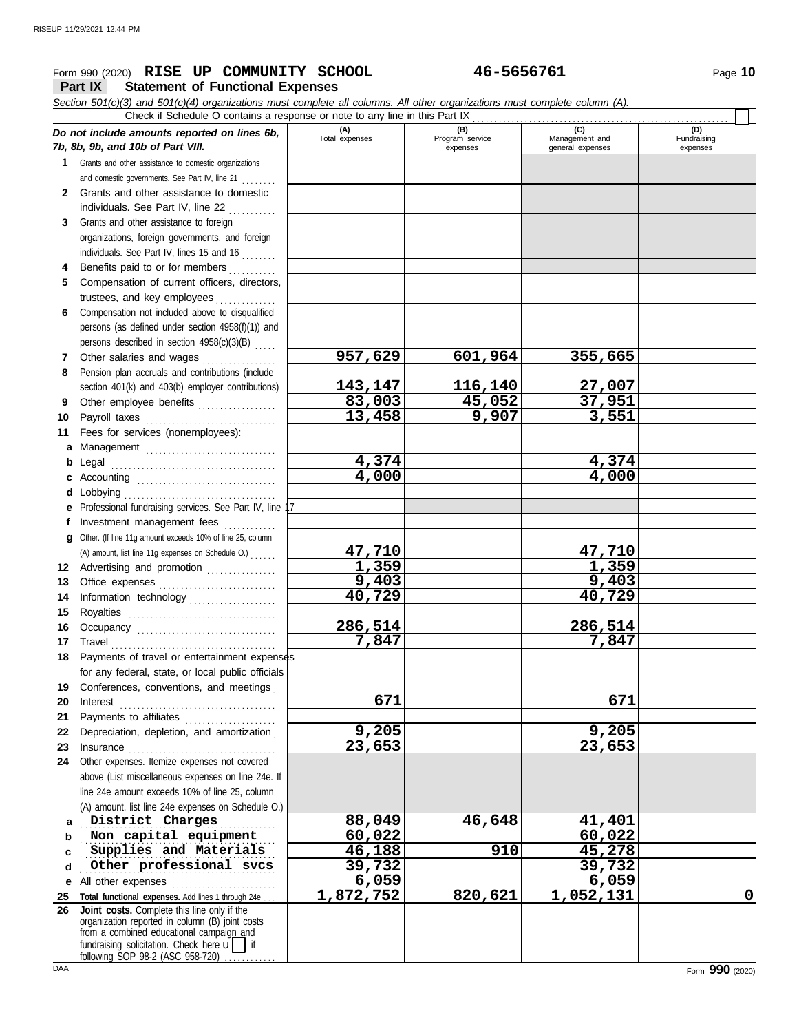# **Form 990 (2020) RISE UP COMMUNITY SCHOOL** 46-5656761 Page 10

**Part IX Statement of Functional Expenses**

|              | Section 501(c)(3) and 501(c)(4) organizations must complete all columns. All other organizations must complete column (A).                                                                                                     |                |                             |                                    |                         |
|--------------|--------------------------------------------------------------------------------------------------------------------------------------------------------------------------------------------------------------------------------|----------------|-----------------------------|------------------------------------|-------------------------|
|              | Check if Schedule O contains a response or note to any line in this Part IX                                                                                                                                                    | (A)            | (B)                         | (C)                                | (D)                     |
|              | Do not include amounts reported on lines 6b,<br>7b, 8b, 9b, and 10b of Part VIII.                                                                                                                                              | Total expenses | Program service<br>expenses | Management and<br>general expenses | Fundraising<br>expenses |
| 1            | Grants and other assistance to domestic organizations                                                                                                                                                                          |                |                             |                                    |                         |
|              | and domestic governments. See Part IV, line 21                                                                                                                                                                                 |                |                             |                                    |                         |
| $\mathbf{2}$ | Grants and other assistance to domestic                                                                                                                                                                                        |                |                             |                                    |                         |
|              | individuals. See Part IV, line 22                                                                                                                                                                                              |                |                             |                                    |                         |
| 3            | Grants and other assistance to foreign                                                                                                                                                                                         |                |                             |                                    |                         |
|              | organizations, foreign governments, and foreign                                                                                                                                                                                |                |                             |                                    |                         |
|              | individuals. See Part IV, lines 15 and 16                                                                                                                                                                                      |                |                             |                                    |                         |
| 4            | Benefits paid to or for members                                                                                                                                                                                                |                |                             |                                    |                         |
| 5            | Compensation of current officers, directors,                                                                                                                                                                                   |                |                             |                                    |                         |
|              | trustees, and key employees                                                                                                                                                                                                    |                |                             |                                    |                         |
| 6            | Compensation not included above to disqualified                                                                                                                                                                                |                |                             |                                    |                         |
|              | persons (as defined under section 4958(f)(1)) and                                                                                                                                                                              |                |                             |                                    |                         |
|              | persons described in section 4958(c)(3)(B)                                                                                                                                                                                     |                |                             |                                    |                         |
| 7            | Other salaries and wages                                                                                                                                                                                                       | 957,629        | 601,964                     | 355,665                            |                         |
| 8            | Pension plan accruals and contributions (include                                                                                                                                                                               |                |                             |                                    |                         |
|              | section 401(k) and 403(b) employer contributions)                                                                                                                                                                              | <u>143,147</u> | 116,140                     | 27,007                             |                         |
| 9            | Other employee benefits                                                                                                                                                                                                        | 83,003         | 45,052                      | 37,951                             |                         |
| 10           | Payroll taxes                                                                                                                                                                                                                  | 13,458         | 9,907                       | 3,551                              |                         |
| 11           | Fees for services (nonemployees):                                                                                                                                                                                              |                |                             |                                    |                         |
| a            |                                                                                                                                                                                                                                |                |                             |                                    |                         |
| b            | Legal                                                                                                                                                                                                                          | 4,374          |                             | 4,374                              |                         |
| c            |                                                                                                                                                                                                                                | 4,000          |                             | 4,000                              |                         |
| d            |                                                                                                                                                                                                                                |                |                             |                                    |                         |
| е            | Lobbying encourage and the books of the set of the set of the set of the set of the set of the set of the set o<br>Professional fundraising services. See Part IV, line 17                                                     |                |                             |                                    |                         |
| f            | Investment management fees                                                                                                                                                                                                     |                |                             |                                    |                         |
| a            | Other. (If line 11g amount exceeds 10% of line 25, column                                                                                                                                                                      |                |                             |                                    |                         |
|              | (A) amount, list line 11g expenses on Schedule O.)                                                                                                                                                                             | <u>47,710</u>  |                             | <u>47,710</u>                      |                         |
| 12           | Advertising and promotion [1] [1] Advertising and promotion                                                                                                                                                                    | 1,359          |                             | 1,359                              |                         |
| 13           |                                                                                                                                                                                                                                | 9,403          |                             | 9,403                              |                         |
| 14           | Information technology                                                                                                                                                                                                         | 40,729         |                             | 40,729                             |                         |
| 15           |                                                                                                                                                                                                                                |                |                             |                                    |                         |
| 16           |                                                                                                                                                                                                                                | 286,514        |                             | 286,514                            |                         |
| 17           | Travel                                                                                                                                                                                                                         | 7,847          |                             | 7,847                              |                         |
| 18           | Payments of travel or entertainment expenses                                                                                                                                                                                   |                |                             |                                    |                         |
|              | for any federal, state, or local public officials                                                                                                                                                                              |                |                             |                                    |                         |
| 19           | Conferences, conventions, and meetings                                                                                                                                                                                         |                |                             |                                    |                         |
| 20           | Interest                                                                                                                                                                                                                       | 671            |                             | 671                                |                         |
| 21           | Payments to affiliates                                                                                                                                                                                                         |                |                             |                                    |                         |
| 22           | Depreciation, depletion, and amortization                                                                                                                                                                                      | 9,205          |                             | 9,205                              |                         |
| 23           | Insurance with the continuum of the continuum of the continuum of the continuum of the continuum of the continuum of the continuum of the continuum of the continuum of the continuum of the continuum of the continuum of the | 23,653         |                             | 23,653                             |                         |
| 24           | Other expenses. Itemize expenses not covered                                                                                                                                                                                   |                |                             |                                    |                         |
|              | above (List miscellaneous expenses on line 24e. If                                                                                                                                                                             |                |                             |                                    |                         |
|              | line 24e amount exceeds 10% of line 25, column                                                                                                                                                                                 |                |                             |                                    |                         |
|              | (A) amount, list line 24e expenses on Schedule O.)                                                                                                                                                                             |                |                             |                                    |                         |
| a            | District Charges                                                                                                                                                                                                               | 88,049         | 46,648                      | 41,401                             |                         |
| b            | Non capital equipment                                                                                                                                                                                                          | 60,022         |                             | 60,022                             |                         |
| c            | Supplies and Materials                                                                                                                                                                                                         | 46,188         | 910                         | 45,278                             |                         |
| d            | Other professional svcs                                                                                                                                                                                                        | 39,732         |                             | 39,732                             |                         |
| е            | All other expenses                                                                                                                                                                                                             | 6,059          |                             | 6,059                              |                         |
| 25           | Total functional expenses. Add lines 1 through 24e.                                                                                                                                                                            | 1,872,752      | 820,621                     | 1,052,131                          | 0                       |
| 26           | Joint costs. Complete this line only if the                                                                                                                                                                                    |                |                             |                                    |                         |
|              | organization reported in column (B) joint costs                                                                                                                                                                                |                |                             |                                    |                         |
|              | from a combined educational campaign and<br>fundraising solicitation. Check here $\mathbf{u}$   if                                                                                                                             |                |                             |                                    |                         |
|              | following SOP 98-2 (ASC 958-720)                                                                                                                                                                                               |                |                             |                                    |                         |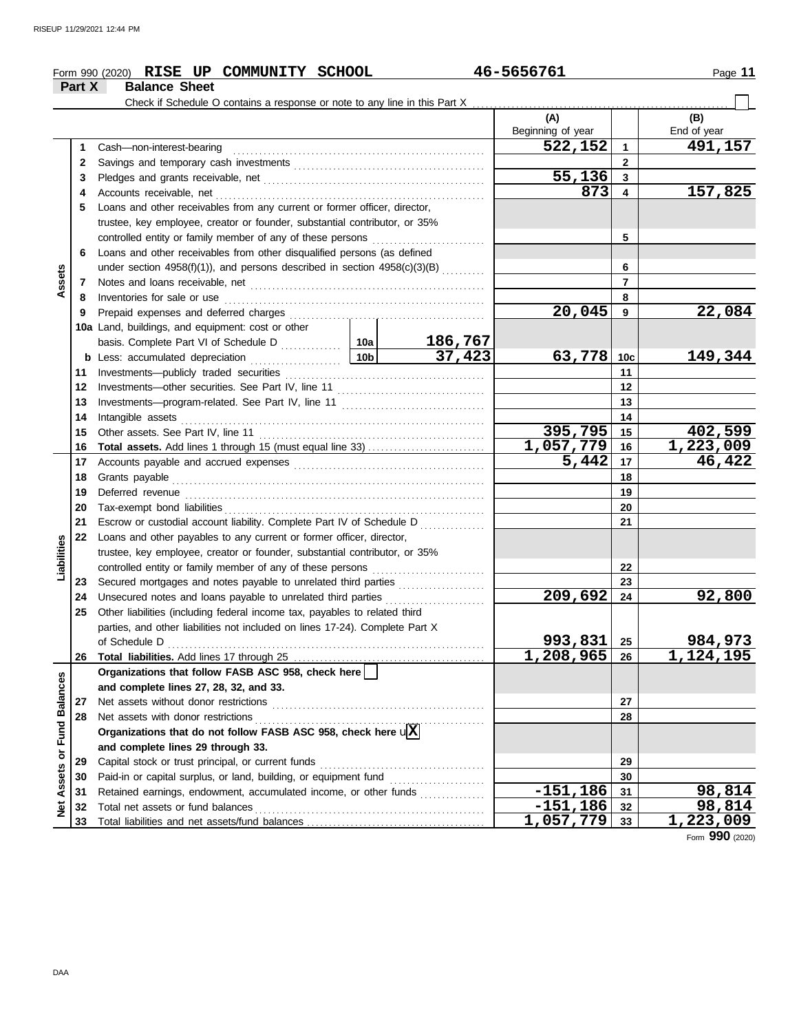|                                |          | Form 990 (2020) RISE UP COMMUNITY SCHOOL                                                                                                                  |                     | 46-5656761        |                | Page 11                |
|--------------------------------|----------|-----------------------------------------------------------------------------------------------------------------------------------------------------------|---------------------|-------------------|----------------|------------------------|
|                                | Part X   | <b>Balance Sheet</b>                                                                                                                                      |                     |                   |                |                        |
|                                |          |                                                                                                                                                           |                     |                   |                |                        |
|                                |          |                                                                                                                                                           |                     | (A)               |                | (B)                    |
|                                |          |                                                                                                                                                           |                     | Beginning of year |                | End of year            |
|                                | 1        | Cash-non-interest-bearing                                                                                                                                 |                     | 522,152           | $\mathbf{1}$   | 491,157                |
|                                | 2        |                                                                                                                                                           |                     | $\mathbf{2}$      |                |                        |
|                                | 3        |                                                                                                                                                           | 55,136              | $\mathbf{3}$      |                |                        |
|                                | 4        |                                                                                                                                                           |                     | 873               | 4              | 157,825                |
|                                | 5        | Loans and other receivables from any current or former officer, director,                                                                                 |                     |                   |                |                        |
|                                |          | trustee, key employee, creator or founder, substantial contributor, or 35%                                                                                |                     |                   |                |                        |
|                                | 6        | controlled entity or family member of any of these persons                                                                                                |                     |                   | 5              |                        |
|                                |          | Loans and other receivables from other disqualified persons (as defined                                                                                   |                     |                   | 6              |                        |
| Assets                         | 7        | under section 4958(f)(1)), and persons described in section $4958(c)(3)(B)$                                                                               |                     |                   | $\overline{7}$ |                        |
|                                | 8        |                                                                                                                                                           |                     |                   | 8              |                        |
|                                | 9        |                                                                                                                                                           |                     | 20,045            | 9              | 22,084                 |
|                                |          | 10a Land, buildings, and equipment: cost or other                                                                                                         |                     |                   |                |                        |
|                                |          |                                                                                                                                                           | 186,767             |                   |                |                        |
|                                |          |                                                                                                                                                           | $\overline{37,423}$ | 63,778 10c        |                | 149,344                |
|                                | 11       |                                                                                                                                                           |                     |                   | 11             |                        |
|                                | 12       |                                                                                                                                                           |                     |                   | $12 \,$        |                        |
|                                | 13       |                                                                                                                                                           |                     |                   | 13             |                        |
|                                | 14       |                                                                                                                                                           |                     |                   | 14             |                        |
|                                | 15       |                                                                                                                                                           | 395,795             | 15                | 402,599        |                        |
|                                | 16       |                                                                                                                                                           |                     | $1,057,779$ 16    |                | 1,223,009              |
|                                | 17       |                                                                                                                                                           | 5,442               | 17                | 46,422         |                        |
|                                | 18       |                                                                                                                                                           |                     |                   | 18             |                        |
|                                | 19       |                                                                                                                                                           |                     |                   | 19             |                        |
|                                | 20       |                                                                                                                                                           |                     |                   | 20             |                        |
|                                | 21       | Escrow or custodial account liability. Complete Part IV of Schedule D                                                                                     |                     |                   | 21             |                        |
|                                | 22       | Loans and other payables to any current or former officer, director,                                                                                      |                     |                   |                |                        |
| Liabilities                    |          | trustee, key employee, creator or founder, substantial contributor, or 35%                                                                                |                     |                   |                |                        |
|                                |          | controlled entity or family member of any of these persons                                                                                                |                     |                   | 22             |                        |
|                                | 23       | Secured mortgages and notes payable to unrelated third parties                                                                                            |                     |                   | 23             |                        |
|                                | 24       |                                                                                                                                                           |                     | 209,692           | 24             | 92,800                 |
|                                | 25       | Other liabilities (including federal income tax, payables to related third                                                                                |                     |                   |                |                        |
|                                |          | parties, and other liabilities not included on lines 17-24). Complete Part X                                                                              |                     |                   |                |                        |
|                                |          | of Schedule D                                                                                                                                             |                     | 993,831           | 25             | <u>984,973</u>         |
|                                | 26       |                                                                                                                                                           |                     | 1,208,965         | 26             | $\overline{1,124,195}$ |
|                                |          | Organizations that follow FASB ASC 958, check here                                                                                                        |                     |                   |                |                        |
|                                |          | and complete lines 27, 28, 32, and 33.                                                                                                                    |                     |                   |                |                        |
|                                | 27       | Net assets without donor restrictions                                                                                                                     |                     |                   | 27             |                        |
|                                | 28       | Net assets with donor restrictions<br>The assets with donor restrictions<br>Organizations that do not follow FASB ASC 958, check here $\sqrt{\mathbf{X}}$ |                     |                   | 28             |                        |
|                                |          | and complete lines 29 through 33.                                                                                                                         |                     |                   |                |                        |
|                                |          |                                                                                                                                                           |                     |                   |                |                        |
| <b>Assets or Fund Balances</b> | 29<br>30 | Paid-in or capital surplus, or land, building, or equipment fund                                                                                          |                     |                   | 29<br>30       |                        |
|                                | 31       | Retained earnings, endowment, accumulated income, or other funds                                                                                          |                     | $-151,186$        | 31             | 98,814                 |
|                                | 32       | Total net assets or fund balances                                                                                                                         |                     | $-151, 186$       | 32             | 98,814                 |
| <b>b</b><br>2                  | 33       |                                                                                                                                                           |                     | 1,057,779         | 33             | 1,223,009              |
|                                |          |                                                                                                                                                           |                     |                   |                | Form 990 (2020)        |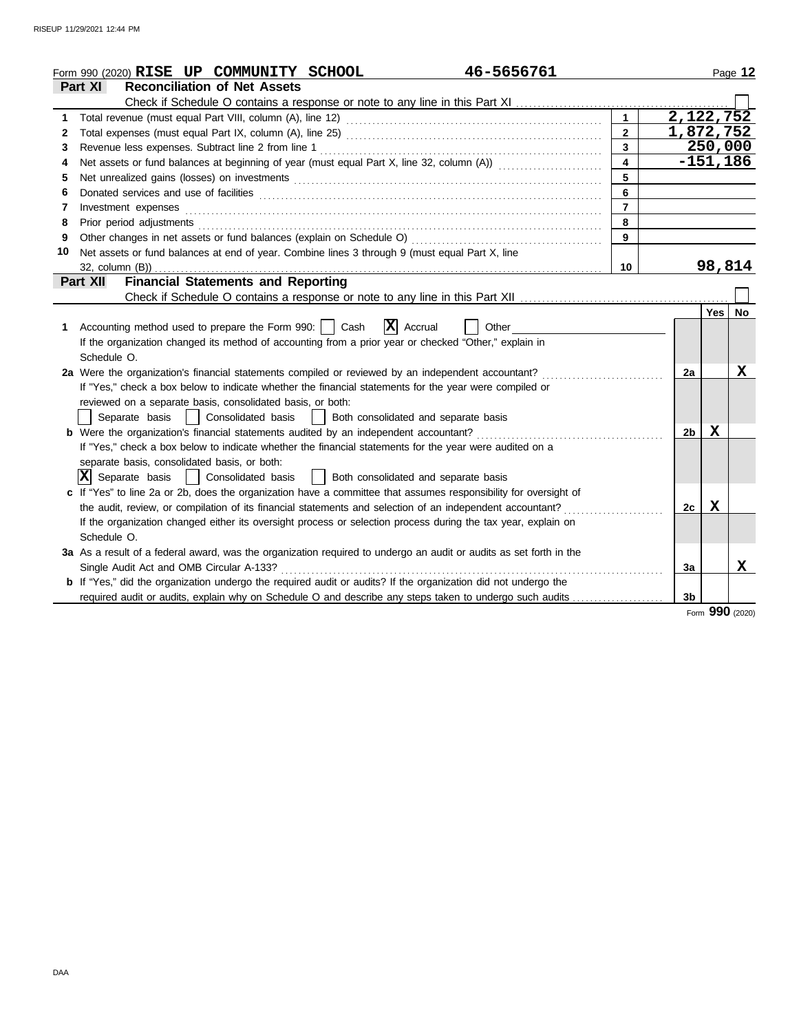|    | 46-5656761<br>Form 990 (2020) RISE UP COMMUNITY SCHOOL                                                                                                                                                                         |                         |                |             | Page 12   |
|----|--------------------------------------------------------------------------------------------------------------------------------------------------------------------------------------------------------------------------------|-------------------------|----------------|-------------|-----------|
|    | <b>Reconciliation of Net Assets</b><br>Part XI                                                                                                                                                                                 |                         |                |             |           |
|    |                                                                                                                                                                                                                                |                         |                |             |           |
| 1  |                                                                                                                                                                                                                                | $\mathbf{1}$            | 2,122,752      |             |           |
| 2  |                                                                                                                                                                                                                                | $\overline{2}$          | 1,872,752      |             |           |
| 3  | Revenue less expenses. Subtract line 2 from line 1                                                                                                                                                                             | $\overline{3}$          |                | 250,000     |           |
| 4  | Net assets or fund balances at beginning of year (must equal Part X, line 32, column (A))                                                                                                                                      | $\overline{\mathbf{4}}$ |                | $-151, 186$ |           |
| 5  | Net unrealized gains (losses) on investments [11] matter contracts and the state of the state of the state of the state of the state of the state of the state of the state of the state of the state of the state of the stat | 5                       |                |             |           |
| 6  |                                                                                                                                                                                                                                | 6                       |                |             |           |
| 7  | Investment expenses                                                                                                                                                                                                            | $\overline{7}$          |                |             |           |
| 8  | Prior period adjustments [11, 12] and the contract of the contract of the contract of the contract of the contract of the contract of the contract of the contract of the contract of the contract of the contract of the cont | 8                       |                |             |           |
| 9  |                                                                                                                                                                                                                                | $\overline{9}$          |                |             |           |
| 10 | Net assets or fund balances at end of year. Combine lines 3 through 9 (must equal Part X, line                                                                                                                                 |                         |                |             |           |
|    |                                                                                                                                                                                                                                | 10                      |                | 98,814      |           |
|    | <b>Financial Statements and Reporting</b><br><b>Part XII</b>                                                                                                                                                                   |                         |                |             |           |
|    |                                                                                                                                                                                                                                |                         |                |             |           |
|    |                                                                                                                                                                                                                                |                         |                | <b>Yes</b>  | <b>No</b> |
| 1  | $ \mathbf{X} $ Accrual<br>Accounting method used to prepare the Form 990:     Cash<br>Other                                                                                                                                    |                         |                |             |           |
|    | If the organization changed its method of accounting from a prior year or checked "Other," explain in                                                                                                                          |                         |                |             |           |
|    | Schedule O.                                                                                                                                                                                                                    |                         |                |             |           |
|    | 2a Were the organization's financial statements compiled or reviewed by an independent accountant?                                                                                                                             |                         | 2a             |             | x         |
|    | If "Yes," check a box below to indicate whether the financial statements for the year were compiled or                                                                                                                         |                         |                |             |           |
|    | reviewed on a separate basis, consolidated basis, or both:                                                                                                                                                                     |                         |                |             |           |
|    | Both consolidated and separate basis<br>Separate basis<br>  Consolidated basis                                                                                                                                                 |                         |                |             |           |
|    | <b>b</b> Were the organization's financial statements audited by an independent accountant?                                                                                                                                    |                         | 2b             | X           |           |
|    | If "Yes," check a box below to indicate whether the financial statements for the year were audited on a                                                                                                                        |                         |                |             |           |
|    | separate basis, consolidated basis, or both:                                                                                                                                                                                   |                         |                |             |           |
|    | $ \mathbf{X} $ Separate basis<br>  Consolidated basis<br>  Both consolidated and separate basis                                                                                                                                |                         |                |             |           |
|    | c If "Yes" to line 2a or 2b, does the organization have a committee that assumes responsibility for oversight of                                                                                                               |                         |                |             |           |
|    | the audit, review, or compilation of its financial statements and selection of an independent accountant?                                                                                                                      |                         | 2c             | $\mathbf x$ |           |
|    | If the organization changed either its oversight process or selection process during the tax year, explain on                                                                                                                  |                         |                |             |           |
|    | Schedule O.                                                                                                                                                                                                                    |                         |                |             |           |
|    | 3a As a result of a federal award, was the organization required to undergo an audit or audits as set forth in the                                                                                                             |                         |                |             |           |
|    |                                                                                                                                                                                                                                |                         | Зa             |             | x         |
|    | b If "Yes," did the organization undergo the required audit or audits? If the organization did not undergo the                                                                                                                 |                         |                |             |           |
|    | required audit or audits, explain why on Schedule O and describe any steps taken to undergo such audits                                                                                                                        |                         | 3 <sub>b</sub> |             |           |

Form **990** (2020)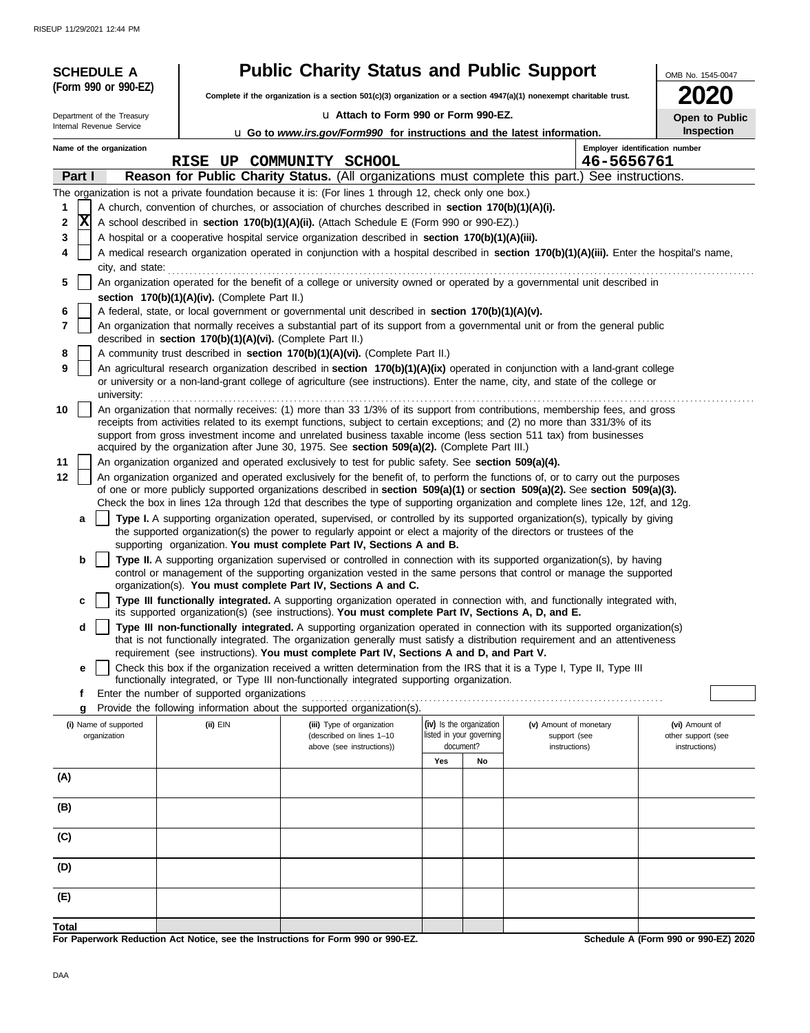| <b>SCHEDULE A</b>          |                                                            | <b>Public Charity Status and Public Support</b>                                                                                                                                                                                                                 |                                       |                                       |                               | OMB No. 1545-0047                   |  |  |
|----------------------------|------------------------------------------------------------|-----------------------------------------------------------------------------------------------------------------------------------------------------------------------------------------------------------------------------------------------------------------|---------------------------------------|---------------------------------------|-------------------------------|-------------------------------------|--|--|
| (Form 990 or 990-EZ)       |                                                            | Complete if the organization is a section $501(c)(3)$ organization or a section $4947(a)(1)$ nonexempt charitable trust.                                                                                                                                        |                                       |                                       |                               |                                     |  |  |
| Department of the Treasury |                                                            |                                                                                                                                                                                                                                                                 | La Attach to Form 990 or Form 990-EZ. |                                       |                               |                                     |  |  |
| Internal Revenue Service   |                                                            | u Go to www.irs.gov/Form990 for instructions and the latest information.                                                                                                                                                                                        |                                       |                                       |                               | Open to Public<br>Inspection        |  |  |
| Name of the organization   |                                                            |                                                                                                                                                                                                                                                                 |                                       |                                       |                               | Employer identification number      |  |  |
|                            |                                                            | RISE UP COMMUNITY SCHOOL                                                                                                                                                                                                                                        |                                       |                                       | 46-5656761                    |                                     |  |  |
| Part I                     |                                                            | Reason for Public Charity Status. (All organizations must complete this part.) See instructions.                                                                                                                                                                |                                       |                                       |                               |                                     |  |  |
|                            |                                                            | The organization is not a private foundation because it is: (For lines 1 through 12, check only one box.)                                                                                                                                                       |                                       |                                       |                               |                                     |  |  |
| 1                          |                                                            | A church, convention of churches, or association of churches described in section 170(b)(1)(A)(i).                                                                                                                                                              |                                       |                                       |                               |                                     |  |  |
| x<br>2                     |                                                            | A school described in section 170(b)(1)(A)(ii). (Attach Schedule E (Form 990 or 990-EZ).)                                                                                                                                                                       |                                       |                                       |                               |                                     |  |  |
| 3<br>4                     |                                                            | A hospital or a cooperative hospital service organization described in section 170(b)(1)(A)(iii).<br>A medical research organization operated in conjunction with a hospital described in section 170(b)(1)(A)(iii). Enter the hospital's name,                 |                                       |                                       |                               |                                     |  |  |
| city, and state:           |                                                            |                                                                                                                                                                                                                                                                 |                                       |                                       |                               |                                     |  |  |
| 5                          |                                                            | An organization operated for the benefit of a college or university owned or operated by a governmental unit described in                                                                                                                                       |                                       |                                       |                               |                                     |  |  |
|                            | section 170(b)(1)(A)(iv). (Complete Part II.)              |                                                                                                                                                                                                                                                                 |                                       |                                       |                               |                                     |  |  |
| 6                          |                                                            | A federal, state, or local government or governmental unit described in section 170(b)(1)(A)(v).                                                                                                                                                                |                                       |                                       |                               |                                     |  |  |
| 7                          | described in section 170(b)(1)(A)(vi). (Complete Part II.) | An organization that normally receives a substantial part of its support from a governmental unit or from the general public                                                                                                                                    |                                       |                                       |                               |                                     |  |  |
| 8                          |                                                            | A community trust described in section 170(b)(1)(A)(vi). (Complete Part II.)                                                                                                                                                                                    |                                       |                                       |                               |                                     |  |  |
| 9                          |                                                            | An agricultural research organization described in section 170(b)(1)(A)(ix) operated in conjunction with a land-grant college<br>or university or a non-land-grant college of agriculture (see instructions). Enter the name, city, and state of the college or |                                       |                                       |                               |                                     |  |  |
| university:                |                                                            |                                                                                                                                                                                                                                                                 |                                       |                                       |                               |                                     |  |  |
| 10                         |                                                            | An organization that normally receives: (1) more than 33 1/3% of its support from contributions, membership fees, and gross<br>receipts from activities related to its exempt functions, subject to certain exceptions; and (2) no more than 331/3% of its      |                                       |                                       |                               |                                     |  |  |
|                            |                                                            | support from gross investment income and unrelated business taxable income (less section 511 tax) from businesses                                                                                                                                               |                                       |                                       |                               |                                     |  |  |
|                            |                                                            | acquired by the organization after June 30, 1975. See section 509(a)(2). (Complete Part III.)                                                                                                                                                                   |                                       |                                       |                               |                                     |  |  |
| 11                         |                                                            | An organization organized and operated exclusively to test for public safety. See section 509(a)(4).                                                                                                                                                            |                                       |                                       |                               |                                     |  |  |
| 12                         |                                                            | An organization organized and operated exclusively for the benefit of, to perform the functions of, or to carry out the purposes<br>of one or more publicly supported organizations described in section 509(a)(1) or section 509(a)(2). See section 509(a)(3). |                                       |                                       |                               |                                     |  |  |
|                            |                                                            | Check the box in lines 12a through 12d that describes the type of supporting organization and complete lines 12e, 12f, and 12g.                                                                                                                                 |                                       |                                       |                               |                                     |  |  |
| a                          |                                                            | Type I. A supporting organization operated, supervised, or controlled by its supported organization(s), typically by giving                                                                                                                                     |                                       |                                       |                               |                                     |  |  |
|                            |                                                            | the supported organization(s) the power to regularly appoint or elect a majority of the directors or trustees of the                                                                                                                                            |                                       |                                       |                               |                                     |  |  |
| b                          |                                                            | supporting organization. You must complete Part IV, Sections A and B.<br>Type II. A supporting organization supervised or controlled in connection with its supported organization(s), by having                                                                |                                       |                                       |                               |                                     |  |  |
|                            |                                                            | control or management of the supporting organization vested in the same persons that control or manage the supported                                                                                                                                            |                                       |                                       |                               |                                     |  |  |
|                            |                                                            | organization(s). You must complete Part IV, Sections A and C.                                                                                                                                                                                                   |                                       |                                       |                               |                                     |  |  |
| c                          |                                                            | Type III functionally integrated. A supporting organization operated in connection with, and functionally integrated with,                                                                                                                                      |                                       |                                       |                               |                                     |  |  |
| d                          |                                                            | its supported organization(s) (see instructions). You must complete Part IV, Sections A, D, and E.<br>Type III non-functionally integrated. A supporting organization operated in connection with its supported organization(s)                                 |                                       |                                       |                               |                                     |  |  |
|                            |                                                            | that is not functionally integrated. The organization generally must satisfy a distribution requirement and an attentiveness                                                                                                                                    |                                       |                                       |                               |                                     |  |  |
|                            |                                                            | requirement (see instructions). You must complete Part IV, Sections A and D, and Part V.                                                                                                                                                                        |                                       |                                       |                               |                                     |  |  |
| е                          |                                                            | Check this box if the organization received a written determination from the IRS that it is a Type I, Type II, Type III<br>functionally integrated, or Type III non-functionally integrated supporting organization.                                            |                                       |                                       |                               |                                     |  |  |
| f                          | Enter the number of supported organizations                |                                                                                                                                                                                                                                                                 |                                       |                                       |                               |                                     |  |  |
| g                          |                                                            | Provide the following information about the supported organization(s).                                                                                                                                                                                          |                                       |                                       |                               |                                     |  |  |
| (i) Name of supported      | $(ii)$ EIN                                                 | (iii) Type of organization                                                                                                                                                                                                                                      |                                       | (iv) Is the organization              | (v) Amount of monetary        | (vi) Amount of                      |  |  |
| organization               |                                                            | (described on lines 1-10<br>above (see instructions))                                                                                                                                                                                                           |                                       | listed in your governing<br>document? | support (see<br>instructions) | other support (see<br>instructions) |  |  |
|                            |                                                            |                                                                                                                                                                                                                                                                 | Yes                                   | No                                    |                               |                                     |  |  |
| (A)                        |                                                            |                                                                                                                                                                                                                                                                 |                                       |                                       |                               |                                     |  |  |
|                            |                                                            |                                                                                                                                                                                                                                                                 |                                       |                                       |                               |                                     |  |  |
| (B)                        |                                                            |                                                                                                                                                                                                                                                                 |                                       |                                       |                               |                                     |  |  |
|                            |                                                            |                                                                                                                                                                                                                                                                 |                                       |                                       |                               |                                     |  |  |
| (C)                        |                                                            |                                                                                                                                                                                                                                                                 |                                       |                                       |                               |                                     |  |  |
| (D)                        |                                                            |                                                                                                                                                                                                                                                                 |                                       |                                       |                               |                                     |  |  |
|                            |                                                            |                                                                                                                                                                                                                                                                 |                                       |                                       |                               |                                     |  |  |
| (E)                        |                                                            |                                                                                                                                                                                                                                                                 |                                       |                                       |                               |                                     |  |  |
|                            |                                                            |                                                                                                                                                                                                                                                                 |                                       |                                       |                               |                                     |  |  |
| Total                      |                                                            |                                                                                                                                                                                                                                                                 |                                       |                                       |                               |                                     |  |  |

**For Paperwork Reduction Act Notice, see the Instructions for Form 990 or 990-EZ.**

**Schedule A (Form 990 or 990-EZ) 2020**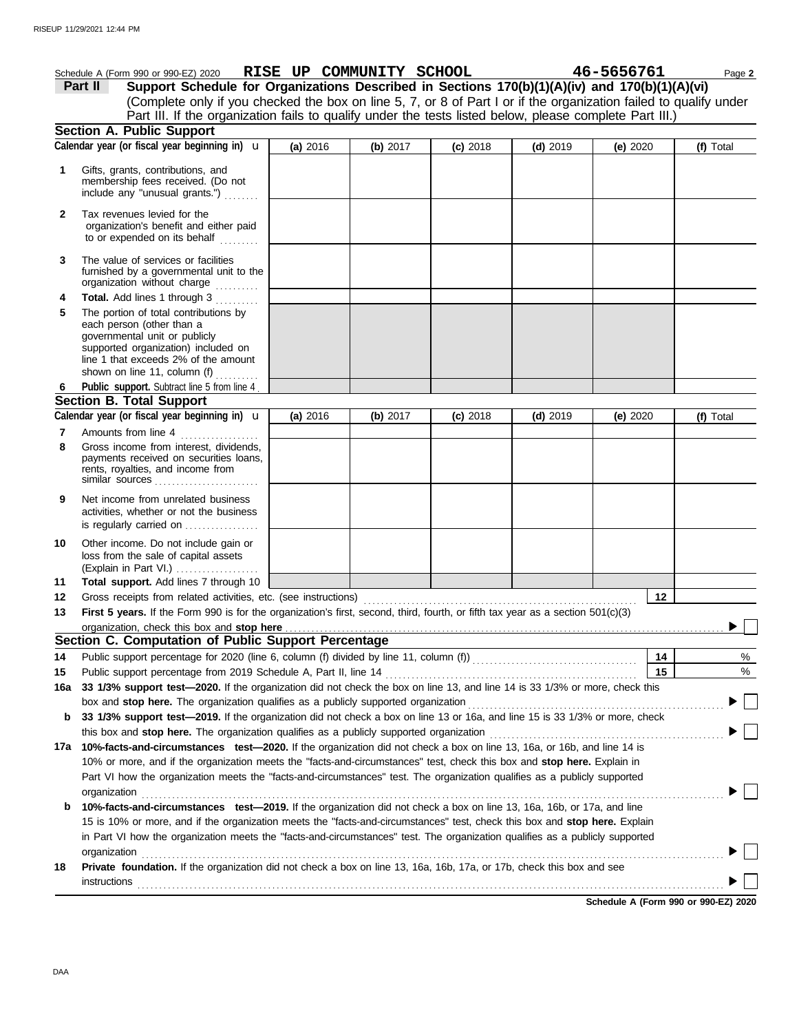|              | Schedule A (Form 990 or 990-EZ) 2020 RISE UP COMMUNITY SCHOOL                                                                                                                                                      |          |          |            |            | 46-5656761 | Page 2    |
|--------------|--------------------------------------------------------------------------------------------------------------------------------------------------------------------------------------------------------------------|----------|----------|------------|------------|------------|-----------|
|              | Support Schedule for Organizations Described in Sections 170(b)(1)(A)(iv) and 170(b)(1)(A)(vi)<br>Part II                                                                                                          |          |          |            |            |            |           |
|              | (Complete only if you checked the box on line 5, 7, or 8 of Part I or if the organization failed to qualify under                                                                                                  |          |          |            |            |            |           |
|              | Part III. If the organization fails to qualify under the tests listed below, please complete Part III.)                                                                                                            |          |          |            |            |            |           |
|              | Section A. Public Support                                                                                                                                                                                          |          |          |            |            |            |           |
|              | Calendar year (or fiscal year beginning in) $\mathbf u$                                                                                                                                                            | (a) 2016 | (b) 2017 | $(c)$ 2018 | $(d)$ 2019 | (e) $2020$ | (f) Total |
| 1            | Gifts, grants, contributions, and<br>membership fees received. (Do not<br>include any "unusual grants.")                                                                                                           |          |          |            |            |            |           |
| $\mathbf{2}$ | Tax revenues levied for the<br>organization's benefit and either paid<br>to or expended on its behalf                                                                                                              |          |          |            |            |            |           |
| 3            | The value of services or facilities<br>furnished by a governmental unit to the<br>organization without charge                                                                                                      |          |          |            |            |            |           |
| 4            | Total. Add lines 1 through 3                                                                                                                                                                                       |          |          |            |            |            |           |
| 5            | The portion of total contributions by<br>each person (other than a<br>governmental unit or publicly<br>supported organization) included on<br>line 1 that exceeds 2% of the amount<br>shown on line 11, column (f) |          |          |            |            |            |           |
| 6            | Public support. Subtract line 5 from line 4.                                                                                                                                                                       |          |          |            |            |            |           |
|              | <b>Section B. Total Support</b>                                                                                                                                                                                    |          |          |            |            |            |           |
|              | Calendar year (or fiscal year beginning in) $\mathbf u$                                                                                                                                                            | (a) 2016 | (b) 2017 | $(c)$ 2018 | $(d)$ 2019 | (e) 2020   | (f) Total |
| 7            | Amounts from line 4                                                                                                                                                                                                |          |          |            |            |            |           |
| 8            | Gross income from interest, dividends,<br>payments received on securities loans,<br>rents, royalties, and income from<br>similar sources                                                                           |          |          |            |            |            |           |
| 9            | Net income from unrelated business<br>activities, whether or not the business<br>is regularly carried on                                                                                                           |          |          |            |            |            |           |
| 10           | Other income. Do not include gain or<br>loss from the sale of capital assets<br>(Explain in Part VI.)                                                                                                              |          |          |            |            |            |           |
| 11           | Total support. Add lines 7 through 10                                                                                                                                                                              |          |          |            |            |            |           |
| 12           | Gross receipts from related activities, etc. (see instructions)                                                                                                                                                    |          |          |            |            | 12         |           |
| 13           | First 5 years. If the Form 990 is for the organization's first, second, third, fourth, or fifth tax year as a section 501(c)(3)                                                                                    |          |          |            |            |            |           |
|              | organization, check this box and stop here <i>community and acceptance of the content of the content of the state of</i>                                                                                           |          |          |            |            |            |           |
|              | Section C. Computation of Public Support Percentage                                                                                                                                                                |          |          |            |            |            |           |
| 14           | Public support percentage for 2020 (line 6, column (f) divided by line 11, column (f)) [[[[[[[[[[[[[[[[[[[[[[                                                                                                      |          |          |            |            | 14         | %         |
| 15           | Public support percentage from 2019 Schedule A, Part II, line 14                                                                                                                                                   |          |          |            |            | 15         | $\%$      |
| 16а          | 33 1/3% support test-2020. If the organization did not check the box on line 13, and line 14 is 33 1/3% or more, check this                                                                                        |          |          |            |            |            |           |
|              | box and stop here. The organization qualifies as a publicly supported organization                                                                                                                                 |          |          |            |            |            |           |
| b            | 33 1/3% support test-2019. If the organization did not check a box on line 13 or 16a, and line 15 is 33 1/3% or more, check                                                                                        |          |          |            |            |            |           |
|              | this box and stop here. The organization qualifies as a publicly supported organization                                                                                                                            |          |          |            |            |            |           |
|              | 17a 10%-facts-and-circumstances test-2020. If the organization did not check a box on line 13, 16a, or 16b, and line 14 is                                                                                         |          |          |            |            |            |           |
|              | 10% or more, and if the organization meets the "facts-and-circumstances" test, check this box and stop here. Explain in                                                                                            |          |          |            |            |            |           |
|              | Part VI how the organization meets the "facts-and-circumstances" test. The organization qualifies as a publicly supported<br>organization                                                                          |          |          |            |            |            |           |
| b            | 10%-facts-and-circumstances test-2019. If the organization did not check a box on line 13, 16a, 16b, or 17a, and line                                                                                              |          |          |            |            |            |           |
|              | 15 is 10% or more, and if the organization meets the "facts-and-circumstances" test, check this box and stop here. Explain                                                                                         |          |          |            |            |            |           |
|              | in Part VI how the organization meets the "facts-and-circumstances" test. The organization qualifies as a publicly supported                                                                                       |          |          |            |            |            |           |
|              | organization                                                                                                                                                                                                       |          |          |            |            |            |           |
| 18           | Private foundation. If the organization did not check a box on line 13, 16a, 16b, 17a, or 17b, check this box and see                                                                                              |          |          |            |            |            |           |
|              | instructions                                                                                                                                                                                                       |          |          |            |            |            |           |
|              |                                                                                                                                                                                                                    |          |          |            |            |            |           |

**Schedule A (Form 990 or 990-EZ) 2020**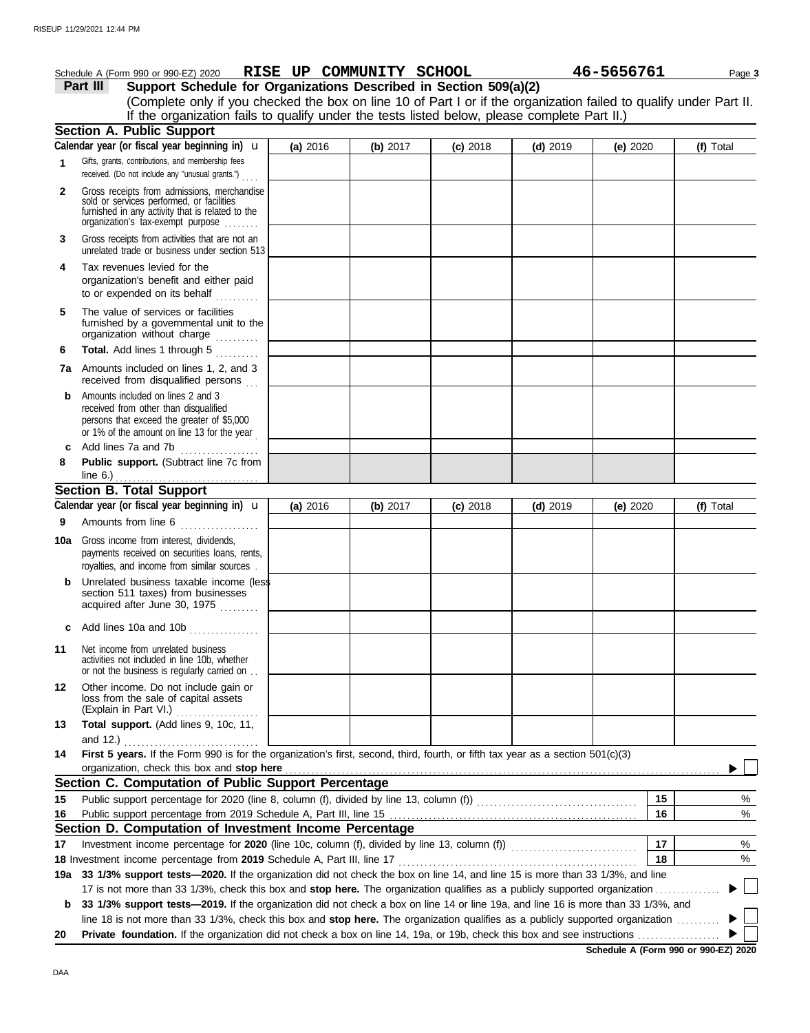|              | Schedule A (Form 990 or 990-EZ) 2020 RISE UP COMMUNITY SCHOOL                                                                                                                     |          |          |            |            | 46-5656761 |    | Page 3    |
|--------------|-----------------------------------------------------------------------------------------------------------------------------------------------------------------------------------|----------|----------|------------|------------|------------|----|-----------|
|              | Support Schedule for Organizations Described in Section 509(a)(2)<br>Part III                                                                                                     |          |          |            |            |            |    |           |
|              | (Complete only if you checked the box on line 10 of Part I or if the organization failed to qualify under Part II.                                                                |          |          |            |            |            |    |           |
|              | If the organization fails to qualify under the tests listed below, please complete Part II.)                                                                                      |          |          |            |            |            |    |           |
|              | <b>Section A. Public Support</b>                                                                                                                                                  |          |          |            |            |            |    |           |
|              | Calendar year (or fiscal year beginning in) $\mathbf u$                                                                                                                           | (a) 2016 | (b) 2017 | $(c)$ 2018 | $(d)$ 2019 | (e) $2020$ |    | (f) Total |
| 1            | Gifts, grants, contributions, and membership fees<br>received. (Do not include any "unusual grants.")                                                                             |          |          |            |            |            |    |           |
| $\mathbf{2}$ | Gross receipts from admissions, merchandise<br>sold or services performed, or facilities<br>furnished in any activity that is related to the<br>organization's tax-exempt purpose |          |          |            |            |            |    |           |
| 3            | Gross receipts from activities that are not an<br>unrelated trade or business under section 513                                                                                   |          |          |            |            |            |    |           |
| 4            | Tax revenues levied for the<br>organization's benefit and either paid<br>to or expended on its behalf                                                                             |          |          |            |            |            |    |           |
| 5            | The value of services or facilities<br>furnished by a governmental unit to the<br>organization without charge                                                                     |          |          |            |            |            |    |           |
| 6            | Total. Add lines 1 through 5                                                                                                                                                      |          |          |            |            |            |    |           |
|              | 7a Amounts included on lines 1, 2, and 3<br>received from disqualified persons                                                                                                    |          |          |            |            |            |    |           |
| b            | Amounts included on lines 2 and 3<br>received from other than disqualified<br>persons that exceed the greater of \$5,000<br>or 1% of the amount on line 13 for the year           |          |          |            |            |            |    |           |
| c            | Add lines 7a and 7b<br>.                                                                                                                                                          |          |          |            |            |            |    |           |
| 8            | Public support. (Subtract line 7c from                                                                                                                                            |          |          |            |            |            |    |           |
|              | <b>Section B. Total Support</b>                                                                                                                                                   |          |          |            |            |            |    |           |
|              | Calendar year (or fiscal year beginning in) <b>u</b>                                                                                                                              | (a) 2016 | (b) 2017 | $(c)$ 2018 | $(d)$ 2019 | (e) $2020$ |    | (f) Total |
| 9            | Amounts from line 6                                                                                                                                                               |          |          |            |            |            |    |           |
|              | <b>10a</b> Gross income from interest, dividends,<br>payments received on securities loans, rents,<br>royalties, and income from similar sources.                                 |          |          |            |            |            |    |           |
|              | Unrelated business taxable income (less<br>section 511 taxes) from businesses<br>acquired after June 30, 1975                                                                     |          |          |            |            |            |    |           |
|              | c Add lines 10a and 10b $\ldots$                                                                                                                                                  |          |          |            |            |            |    |           |
| 11           | Net income from unrelated business<br>activities not included in line 10b, whether<br>or not the business is regularly carried on.                                                |          |          |            |            |            |    |           |
| 12           | Other income. Do not include gain or<br>loss from the sale of capital assets<br>(Explain in Part VI.)                                                                             |          |          |            |            |            |    |           |
| 13           | Total support. (Add lines 9, 10c, 11,<br>and 12.)                                                                                                                                 |          |          |            |            |            |    |           |
| 14           | First 5 years. If the Form 990 is for the organization's first, second, third, fourth, or fifth tax year as a section 501(c)(3)<br>organization, check this box and stop here     |          |          |            |            |            |    |           |
|              | Section C. Computation of Public Support Percentage                                                                                                                               |          |          |            |            |            |    |           |
| 15           |                                                                                                                                                                                   |          |          |            |            |            | 15 | %         |
| 16           |                                                                                                                                                                                   |          |          |            |            |            | 16 | %         |
|              | Section D. Computation of Investment Income Percentage                                                                                                                            |          |          |            |            |            |    |           |
| 17           |                                                                                                                                                                                   |          |          |            |            |            | 17 | %         |
|              |                                                                                                                                                                                   |          |          |            |            |            | 18 | %         |
|              | 19a 33 1/3% support tests—2020. If the organization did not check the box on line 14, and line 15 is more than 33 1/3%, and line                                                  |          |          |            |            |            |    |           |
|              | 17 is not more than 33 1/3%, check this box and stop here. The organization qualifies as a publicly supported organization                                                        |          |          |            |            |            |    |           |
| b            | 33 1/3% support tests—2019. If the organization did not check a box on line 14 or line 19a, and line 16 is more than 33 1/3%, and                                                 |          |          |            |            |            |    |           |
| 20           | line 18 is not more than 33 1/3%, check this box and stop here. The organization qualifies as a publicly supported organization                                                   |          |          |            |            |            |    |           |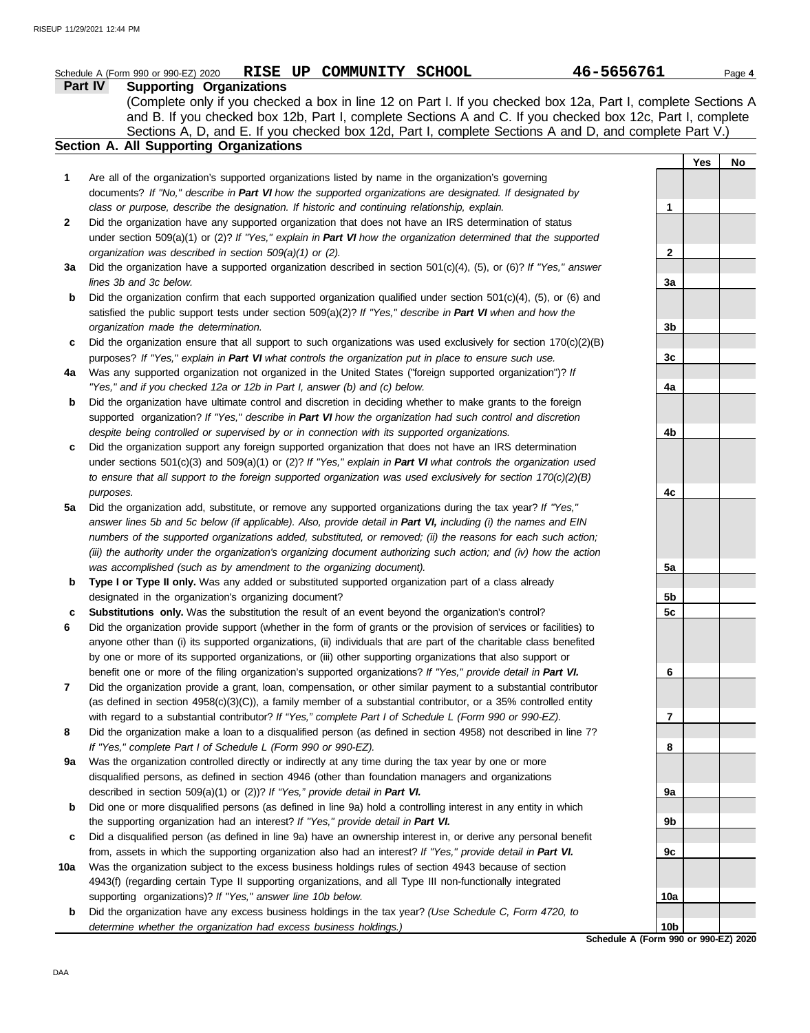|     | 46-5656761<br>Schedule A (Form 990 or 990-EZ) 2020 RISE UP COMMUNITY SCHOOL                                                                                                                                                  |                |            | Page 4 |
|-----|------------------------------------------------------------------------------------------------------------------------------------------------------------------------------------------------------------------------------|----------------|------------|--------|
|     | Part IV<br><b>Supporting Organizations</b>                                                                                                                                                                                   |                |            |        |
|     | (Complete only if you checked a box in line 12 on Part I. If you checked box 12a, Part I, complete Sections A                                                                                                                |                |            |        |
|     | and B. If you checked box 12b, Part I, complete Sections A and C. If you checked box 12c, Part I, complete                                                                                                                   |                |            |        |
|     | Sections A, D, and E. If you checked box 12d, Part I, complete Sections A and D, and complete Part V.)                                                                                                                       |                |            |        |
|     | Section A. All Supporting Organizations                                                                                                                                                                                      |                |            |        |
|     |                                                                                                                                                                                                                              |                | <b>Yes</b> | No     |
| 1   | Are all of the organization's supported organizations listed by name in the organization's governing                                                                                                                         |                |            |        |
|     | documents? If "No," describe in Part VI how the supported organizations are designated. If designated by                                                                                                                     |                |            |        |
|     | class or purpose, describe the designation. If historic and continuing relationship, explain.                                                                                                                                | 1              |            |        |
| 2   | Did the organization have any supported organization that does not have an IRS determination of status                                                                                                                       |                |            |        |
|     | under section 509(a)(1) or (2)? If "Yes," explain in Part VI how the organization determined that the supported                                                                                                              |                |            |        |
|     | organization was described in section 509(a)(1) or (2).                                                                                                                                                                      | 2              |            |        |
| За  | Did the organization have a supported organization described in section $501(c)(4)$ , (5), or (6)? If "Yes," answer                                                                                                          |                |            |        |
|     | lines 3b and 3c below.                                                                                                                                                                                                       | 3a             |            |        |
| b   | Did the organization confirm that each supported organization qualified under section $501(c)(4)$ , (5), or (6) and                                                                                                          |                |            |        |
|     | satisfied the public support tests under section 509(a)(2)? If "Yes," describe in Part VI when and how the                                                                                                                   |                |            |        |
|     | organization made the determination.                                                                                                                                                                                         | 3b             |            |        |
| c   | Did the organization ensure that all support to such organizations was used exclusively for section $170(c)(2)(B)$                                                                                                           |                |            |        |
|     | purposes? If "Yes," explain in Part VI what controls the organization put in place to ensure such use.                                                                                                                       | 3c             |            |        |
| 4a  | Was any supported organization not organized in the United States ("foreign supported organization")? If                                                                                                                     |                |            |        |
|     | "Yes," and if you checked 12a or 12b in Part I, answer (b) and (c) below.                                                                                                                                                    | 4a             |            |        |
| b   | Did the organization have ultimate control and discretion in deciding whether to make grants to the foreign                                                                                                                  |                |            |        |
|     | supported organization? If "Yes," describe in Part VI how the organization had such control and discretion                                                                                                                   |                |            |        |
|     | despite being controlled or supervised by or in connection with its supported organizations.                                                                                                                                 | 4b             |            |        |
| c   | Did the organization support any foreign supported organization that does not have an IRS determination                                                                                                                      |                |            |        |
|     | under sections $501(c)(3)$ and $509(a)(1)$ or (2)? If "Yes," explain in Part VI what controls the organization used                                                                                                          |                |            |        |
|     | to ensure that all support to the foreign supported organization was used exclusively for section $170(c)(2)(B)$                                                                                                             |                |            |        |
|     | purposes.                                                                                                                                                                                                                    | 4c             |            |        |
| 5а  | Did the organization add, substitute, or remove any supported organizations during the tax year? If "Yes,"<br>answer lines 5b and 5c below (if applicable). Also, provide detail in Part VI, including (i) the names and EIN |                |            |        |
|     | numbers of the supported organizations added, substituted, or removed; (ii) the reasons for each such action;                                                                                                                |                |            |        |
|     |                                                                                                                                                                                                                              |                |            |        |
|     | (iii) the authority under the organization's organizing document authorizing such action; and (iv) how the action<br>was accomplished (such as by amendment to the organizing document).                                     | 5a             |            |        |
| b   | Type I or Type II only. Was any added or substituted supported organization part of a class already                                                                                                                          |                |            |        |
|     | designated in the organization's organizing document?                                                                                                                                                                        | 5b             |            |        |
|     | Substitutions only. Was the substitution the result of an event beyond the organization's control?                                                                                                                           | 5c             |            |        |
|     | Did the organization provide support (whether in the form of grants or the provision of services or facilities) to                                                                                                           |                |            |        |
|     | anyone other than (i) its supported organizations, (ii) individuals that are part of the charitable class benefited                                                                                                          |                |            |        |
|     | by one or more of its supported organizations, or (iii) other supporting organizations that also support or                                                                                                                  |                |            |        |
|     | benefit one or more of the filing organization's supported organizations? If "Yes," provide detail in Part VI.                                                                                                               | 6              |            |        |
| 7   | Did the organization provide a grant, loan, compensation, or other similar payment to a substantial contributor                                                                                                              |                |            |        |
|     | (as defined in section $4958(c)(3)(C)$ ), a family member of a substantial contributor, or a 35% controlled entity                                                                                                           |                |            |        |
|     | with regard to a substantial contributor? If "Yes," complete Part I of Schedule L (Form 990 or 990-EZ).                                                                                                                      | $\overline{7}$ |            |        |
| 8   | Did the organization make a loan to a disqualified person (as defined in section 4958) not described in line 7?                                                                                                              |                |            |        |
|     | If "Yes," complete Part I of Schedule L (Form 990 or 990-EZ).                                                                                                                                                                | 8              |            |        |
| 9a  | Was the organization controlled directly or indirectly at any time during the tax year by one or more                                                                                                                        |                |            |        |
|     | disqualified persons, as defined in section 4946 (other than foundation managers and organizations                                                                                                                           |                |            |        |
|     | described in section 509(a)(1) or (2))? If "Yes," provide detail in Part VI.                                                                                                                                                 | 9a             |            |        |
| b   | Did one or more disqualified persons (as defined in line 9a) hold a controlling interest in any entity in which                                                                                                              |                |            |        |
|     | the supporting organization had an interest? If "Yes," provide detail in Part VI.                                                                                                                                            | 9b             |            |        |
| c   | Did a disqualified person (as defined in line 9a) have an ownership interest in, or derive any personal benefit                                                                                                              |                |            |        |
|     | from, assets in which the supporting organization also had an interest? If "Yes," provide detail in Part VI.                                                                                                                 | 9c             |            |        |
| 10a | Was the organization subject to the excess business holdings rules of section 4943 because of section                                                                                                                        |                |            |        |
|     | 4943(f) (regarding certain Type II supporting organizations, and all Type III non-functionally integrated                                                                                                                    |                |            |        |
|     | supporting organizations)? If "Yes," answer line 10b below.                                                                                                                                                                  | 10a            |            |        |
| b   | Did the organization have any excess business holdings in the tax year? (Use Schedule C, Form 4720, to                                                                                                                       |                |            |        |

**Schedule A (Form 990 or 990-EZ) 2020 10b**

*determine whether the organization had excess business holdings.)*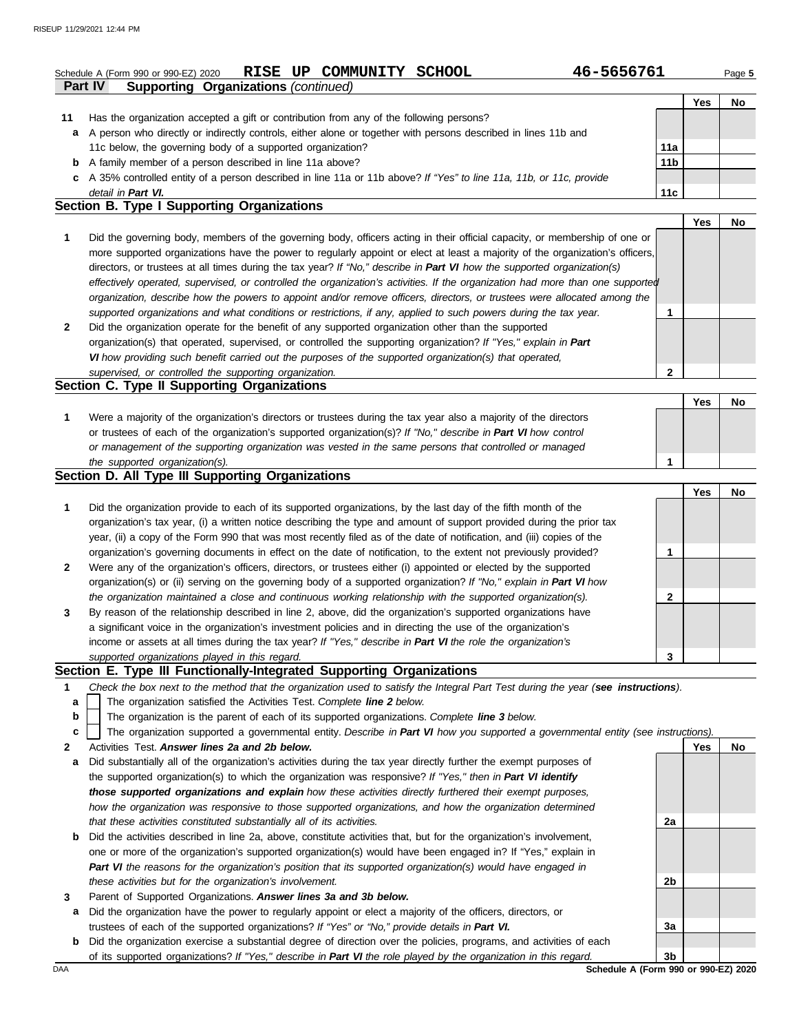## **Part IV Supporting Organizations** *(continued)* **Schedule A (Form 990 or 990-EZ) 2020 RISE UP COMMUNITY SCHOOL 46-5656761** Page 5

|     |                                                                                                                      |                 | 'es | No |
|-----|----------------------------------------------------------------------------------------------------------------------|-----------------|-----|----|
| 11  | Has the organization accepted a gift or contribution from any of the following persons?                              |                 |     |    |
| a   | A person who directly or indirectly controls, either alone or together with persons described in lines 11b and       |                 |     |    |
|     | 11c below, the governing body of a supported organization?                                                           | 11a             |     |    |
|     | <b>b</b> A family member of a person described in line 11a above?                                                    | 11 <sub>b</sub> |     |    |
|     | c A 35% controlled entity of a person described in line 11a or 11b above? If "Yes" to line 11a, 11b, or 11c, provide |                 |     |    |
|     | detail in Part VI.                                                                                                   | 11c             |     |    |
| - - | .                                                                                                                    |                 |     |    |

### **2 1** *supported organizations and what conditions or restrictions, if any, applied to such powers during the tax year. organization, describe how the powers to appoint and/or remove officers, directors, or trustees were allocated among the effectively operated, supervised, or controlled the organization's activities. If the organization had more than one supported* directors, or trustees at all times during the tax year? *If "No," describe in Part VI how the supported organization(s)* more supported organizations have the power to regularly appoint or elect at least a majority of the organization's officers, **Section B. Type I Supporting Organizations** Did the governing body, members of the governing body, officers acting in their official capacity, or membership of one or Did the organization operate for the benefit of any supported organization other than the supported organization(s) that operated, supervised, or controlled the supporting organization? *If "Yes," explain in Part VI how providing such benefit carried out the purposes of the supported organization(s) that operated, supervised, or controlled the supporting organization.* **Section C. Type II Supporting Organizations 2 1 Yes No**

| Were a majority of the organization's directors or trustees during the tax year also a majority of the directors |  |  |
|------------------------------------------------------------------------------------------------------------------|--|--|
| or trustees of each of the organization's supported organization(s)? If "No," describe in Part VI how control    |  |  |
| or management of the supporting organization was vested in the same persons that controlled or managed           |  |  |
| the supported organization(s).                                                                                   |  |  |

### **Section D. All Type III Supporting Organizations**

|              |                                                                                                                        | Yes | No |
|--------------|------------------------------------------------------------------------------------------------------------------------|-----|----|
|              | Did the organization provide to each of its supported organizations, by the last day of the fifth month of the         |     |    |
|              | organization's tax year, (i) a written notice describing the type and amount of support provided during the prior tax  |     |    |
|              | year, (ii) a copy of the Form 990 that was most recently filed as of the date of notification, and (iii) copies of the |     |    |
|              | organization's governing documents in effect on the date of notification, to the extent not previously provided?       |     |    |
| $\mathbf{2}$ | Were any of the organization's officers, directors, or trustees either (i) appointed or elected by the supported       |     |    |
|              | organization(s) or (ii) serving on the governing body of a supported organization? If "No," explain in Part VI how     |     |    |
|              | the organization maintained a close and continuous working relationship with the supported organization(s).            |     |    |
| 3            | By reason of the relationship described in line 2, above, did the organization's supported organizations have          |     |    |
|              | a significant voice in the organization's investment policies and in directing the use of the organization's           |     |    |
|              | income or assets at all times during the tax year? If "Yes," describe in Part VI the role the organization's           |     |    |
|              | supported organizations played in this regard.                                                                         |     |    |

## **Section E. Type III Functionally-Integrated Supporting Organizations**

- **1** *Check the box next to the method that the organization used to satisfy the Integral Part Test during the year (see instructions).*
	- The organization satisfied the Activities Test. *Complete line 2 below.* **a**
	- The organization is the parent of each of its supported organizations. *Complete line 3 below.* **b**
	- The organization supported a governmental entity. *Describe in Part VI how you supported a governmental entity (see instructions).* **c**
- **2** Activities Test. *Answer lines 2a and 2b below.*
- **a** Did substantially all of the organization's activities during the tax year directly further the exempt purposes of the supported organization(s) to which the organization was responsive? *If "Yes," then in Part VI identify those supported organizations and explain how these activities directly furthered their exempt purposes, how the organization was responsive to those supported organizations, and how the organization determined that these activities constituted substantially all of its activities.*
- **b** Did the activities described in line 2a, above, constitute activities that, but for the organization's involvement, one or more of the organization's supported organization(s) would have been engaged in? If "Yes," explain in *Part VI the reasons for the organization's position that its supported organization(s) would have engaged in these activities but for the organization's involvement.*
- **3** Parent of Supported Organizations. *Answer lines 3a and 3b below.*
- **a** Did the organization have the power to regularly appoint or elect a majority of the officers, directors, or trustees of each of the supported organizations? *If "Yes" or "No," provide details in Part VI.*
- **b** Did the organization exercise a substantial degree of direction over the policies, programs, and activities of each of its supported organizations? *If "Yes," describe in Part VI the role played by the organization in this regard.*

**Yes No 2a 2b 3a 3b**

DAA **Schedule A (Form 990 or 990-EZ) 2020**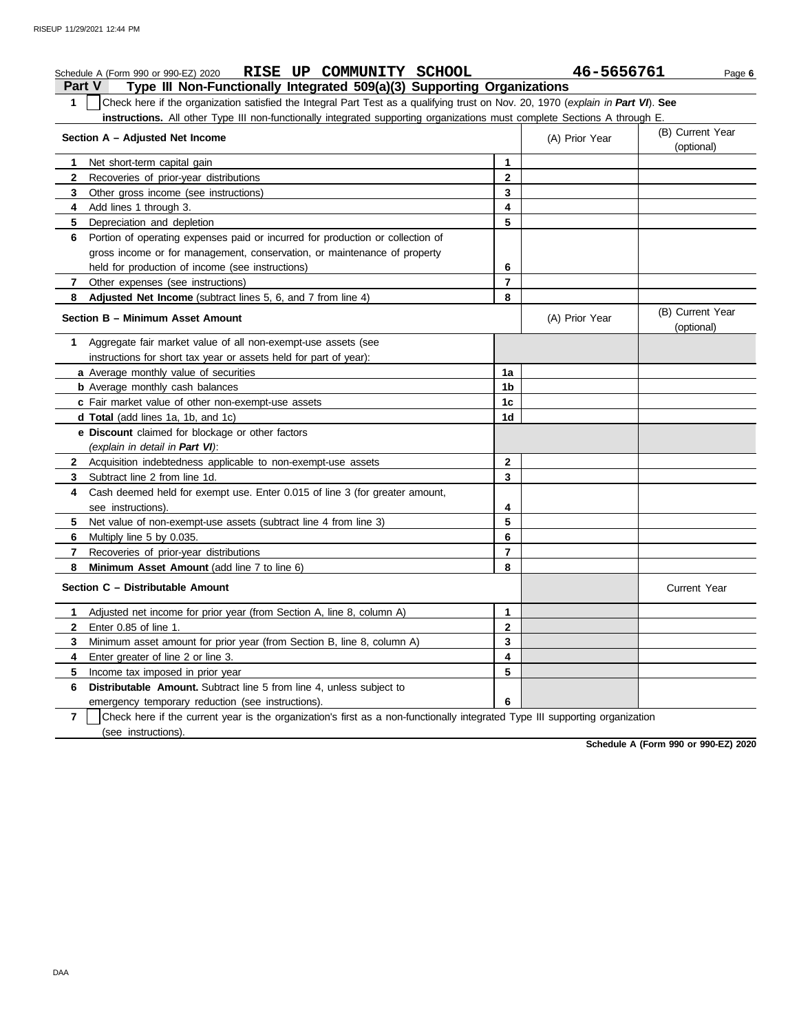### **Part V Type III Non-Functionally Integrated 509(a)(3) Supporting Organizations Schedule A (Form 990 or 990-EZ) 2020 RISE UP COMMUNITY SCHOOL 46-5656761** Page 6 **1** Check here if the organization satisfied the Integral Part Test as a qualifying trust on Nov. 20, 1970 (*explain in Part VI*). **See instructions.** All other Type III non-functionally integrated supporting organizations must complete Sections A through E. **1** Net short-term capital gain **2 3 4** Add lines 1 through 3. **5** Depreciation and depletion **6** Portion of operating expenses paid or incurred for production or collection of **7 8 Adjusted Net Income** (subtract lines 5, 6, and 7 from line 4) **1** Aggregate fair market value of all non-exempt-use assets (see **Section A – Adjusted Net Income** Recoveries of prior-year distributions Other gross income (see instructions) gross income or for management, conservation, or maintenance of property held for production of income (see instructions) Other expenses (see instructions) **Section B – Minimum Asset Amount** instructions for short tax year or assets held for part of year): **a** Average monthly value of securities **b** Average monthly cash balances **c** Fair market value of other non-exempt-use assets **d Total** (add lines 1a, 1b, and 1c) **e Discount** claimed for blockage or other factors *(explain in detail in Part VI)*: **8 Minimum Asset Amount** (add line 7 to line 6) **7 6** Multiply line 5 by 0.035. **5 4** Cash deemed held for exempt use. Enter 0.015 of line 3 (for greater amount, **3** Subtract line 2 from line 1d. **2** Acquisition indebtedness applicable to non-exempt-use assets see instructions). Net value of non-exempt-use assets (subtract line 4 from line 3) Recoveries of prior-year distributions **Section C – Distributable Amount 6 Distributable Amount.** Subtract line 5 from line 4, unless subject to **5** Income tax imposed in prior year **4** Enter greater of line 2 or line 3. **3 2** Enter 0.85 of line 1. **1** Adjusted net income for prior year (from Section A, line 8, column A) Minimum asset amount for prior year (from Section B, line 8, column A) emergency temporary reduction (see instructions). **8 7 6 5 4 3 2 1** (A) Prior Year (B) Current Year (optional) (optional) (B) Current Year (A) Prior Year **1a 1b 1c 1d 2 3 4 5 6 7 8 3 2 1 6 5 4** Current Year

**7** (see instructions). Check here if the current year is the organization's first as a non-functionally integrated Type III supporting organization

**Schedule A (Form 990 or 990-EZ) 2020**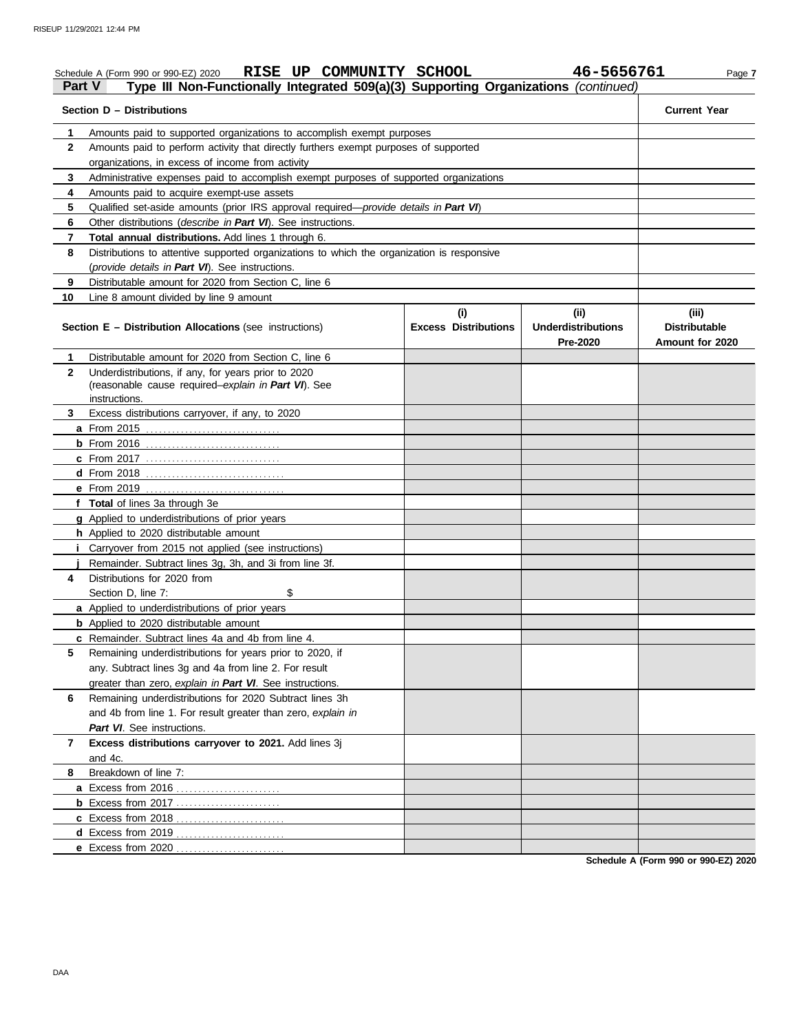| Part V       | RISE UP COMMUNITY SCHOOL<br>Schedule A (Form 990 or 990-EZ) 2020<br>Type III Non-Functionally Integrated 509(a)(3) Supporting Organizations (continued) |                             | 46-5656761                            | Page 7                                  |
|--------------|---------------------------------------------------------------------------------------------------------------------------------------------------------|-----------------------------|---------------------------------------|-----------------------------------------|
|              | Section D - Distributions                                                                                                                               |                             |                                       | <b>Current Year</b>                     |
| 1.           | Amounts paid to supported organizations to accomplish exempt purposes                                                                                   |                             |                                       |                                         |
| $\mathbf{2}$ | Amounts paid to perform activity that directly furthers exempt purposes of supported                                                                    |                             |                                       |                                         |
|              | organizations, in excess of income from activity                                                                                                        |                             |                                       |                                         |
| 3            | Administrative expenses paid to accomplish exempt purposes of supported organizations                                                                   |                             |                                       |                                         |
| 4            | Amounts paid to acquire exempt-use assets                                                                                                               |                             |                                       |                                         |
| 5            | Qualified set-aside amounts (prior IRS approval required-provide details in Part VI)                                                                    |                             |                                       |                                         |
| 6            | Other distributions (describe in Part VI). See instructions.                                                                                            |                             |                                       |                                         |
| 7            | Total annual distributions. Add lines 1 through 6.                                                                                                      |                             |                                       |                                         |
| 8            | Distributions to attentive supported organizations to which the organization is responsive                                                              |                             |                                       |                                         |
|              | (provide details in Part VI). See instructions.                                                                                                         |                             |                                       |                                         |
| 9            | Distributable amount for 2020 from Section C, line 6                                                                                                    |                             |                                       |                                         |
| 10           | Line 8 amount divided by line 9 amount                                                                                                                  |                             |                                       |                                         |
|              |                                                                                                                                                         | (i)                         | (ii)                                  | (iii)                                   |
|              | <b>Section E - Distribution Allocations (see instructions)</b>                                                                                          | <b>Excess Distributions</b> | <b>Underdistributions</b><br>Pre-2020 | <b>Distributable</b><br>Amount for 2020 |
| 1            | Distributable amount for 2020 from Section C. line 6                                                                                                    |                             |                                       |                                         |
| $\mathbf{2}$ | Underdistributions, if any, for years prior to 2020                                                                                                     |                             |                                       |                                         |
|              | (reasonable cause required-explain in Part VI). See                                                                                                     |                             |                                       |                                         |
|              | instructions.                                                                                                                                           |                             |                                       |                                         |
| 3.           | Excess distributions carryover, if any, to 2020                                                                                                         |                             |                                       |                                         |
|              |                                                                                                                                                         |                             |                                       |                                         |
|              |                                                                                                                                                         |                             |                                       |                                         |
|              | <b>c</b> From 2017                                                                                                                                      |                             |                                       |                                         |
|              |                                                                                                                                                         |                             |                                       |                                         |
|              |                                                                                                                                                         |                             |                                       |                                         |
|              | f Total of lines 3a through 3e                                                                                                                          |                             |                                       |                                         |
|              | g Applied to underdistributions of prior years                                                                                                          |                             |                                       |                                         |
|              | h Applied to 2020 distributable amount                                                                                                                  |                             |                                       |                                         |
|              | <i>i</i> Carryover from 2015 not applied (see instructions)                                                                                             |                             |                                       |                                         |
|              | Remainder. Subtract lines 3g, 3h, and 3i from line 3f.                                                                                                  |                             |                                       |                                         |
| 4            | Distributions for 2020 from                                                                                                                             |                             |                                       |                                         |
|              | \$<br>Section D, line 7:                                                                                                                                |                             |                                       |                                         |
|              | a Applied to underdistributions of prior years                                                                                                          |                             |                                       |                                         |
|              | <b>b</b> Applied to 2020 distributable amount                                                                                                           |                             |                                       |                                         |
|              | <b>c</b> Remainder. Subtract lines 4a and 4b from line 4.                                                                                               |                             |                                       |                                         |
| 5            | Remaining underdistributions for years prior to 2020, if                                                                                                |                             |                                       |                                         |
|              | any. Subtract lines 3g and 4a from line 2. For result                                                                                                   |                             |                                       |                                         |
|              | greater than zero, explain in Part VI. See instructions.                                                                                                |                             |                                       |                                         |
| 6            | Remaining underdistributions for 2020 Subtract lines 3h                                                                                                 |                             |                                       |                                         |
|              | and 4b from line 1. For result greater than zero, explain in                                                                                            |                             |                                       |                                         |
|              | Part VI. See instructions.                                                                                                                              |                             |                                       |                                         |
| 7            | Excess distributions carryover to 2021. Add lines 3j<br>and 4c.                                                                                         |                             |                                       |                                         |
| 8            | Breakdown of line 7:                                                                                                                                    |                             |                                       |                                         |
|              |                                                                                                                                                         |                             |                                       |                                         |
|              |                                                                                                                                                         |                             |                                       |                                         |
|              |                                                                                                                                                         |                             |                                       |                                         |
|              | d Excess from 2019                                                                                                                                      |                             |                                       |                                         |
|              | e Excess from 2020                                                                                                                                      |                             |                                       |                                         |

**Schedule A (Form 990 or 990-EZ) 2020**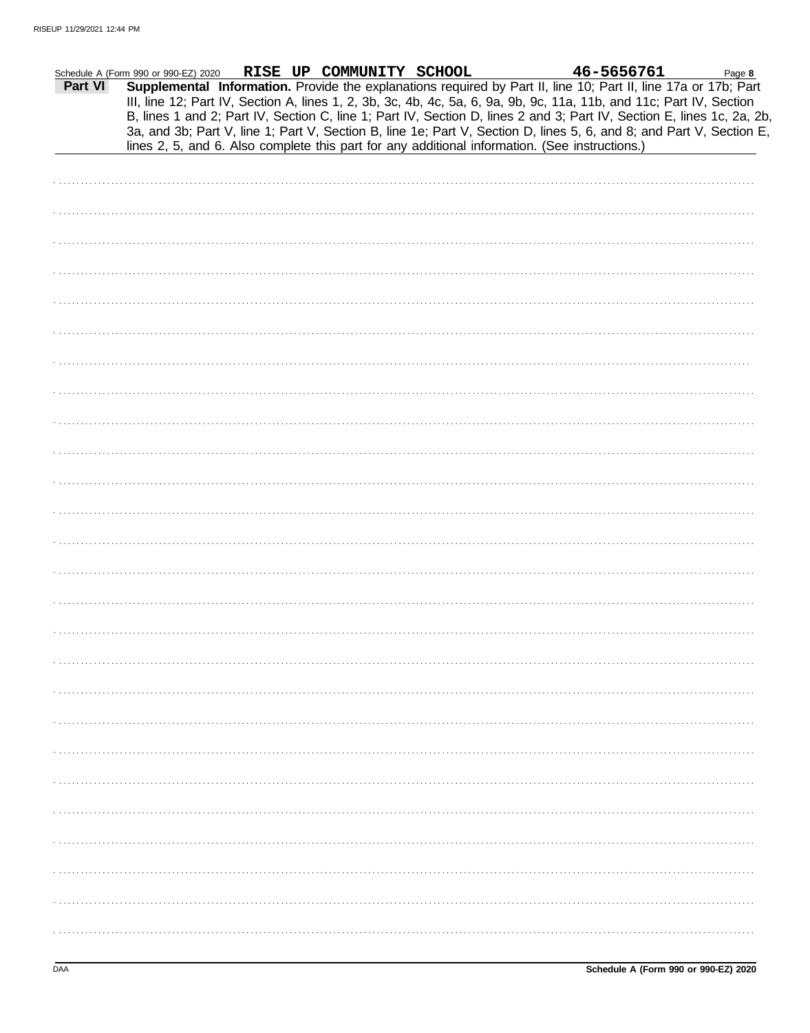|         | Schedule A (Form 990 or 990-EZ) 2020 | RISE UP COMMUNITY SCHOOL | 46-5656761                                                                                                                                                                                                                                                                                                                                                                                                                                                                                                                                                                                  | Page 8 |
|---------|--------------------------------------|--------------------------|---------------------------------------------------------------------------------------------------------------------------------------------------------------------------------------------------------------------------------------------------------------------------------------------------------------------------------------------------------------------------------------------------------------------------------------------------------------------------------------------------------------------------------------------------------------------------------------------|--------|
| Part VI |                                      |                          | Supplemental Information. Provide the explanations required by Part II, line 10; Part II, line 17a or 17b; Part<br>III, line 12; Part IV, Section A, lines 1, 2, 3b, 3c, 4b, 4c, 5a, 6, 9a, 9b, 9c, 11a, 11b, and 11c; Part IV, Section<br>B, lines 1 and 2; Part IV, Section C, line 1; Part IV, Section D, lines 2 and 3; Part IV, Section E, lines 1c, 2a, 2b,<br>3a, and 3b; Part V, line 1; Part V, Section B, line 1e; Part V, Section D, lines 5, 6, and 8; and Part V, Section E,<br>lines 2, 5, and 6. Also complete this part for any additional information. (See instructions.) |        |
|         |                                      |                          |                                                                                                                                                                                                                                                                                                                                                                                                                                                                                                                                                                                             |        |
|         |                                      |                          |                                                                                                                                                                                                                                                                                                                                                                                                                                                                                                                                                                                             |        |
|         |                                      |                          |                                                                                                                                                                                                                                                                                                                                                                                                                                                                                                                                                                                             |        |
|         |                                      |                          |                                                                                                                                                                                                                                                                                                                                                                                                                                                                                                                                                                                             |        |
|         |                                      |                          |                                                                                                                                                                                                                                                                                                                                                                                                                                                                                                                                                                                             |        |
|         |                                      |                          |                                                                                                                                                                                                                                                                                                                                                                                                                                                                                                                                                                                             |        |
|         |                                      |                          |                                                                                                                                                                                                                                                                                                                                                                                                                                                                                                                                                                                             |        |
|         |                                      |                          |                                                                                                                                                                                                                                                                                                                                                                                                                                                                                                                                                                                             |        |
|         |                                      |                          |                                                                                                                                                                                                                                                                                                                                                                                                                                                                                                                                                                                             |        |
|         |                                      |                          |                                                                                                                                                                                                                                                                                                                                                                                                                                                                                                                                                                                             |        |
|         |                                      |                          |                                                                                                                                                                                                                                                                                                                                                                                                                                                                                                                                                                                             |        |
|         |                                      |                          |                                                                                                                                                                                                                                                                                                                                                                                                                                                                                                                                                                                             |        |
|         |                                      |                          |                                                                                                                                                                                                                                                                                                                                                                                                                                                                                                                                                                                             |        |
|         |                                      |                          |                                                                                                                                                                                                                                                                                                                                                                                                                                                                                                                                                                                             |        |
|         |                                      |                          |                                                                                                                                                                                                                                                                                                                                                                                                                                                                                                                                                                                             |        |
|         |                                      |                          |                                                                                                                                                                                                                                                                                                                                                                                                                                                                                                                                                                                             |        |
|         |                                      |                          |                                                                                                                                                                                                                                                                                                                                                                                                                                                                                                                                                                                             |        |
|         |                                      |                          |                                                                                                                                                                                                                                                                                                                                                                                                                                                                                                                                                                                             |        |
|         |                                      |                          |                                                                                                                                                                                                                                                                                                                                                                                                                                                                                                                                                                                             |        |
|         |                                      |                          |                                                                                                                                                                                                                                                                                                                                                                                                                                                                                                                                                                                             |        |
|         |                                      |                          |                                                                                                                                                                                                                                                                                                                                                                                                                                                                                                                                                                                             |        |
|         |                                      |                          |                                                                                                                                                                                                                                                                                                                                                                                                                                                                                                                                                                                             |        |
|         |                                      |                          |                                                                                                                                                                                                                                                                                                                                                                                                                                                                                                                                                                                             |        |
|         |                                      |                          |                                                                                                                                                                                                                                                                                                                                                                                                                                                                                                                                                                                             |        |
|         |                                      |                          |                                                                                                                                                                                                                                                                                                                                                                                                                                                                                                                                                                                             |        |
|         |                                      |                          |                                                                                                                                                                                                                                                                                                                                                                                                                                                                                                                                                                                             |        |
|         |                                      |                          |                                                                                                                                                                                                                                                                                                                                                                                                                                                                                                                                                                                             |        |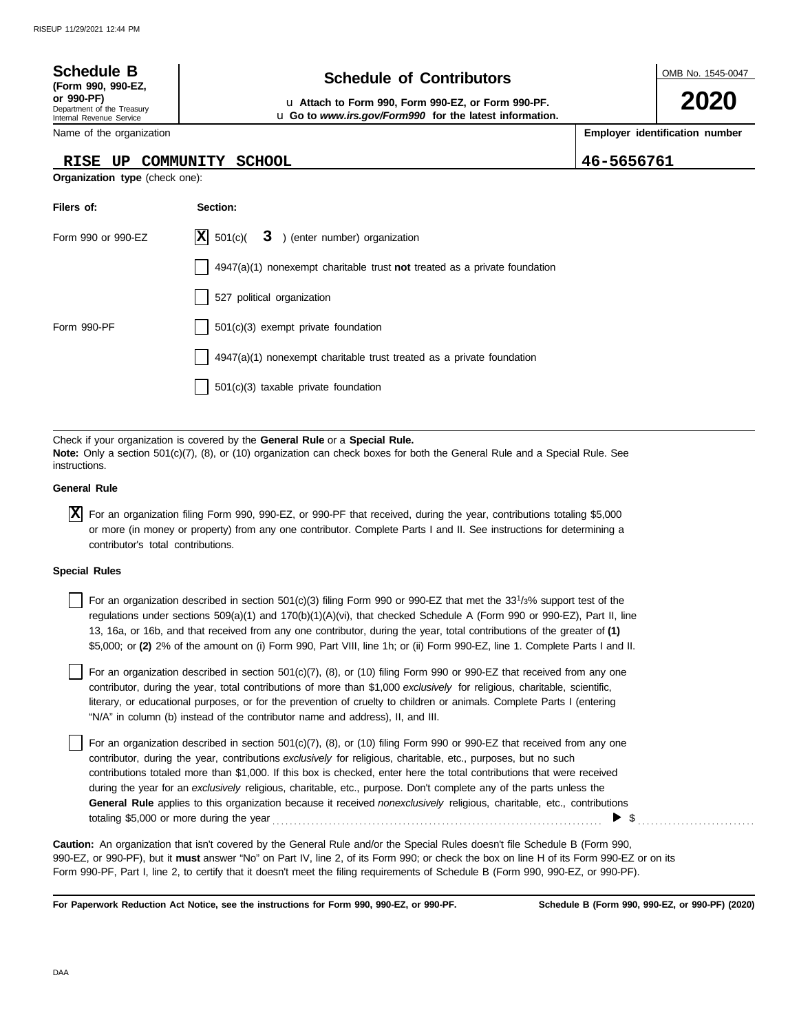| <b>Schedule B</b><br>(Form 990, 990-EZ,<br>or 990-PF)<br>Department of the Treasury<br>Internal Revenue Service | OMB No. 1545-0047<br>2020                         |            |  |  |  |  |  |
|-----------------------------------------------------------------------------------------------------------------|---------------------------------------------------|------------|--|--|--|--|--|
| Employer identification number<br>Name of the organization                                                      |                                                   |            |  |  |  |  |  |
| <b>RISE</b><br>UP<br>Organization type (check one):                                                             | <b>SCHOOL</b><br>COMMUNITY                        | 46-5656761 |  |  |  |  |  |
| Filers of:<br>Section:                                                                                          |                                                   |            |  |  |  |  |  |
| Form 990 or 990-EZ                                                                                              | X <br>3.<br>(enter number) organization<br>501(c) |            |  |  |  |  |  |

|             | 4947(a)(1) nonexempt charitable trust not treated as a private foundation |
|-------------|---------------------------------------------------------------------------|
|             | 527 political organization                                                |
| Form 990-PF | 501(c)(3) exempt private foundation                                       |
|             | 4947(a)(1) nonexempt charitable trust treated as a private foundation     |
|             | 501(c)(3) taxable private foundation                                      |
|             |                                                                           |

Check if your organization is covered by the **General Rule** or a **Special Rule. Note:** Only a section 501(c)(7), (8), or (10) organization can check boxes for both the General Rule and a Special Rule. See instructions.

## **General Rule**

For an organization filing Form 990, 990-EZ, or 990-PF that received, during the year, contributions totaling \$5,000 **X** or more (in money or property) from any one contributor. Complete Parts I and II. See instructions for determining a contributor's total contributions.

### **Special Rules**

For an organization described in section 501(c)(3) filing Form 990 or 990-EZ that met the  $33^{1/3\%}$  support test of the regulations under sections 509(a)(1) and 170(b)(1)(A)(vi), that checked Schedule A (Form 990 or 990-EZ), Part II, line 13, 16a, or 16b, and that received from any one contributor, during the year, total contributions of the greater of **(1)** \$5,000; or **(2)** 2% of the amount on (i) Form 990, Part VIII, line 1h; or (ii) Form 990-EZ, line 1. Complete Parts I and II.

literary, or educational purposes, or for the prevention of cruelty to children or animals. Complete Parts I (entering For an organization described in section 501(c)(7), (8), or (10) filing Form 990 or 990-EZ that received from any one contributor, during the year, total contributions of more than \$1,000 *exclusively* for religious, charitable, scientific, "N/A" in column (b) instead of the contributor name and address), II, and III.

For an organization described in section 501(c)(7), (8), or (10) filing Form 990 or 990-EZ that received from any one contributor, during the year, contributions *exclusively* for religious, charitable, etc., purposes, but no such contributions totaled more than \$1,000. If this box is checked, enter here the total contributions that were received during the year for an *exclusively* religious, charitable, etc., purpose. Don't complete any of the parts unless the **General Rule** applies to this organization because it received *nonexclusively* religious, charitable, etc., contributions totaling \$5,000 or more during the year . . . . . . . . . . . . . . . . . . . . . . . . . . . . . . . . . . . . . . . . . . . . . . . . . . . . . . . . . . . . . . . . . . . . . . . . . . . .  $\triangleright$  \$

990-EZ, or 990-PF), but it **must** answer "No" on Part IV, line 2, of its Form 990; or check the box on line H of its Form 990-EZ or on its Form 990-PF, Part I, line 2, to certify that it doesn't meet the filing requirements of Schedule B (Form 990, 990-EZ, or 990-PF). **Caution:** An organization that isn't covered by the General Rule and/or the Special Rules doesn't file Schedule B (Form 990,

**For Paperwork Reduction Act Notice, see the instructions for Form 990, 990-EZ, or 990-PF.**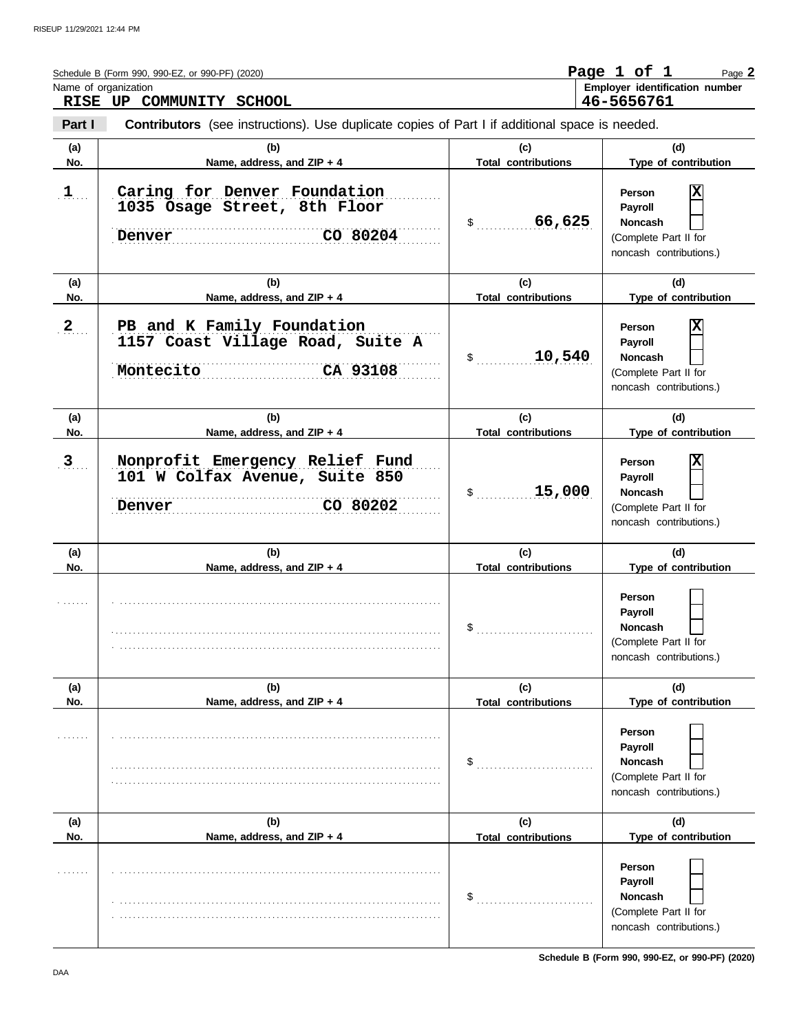|               | Schedule B (Form 990, 990-EZ, or 990-PF) (2020)                                                       |                                   | Page 1 of 1<br>Page 2                                                                          |
|---------------|-------------------------------------------------------------------------------------------------------|-----------------------------------|------------------------------------------------------------------------------------------------|
|               | Name of organization<br>RISE UP COMMUNITY SCHOOL                                                      |                                   | Employer identification number<br>46-5656761                                                   |
| Part I        | <b>Contributors</b> (see instructions). Use duplicate copies of Part I if additional space is needed. |                                   |                                                                                                |
| (a)<br>No.    | (b)<br>Name, address, and ZIP + 4                                                                     | (c)<br><b>Total contributions</b> | (d)<br>Type of contribution                                                                    |
| 1             | Caring for Denver Foundation<br>1035 Osage Street, 8th Floor<br>CO 80204<br>Denver                    | $$3$ 66,625                       | X<br>Person<br>Payroll<br><b>Noncash</b><br>(Complete Part II for<br>noncash contributions.)   |
| (a)<br>No.    | (b)<br>Name, address, and ZIP + 4                                                                     | (c)<br><b>Total contributions</b> | (d)<br>Type of contribution                                                                    |
| 2             | PB and K Family Foundation<br>1157 Coast Village Road, Suite A<br>CA 93108<br>Montecito               | 10,540<br>$\mathsf{\$}$           | X<br>Person<br>Payroll<br><b>Noncash</b><br>(Complete Part II for<br>noncash contributions.)   |
| (a)<br>No.    | (b)<br>Name, address, and ZIP + 4                                                                     | (c)<br><b>Total contributions</b> | (d)<br>Type of contribution                                                                    |
| $\frac{3}{2}$ | Nonprofit Emergency Relief Fund<br>101 W Colfax Avenue, Suite 850<br>CO 80202<br>Denver               | 15,000<br>$\$\ldots$              | x<br>Person<br>Payroll<br><b>Noncash</b><br>(Complete Part II for<br>noncash contributions.)   |
| (a)<br>No.    | (b)<br>Name, address, and ZIP + 4                                                                     | (c)<br><b>Total contributions</b> | (d)<br>Type of contribution                                                                    |
|               |                                                                                                       | \$                                | Person<br><b>Payroll</b><br><b>Noncash</b><br>(Complete Part II for<br>noncash contributions.) |
| (a)<br>No.    | (b)<br>Name, address, and ZIP + 4                                                                     | (c)<br><b>Total contributions</b> | (d)<br>Type of contribution                                                                    |
|               |                                                                                                       | \$                                | Person<br>Payroll<br><b>Noncash</b><br>(Complete Part II for<br>noncash contributions.)        |
| (a)<br>No.    | (b)<br>Name, address, and ZIP + 4                                                                     | (c)<br><b>Total contributions</b> | (d)<br>Type of contribution                                                                    |
|               |                                                                                                       | \$                                | Person<br><b>Payroll</b><br><b>Noncash</b><br>(Complete Part II for<br>noncash contributions.) |

**Schedule B (Form 990, 990-EZ, or 990-PF) (2020)**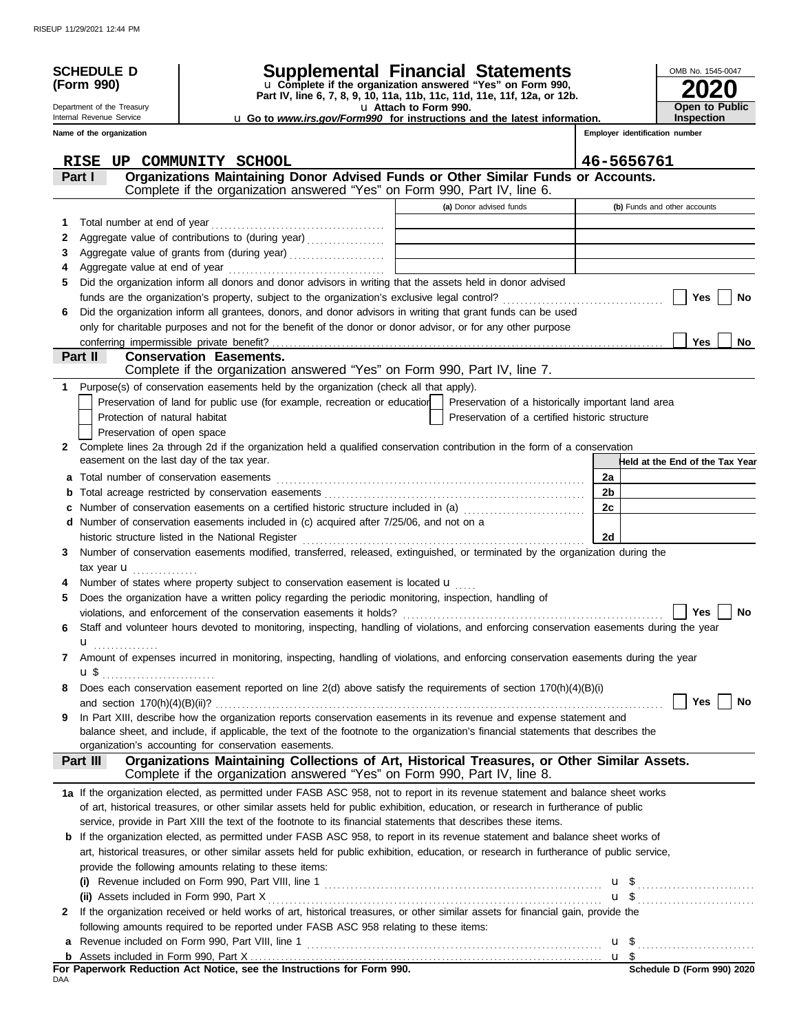|    | <b>SCHEDULE D</b>                         | Supplemental Financial Statements<br>u Complete if the organization answered "Yes" on Form 990,                                                                                            |                       |                                                    |                                | OMB No. 1545-0047               |
|----|-------------------------------------------|--------------------------------------------------------------------------------------------------------------------------------------------------------------------------------------------|-----------------------|----------------------------------------------------|--------------------------------|---------------------------------|
|    | (Form 990)                                | Part IV, line 6, 7, 8, 9, 10, 11a, 11b, 11c, 11d, 11e, 11f, 12a, or 12b.                                                                                                                   |                       |                                                    |                                |                                 |
|    | Department of the Treasury                |                                                                                                                                                                                            | u Attach to Form 990. |                                                    |                                | <b>Open to Public</b>           |
|    | Internal Revenue Service                  | u Go to www.irs.gov/Form990 for instructions and the latest information.                                                                                                                   |                       |                                                    |                                | Inspection                      |
|    | Name of the organization                  |                                                                                                                                                                                            |                       |                                                    | Employer identification number |                                 |
|    | <b>RISE</b>                               | UP COMMUNITY SCHOOL                                                                                                                                                                        |                       |                                                    | 46-5656761                     |                                 |
|    | Part I                                    | Organizations Maintaining Donor Advised Funds or Other Similar Funds or Accounts.                                                                                                          |                       |                                                    |                                |                                 |
|    |                                           | Complete if the organization answered "Yes" on Form 990, Part IV, line 6.                                                                                                                  |                       |                                                    |                                |                                 |
|    |                                           |                                                                                                                                                                                            |                       | (a) Donor advised funds                            |                                | (b) Funds and other accounts    |
| 1  |                                           |                                                                                                                                                                                            |                       |                                                    |                                |                                 |
| 2  |                                           | Aggregate value of contributions to (during year)                                                                                                                                          |                       |                                                    |                                |                                 |
| 3  |                                           |                                                                                                                                                                                            |                       |                                                    |                                |                                 |
| 4  |                                           |                                                                                                                                                                                            |                       |                                                    |                                |                                 |
| 5  |                                           | Did the organization inform all donors and donor advisors in writing that the assets held in donor advised                                                                                 |                       |                                                    |                                |                                 |
|    |                                           |                                                                                                                                                                                            |                       |                                                    |                                | Yes<br>No                       |
| 6  |                                           | Did the organization inform all grantees, donors, and donor advisors in writing that grant funds can be used                                                                               |                       |                                                    |                                |                                 |
|    |                                           | only for charitable purposes and not for the benefit of the donor or donor advisor, or for any other purpose                                                                               |                       |                                                    |                                |                                 |
|    | Part II                                   | <b>Conservation Easements.</b>                                                                                                                                                             |                       |                                                    |                                | <b>Yes</b><br>No.               |
|    |                                           | Complete if the organization answered "Yes" on Form 990, Part IV, line 7.                                                                                                                  |                       |                                                    |                                |                                 |
| 1. |                                           | Purpose(s) of conservation easements held by the organization (check all that apply).                                                                                                      |                       |                                                    |                                |                                 |
|    |                                           | Preservation of land for public use (for example, recreation or education                                                                                                                  |                       | Preservation of a historically important land area |                                |                                 |
|    | Protection of natural habitat             |                                                                                                                                                                                            |                       | Preservation of a certified historic structure     |                                |                                 |
|    | Preservation of open space                |                                                                                                                                                                                            |                       |                                                    |                                |                                 |
| 2  |                                           | Complete lines 2a through 2d if the organization held a qualified conservation contribution in the form of a conservation                                                                  |                       |                                                    |                                |                                 |
|    | easement on the last day of the tax year. |                                                                                                                                                                                            |                       |                                                    |                                | Held at the End of the Tax Year |
| a  |                                           |                                                                                                                                                                                            |                       |                                                    | 2a                             |                                 |
| b  |                                           |                                                                                                                                                                                            |                       |                                                    | 2b                             |                                 |
| C  |                                           | Number of conservation easements on a certified historic structure included in (a) [11] Number of conservation easements on a certified historic structure included in (a)                 |                       |                                                    | 2c                             |                                 |
| d  |                                           | Number of conservation easements included in (c) acquired after 7/25/06, and not on a                                                                                                      |                       |                                                    |                                |                                 |
|    |                                           |                                                                                                                                                                                            |                       |                                                    | 2d                             |                                 |
| 3  |                                           | Number of conservation easements modified, transferred, released, extinguished, or terminated by the organization during the                                                               |                       |                                                    |                                |                                 |
|    | tax year $\mathbf{u}$                     |                                                                                                                                                                                            |                       |                                                    |                                |                                 |
|    |                                           | Number of states where property subject to conservation easement is located u                                                                                                              |                       |                                                    |                                |                                 |
| 5  |                                           | Does the organization have a written policy regarding the periodic monitoring, inspection, handling of                                                                                     |                       |                                                    |                                |                                 |
|    |                                           | violations, and enforcement of the conservation easements it holds?                                                                                                                        |                       |                                                    |                                | Yes<br>No                       |
| 6  |                                           | Staff and volunteer hours devoted to monitoring, inspecting, handling of violations, and enforcing conservation easements during the year                                                  |                       |                                                    |                                |                                 |
|    | $\mathbf{u}$                              |                                                                                                                                                                                            |                       |                                                    |                                |                                 |
| 7  |                                           | Amount of expenses incurred in monitoring, inspecting, handling of violations, and enforcing conservation easements during the year                                                        |                       |                                                    |                                |                                 |
|    |                                           |                                                                                                                                                                                            |                       |                                                    |                                |                                 |
| 8  |                                           | Does each conservation easement reported on line 2(d) above satisfy the requirements of section 170(h)(4)(B)(i)                                                                            |                       |                                                    |                                |                                 |
|    |                                           |                                                                                                                                                                                            |                       |                                                    |                                | Yes<br>No                       |
| 9  |                                           | In Part XIII, describe how the organization reports conservation easements in its revenue and expense statement and                                                                        |                       |                                                    |                                |                                 |
|    |                                           | balance sheet, and include, if applicable, the text of the footnote to the organization's financial statements that describes the<br>organization's accounting for conservation easements. |                       |                                                    |                                |                                 |
|    | Part III                                  | Organizations Maintaining Collections of Art, Historical Treasures, or Other Similar Assets.                                                                                               |                       |                                                    |                                |                                 |
|    |                                           | Complete if the organization answered "Yes" on Form 990, Part IV, line 8.                                                                                                                  |                       |                                                    |                                |                                 |
|    |                                           | 1a If the organization elected, as permitted under FASB ASC 958, not to report in its revenue statement and balance sheet works                                                            |                       |                                                    |                                |                                 |
|    |                                           | of art, historical treasures, or other similar assets held for public exhibition, education, or research in furtherance of public                                                          |                       |                                                    |                                |                                 |
|    |                                           | service, provide in Part XIII the text of the footnote to its financial statements that describes these items.                                                                             |                       |                                                    |                                |                                 |
|    |                                           | <b>b</b> If the organization elected, as permitted under FASB ASC 958, to report in its revenue statement and balance sheet works of                                                       |                       |                                                    |                                |                                 |
|    |                                           | art, historical treasures, or other similar assets held for public exhibition, education, or research in furtherance of public service,                                                    |                       |                                                    |                                |                                 |
|    |                                           | provide the following amounts relating to these items:                                                                                                                                     |                       |                                                    |                                |                                 |
|    |                                           |                                                                                                                                                                                            |                       |                                                    |                                |                                 |
|    |                                           |                                                                                                                                                                                            |                       |                                                    |                                |                                 |
| 2  |                                           | If the organization received or held works of art, historical treasures, or other similar assets for financial gain, provide the                                                           |                       |                                                    |                                |                                 |
|    |                                           | following amounts required to be reported under FASB ASC 958 relating to these items:                                                                                                      |                       |                                                    |                                |                                 |
|    |                                           |                                                                                                                                                                                            |                       |                                                    |                                |                                 |
|    |                                           |                                                                                                                                                                                            |                       |                                                    |                                |                                 |

**For Paperwork Reduction Act Notice, see the Instructions for Form 990.**<br><sub>DAA</sub>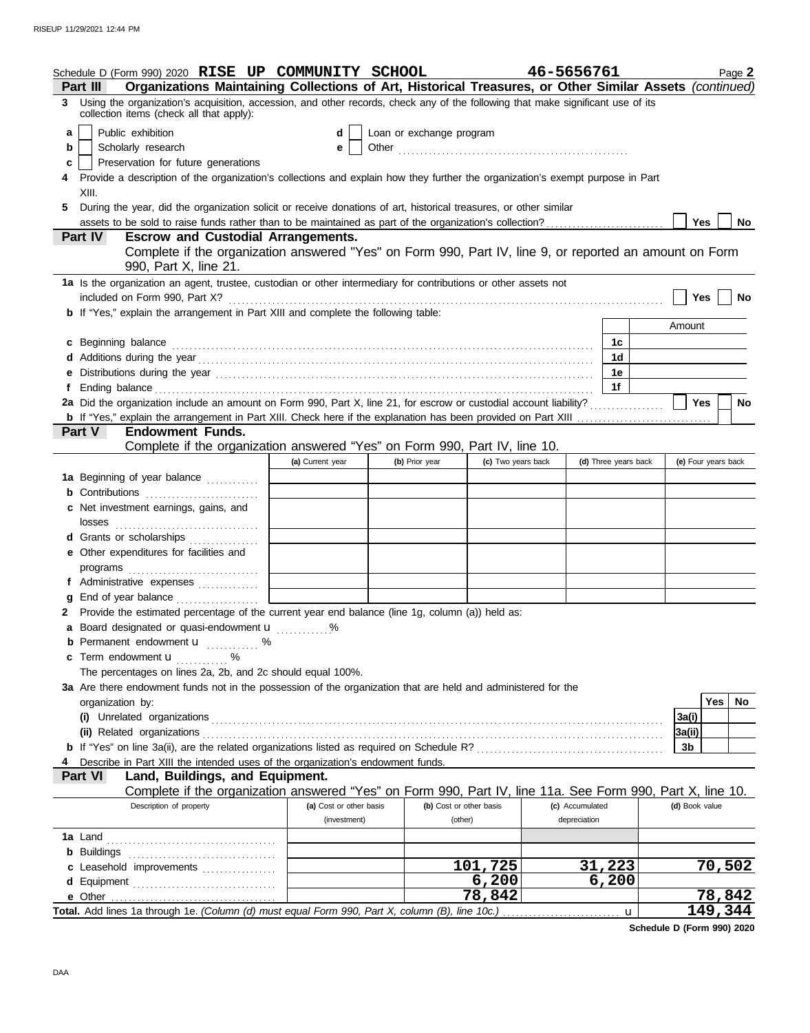|          | Schedule D (Form 990) 2020 RISE UP COMMUNITY SCHOOL                                                                                                                                                                            |                         |                          |                         | 46-5656761      |                      | Page 2              |  |  |  |
|----------|--------------------------------------------------------------------------------------------------------------------------------------------------------------------------------------------------------------------------------|-------------------------|--------------------------|-------------------------|-----------------|----------------------|---------------------|--|--|--|
| Part III | Organizations Maintaining Collections of Art, Historical Treasures, or Other Similar Assets (continued)                                                                                                                        |                         |                          |                         |                 |                      |                     |  |  |  |
| 3.       | Using the organization's acquisition, accession, and other records, check any of the following that make significant use of its<br>collection items (check all that apply):                                                    |                         |                          |                         |                 |                      |                     |  |  |  |
| a        | Public exhibition                                                                                                                                                                                                              | d                       | Loan or exchange program |                         |                 |                      |                     |  |  |  |
| b        | Scholarly research                                                                                                                                                                                                             | e                       |                          |                         |                 |                      |                     |  |  |  |
| C        | Preservation for future generations                                                                                                                                                                                            |                         |                          |                         |                 |                      |                     |  |  |  |
|          | Provide a description of the organization's collections and explain how they further the organization's exempt purpose in Part                                                                                                 |                         |                          |                         |                 |                      |                     |  |  |  |
|          | XIII.                                                                                                                                                                                                                          |                         |                          |                         |                 |                      |                     |  |  |  |
| 5.       | During the year, did the organization solicit or receive donations of art, historical treasures, or other similar                                                                                                              |                         |                          |                         |                 |                      |                     |  |  |  |
|          |                                                                                                                                                                                                                                |                         |                          |                         |                 |                      | Yes<br>No           |  |  |  |
|          | <b>Part IV</b><br><b>Escrow and Custodial Arrangements.</b>                                                                                                                                                                    |                         |                          |                         |                 |                      |                     |  |  |  |
|          | Complete if the organization answered "Yes" on Form 990, Part IV, line 9, or reported an amount on Form<br>990, Part X, line 21.                                                                                               |                         |                          |                         |                 |                      |                     |  |  |  |
|          | 1a Is the organization an agent, trustee, custodian or other intermediary for contributions or other assets not                                                                                                                |                         |                          |                         |                 |                      |                     |  |  |  |
|          |                                                                                                                                                                                                                                |                         |                          |                         |                 |                      | Yes<br>No           |  |  |  |
|          | <b>b</b> If "Yes," explain the arrangement in Part XIII and complete the following table:                                                                                                                                      |                         |                          |                         |                 |                      |                     |  |  |  |
|          |                                                                                                                                                                                                                                |                         |                          |                         |                 |                      | Amount              |  |  |  |
|          | c Beginning balance encourance and a series of the series of the series of the series of the series of the series of the series of the series of the series of the series of the series of the series of the series of the ser |                         |                          |                         |                 | 1c                   |                     |  |  |  |
|          |                                                                                                                                                                                                                                |                         |                          |                         |                 | 1d                   |                     |  |  |  |
|          |                                                                                                                                                                                                                                |                         |                          |                         |                 | 1e                   |                     |  |  |  |
| Ť.       |                                                                                                                                                                                                                                |                         |                          |                         |                 | 1f                   |                     |  |  |  |
|          | 2a Did the organization include an amount on Form 990, Part X, line 21, for escrow or custodial account liability?                                                                                                             |                         |                          |                         |                 |                      | Yes<br>No           |  |  |  |
|          |                                                                                                                                                                                                                                |                         |                          |                         |                 |                      |                     |  |  |  |
|          | <b>Endowment Funds.</b><br><b>Part V</b>                                                                                                                                                                                       |                         |                          |                         |                 |                      |                     |  |  |  |
|          | Complete if the organization answered "Yes" on Form 990, Part IV, line 10.                                                                                                                                                     |                         |                          |                         |                 |                      |                     |  |  |  |
|          |                                                                                                                                                                                                                                | (a) Current year        | (b) Prior year           | (c) Two years back      |                 | (d) Three years back | (e) Four years back |  |  |  |
|          | 1a Beginning of year balance                                                                                                                                                                                                   |                         |                          |                         |                 |                      |                     |  |  |  |
|          |                                                                                                                                                                                                                                |                         |                          |                         |                 |                      |                     |  |  |  |
|          | c Net investment earnings, gains, and                                                                                                                                                                                          |                         |                          |                         |                 |                      |                     |  |  |  |
|          |                                                                                                                                                                                                                                |                         |                          |                         |                 |                      |                     |  |  |  |
|          | d Grants or scholarships                                                                                                                                                                                                       |                         |                          |                         |                 |                      |                     |  |  |  |
|          | e Other expenditures for facilities and                                                                                                                                                                                        |                         |                          |                         |                 |                      |                     |  |  |  |
|          |                                                                                                                                                                                                                                |                         |                          |                         |                 |                      |                     |  |  |  |
|          | f Administrative expenses                                                                                                                                                                                                      |                         |                          |                         |                 |                      |                     |  |  |  |
|          | <b>g</b> End of year balance $\ldots$                                                                                                                                                                                          |                         |                          |                         |                 |                      |                     |  |  |  |
|          | 2 Provide the estimated percentage of the current year end balance (line 1g, column (a)) held as:                                                                                                                              |                         |                          |                         |                 |                      |                     |  |  |  |
|          | a Board designated or quasi-endowment u                                                                                                                                                                                        |                         |                          |                         |                 |                      |                     |  |  |  |
|          | <b>b</b> Permanent endowment <b>u</b> %<br>c Term endowment <b>u</b> %                                                                                                                                                         |                         |                          |                         |                 |                      |                     |  |  |  |
|          | The percentages on lines 2a, 2b, and 2c should equal 100%.                                                                                                                                                                     |                         |                          |                         |                 |                      |                     |  |  |  |
|          | 3a Are there endowment funds not in the possession of the organization that are held and administered for the                                                                                                                  |                         |                          |                         |                 |                      |                     |  |  |  |
|          | organization by:                                                                                                                                                                                                               |                         |                          |                         |                 |                      | Yes $ $<br>No.      |  |  |  |
|          |                                                                                                                                                                                                                                |                         |                          |                         |                 |                      | 3a(i)               |  |  |  |
|          |                                                                                                                                                                                                                                |                         |                          |                         |                 |                      | 3a(ii)              |  |  |  |
|          | <b>b</b> If "Yes" on line 3a(ii), are the related organizations listed as required on Schedule R? [[[[[[[[[[[[[[[[[[[[[[[]]]]]]]]]]                                                                                            |                         |                          |                         |                 |                      | 3b                  |  |  |  |
|          | Describe in Part XIII the intended uses of the organization's endowment funds.                                                                                                                                                 |                         |                          |                         |                 |                      |                     |  |  |  |
|          | Land, Buildings, and Equipment.<br><b>Part VI</b>                                                                                                                                                                              |                         |                          |                         |                 |                      |                     |  |  |  |
|          | Complete if the organization answered "Yes" on Form 990, Part IV, line 11a. See Form 990, Part X, line 10.                                                                                                                     |                         |                          |                         |                 |                      |                     |  |  |  |
|          | Description of property                                                                                                                                                                                                        | (a) Cost or other basis |                          | (b) Cost or other basis | (c) Accumulated |                      | (d) Book value      |  |  |  |
|          |                                                                                                                                                                                                                                | (investment)            |                          | (other)                 | depreciation    |                      |                     |  |  |  |
|          |                                                                                                                                                                                                                                |                         |                          |                         |                 |                      |                     |  |  |  |
|          |                                                                                                                                                                                                                                |                         |                          |                         |                 |                      |                     |  |  |  |
|          | c Leasehold improvements                                                                                                                                                                                                       |                         |                          | 101,725                 |                 | 31,223               | 70,502              |  |  |  |
|          |                                                                                                                                                                                                                                |                         |                          | 6,200                   |                 | 6,200                |                     |  |  |  |
|          |                                                                                                                                                                                                                                |                         |                          | 78,842                  |                 |                      | 78,842              |  |  |  |
|          |                                                                                                                                                                                                                                |                         |                          |                         |                 | u                    | 149,344             |  |  |  |

**Schedule D (Form 990) 2020**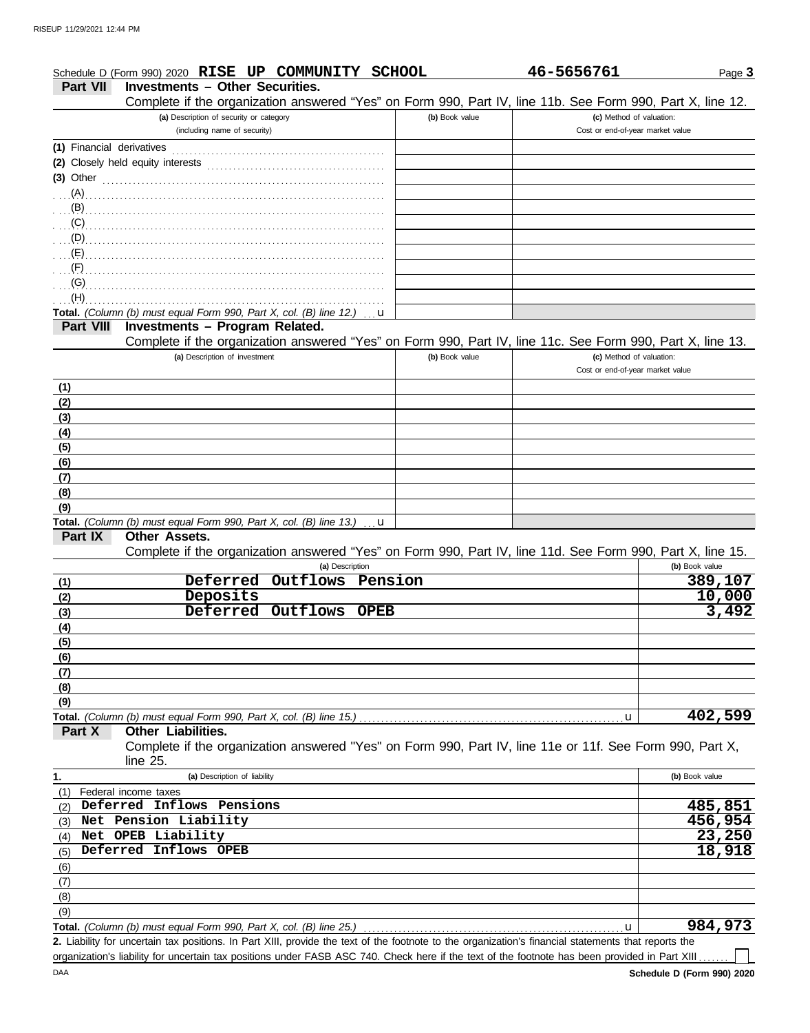| (b) Book value | (c) Method of valuation: |                                                                                                                                                                                                                                                                                                                              |
|----------------|--------------------------|------------------------------------------------------------------------------------------------------------------------------------------------------------------------------------------------------------------------------------------------------------------------------------------------------------------------------|
|                |                          |                                                                                                                                                                                                                                                                                                                              |
|                |                          |                                                                                                                                                                                                                                                                                                                              |
|                |                          |                                                                                                                                                                                                                                                                                                                              |
|                |                          |                                                                                                                                                                                                                                                                                                                              |
|                |                          |                                                                                                                                                                                                                                                                                                                              |
|                |                          |                                                                                                                                                                                                                                                                                                                              |
|                |                          |                                                                                                                                                                                                                                                                                                                              |
|                |                          |                                                                                                                                                                                                                                                                                                                              |
|                |                          |                                                                                                                                                                                                                                                                                                                              |
|                |                          |                                                                                                                                                                                                                                                                                                                              |
|                | (b) Book value           | Complete if the organization answered "Yes" on Form 990, Part IV, line 11b. See Form 990, Part X, line 12.<br>(c) Method of valuation:<br>Cost or end-of-year market value<br>Complete if the organization answered "Yes" on Form 990, Part IV, line 11c. See Form 990, Part X, line 13.<br>Cost or end-of-year market value |

## **Other Assets. Part IX**

Complete if the organization answered "Yes" on Form 990, Part IV, line 11d. See Form 990, Part X, line 15.

| (a) Description                  | (b) Book value |
|----------------------------------|----------------|
| Deferred Outflows Pension<br>(1) | 389,107        |
| Deposits<br>(2)                  | 10,000         |
| Deferred Outflows OPEB<br>(3)    | 3,492          |
| (4)                              |                |
| (5)                              |                |
| (6)                              |                |
| (7)                              |                |
| (8)                              |                |
| (9)                              |                |
|                                  | 402,599<br>u   |

**Part X Other Liabilities.**

Complete if the organization answered "Yes" on Form 990, Part IV, line 11e or 11f. See Form 990, Part X, line 25.

| 1.  | (a) Description of liability                                       | (b) Book value |
|-----|--------------------------------------------------------------------|----------------|
| (1) | Federal income taxes                                               |                |
| (2) | Deferred Inflows Pensions                                          | 485,851        |
| (3) | Net Pension Liability                                              | 456,954        |
| (4) | Net OPEB Liability                                                 | 23,250         |
| (5) | Deferred Inflows OPEB                                              | 18,918         |
| (6) |                                                                    |                |
| (7) |                                                                    |                |
| (8) |                                                                    |                |
| (9) |                                                                    |                |
|     | Total. (Column (b) must equal Form 990, Part X, col. (B) line 25.) | 984,973        |

Liability for uncertain tax positions. In Part XIII, provide the text of the footnote to the organization's financial statements that reports the **2.**

organization's liability for uncertain tax positions under FASB ASC 740. Check here if the text of the footnote has been provided in Part XIII.

 $\Box$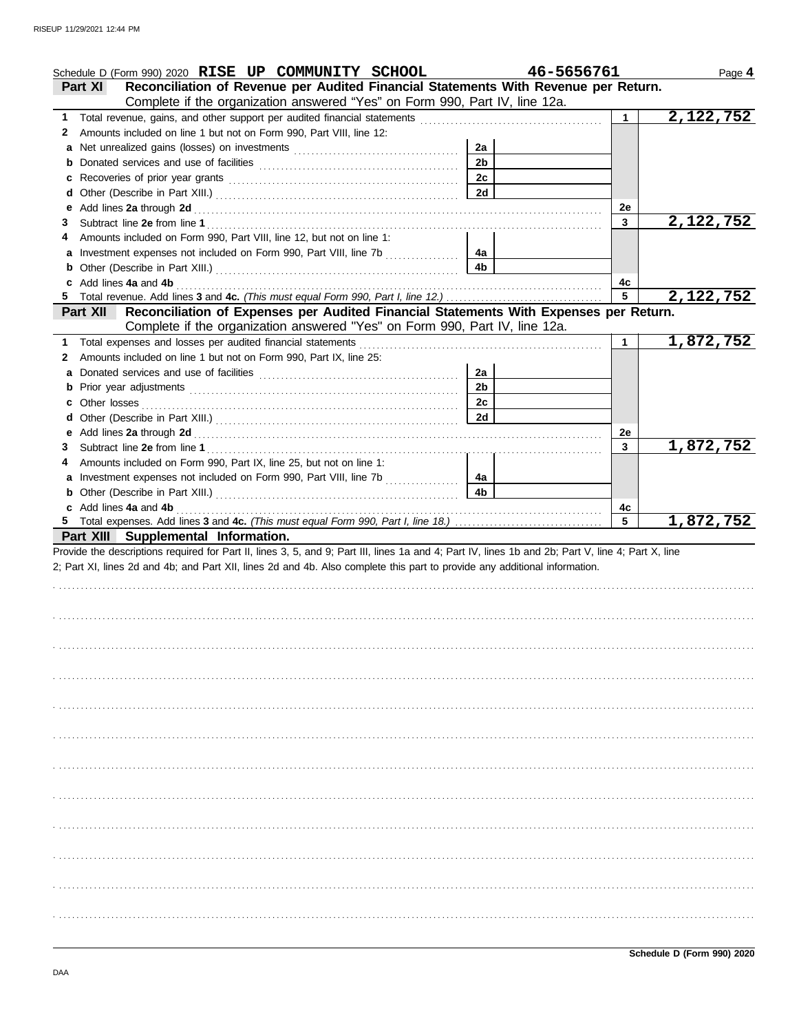|        | Schedule D (Form 990) 2020 RISE UP COMMUNITY SCHOOL                                                                                                                                                                            | 46-5656761     |                       | Page 4    |
|--------|--------------------------------------------------------------------------------------------------------------------------------------------------------------------------------------------------------------------------------|----------------|-----------------------|-----------|
|        | Reconciliation of Revenue per Audited Financial Statements With Revenue per Return.<br><b>Part XI</b>                                                                                                                          |                |                       |           |
|        | Complete if the organization answered "Yes" on Form 990, Part IV, line 12a.                                                                                                                                                    |                |                       |           |
| 1      |                                                                                                                                                                                                                                |                | 1                     | 2,122,752 |
| 2      | Amounts included on line 1 but not on Form 990, Part VIII, line 12:                                                                                                                                                            |                |                       |           |
|        |                                                                                                                                                                                                                                | 2a             |                       |           |
| b      |                                                                                                                                                                                                                                | 2 <sub>b</sub> |                       |           |
| c      |                                                                                                                                                                                                                                | 2c             |                       |           |
| d      |                                                                                                                                                                                                                                | 2d             |                       |           |
| е      | Add lines 2a through 2d [[[[[[[[[[[[[[[[[[[[[[[[]]]]]]]]]] Add lines 2a through 2d                                                                                                                                             |                | 2e                    |           |
| 3      |                                                                                                                                                                                                                                |                | 3                     | 2,122,752 |
|        | Amounts included on Form 990, Part VIII, line 12, but not on line 1:                                                                                                                                                           |                |                       |           |
|        |                                                                                                                                                                                                                                | 4a             |                       |           |
| b      |                                                                                                                                                                                                                                | 4 <sub>b</sub> |                       |           |
| c      | Add lines 4a and 4b (a) and the contract of the set of the set of the set of the set of the set of the set of the set of the set of the set of the set of the set of the set of the set of the set of the set of the set of th |                | 4c                    |           |
|        |                                                                                                                                                                                                                                |                | 5                     | 2,122,752 |
|        | Reconciliation of Expenses per Audited Financial Statements With Expenses per Return.<br><b>Part XII</b>                                                                                                                       |                |                       |           |
|        | Complete if the organization answered "Yes" on Form 990, Part IV, line 12a.                                                                                                                                                    |                |                       |           |
| 1      |                                                                                                                                                                                                                                |                | 1                     | 1,872,752 |
| 2      | Amounts included on line 1 but not on Form 990, Part IX, line 25:                                                                                                                                                              | 2a             |                       |           |
| a      |                                                                                                                                                                                                                                | 2 <sub>b</sub> |                       |           |
|        |                                                                                                                                                                                                                                | 2c             |                       |           |
| c<br>d |                                                                                                                                                                                                                                | 2d             |                       |           |
| е      |                                                                                                                                                                                                                                |                | 2e                    |           |
| 3      |                                                                                                                                                                                                                                |                | 3                     | 1,872,752 |
|        | Amounts included on Form 990, Part IX, line 25, but not on line 1:                                                                                                                                                             |                |                       |           |
|        | a Investment expenses not included on Form 990, Part VIII, line 7b                                                                                                                                                             | 4a             |                       |           |
|        |                                                                                                                                                                                                                                |                |                       |           |
|        |                                                                                                                                                                                                                                |                |                       |           |
|        |                                                                                                                                                                                                                                | 4 <sub>b</sub> |                       |           |
|        |                                                                                                                                                                                                                                |                | 4c<br>$5\overline{5}$ |           |
|        | Part XIII Supplemental Information.                                                                                                                                                                                            |                |                       | 1,872,752 |
|        | Provide the descriptions required for Part II, lines 3, 5, and 9; Part III, lines 1a and 4; Part IV, lines 1b and 2b; Part V, line 4; Part X, line                                                                             |                |                       |           |
|        | 2; Part XI, lines 2d and 4b; and Part XII, lines 2d and 4b. Also complete this part to provide any additional information.                                                                                                     |                |                       |           |
|        |                                                                                                                                                                                                                                |                |                       |           |
|        |                                                                                                                                                                                                                                |                |                       |           |
|        |                                                                                                                                                                                                                                |                |                       |           |
|        |                                                                                                                                                                                                                                |                |                       |           |
|        |                                                                                                                                                                                                                                |                |                       |           |
|        |                                                                                                                                                                                                                                |                |                       |           |
|        |                                                                                                                                                                                                                                |                |                       |           |
|        |                                                                                                                                                                                                                                |                |                       |           |
|        |                                                                                                                                                                                                                                |                |                       |           |
|        |                                                                                                                                                                                                                                |                |                       |           |
|        |                                                                                                                                                                                                                                |                |                       |           |
|        |                                                                                                                                                                                                                                |                |                       |           |
|        |                                                                                                                                                                                                                                |                |                       |           |
|        |                                                                                                                                                                                                                                |                |                       |           |
|        |                                                                                                                                                                                                                                |                |                       |           |
|        |                                                                                                                                                                                                                                |                |                       |           |
|        |                                                                                                                                                                                                                                |                |                       |           |
|        |                                                                                                                                                                                                                                |                |                       |           |
|        |                                                                                                                                                                                                                                |                |                       |           |
|        |                                                                                                                                                                                                                                |                |                       |           |
|        |                                                                                                                                                                                                                                |                |                       |           |
|        |                                                                                                                                                                                                                                |                |                       |           |
|        |                                                                                                                                                                                                                                |                |                       |           |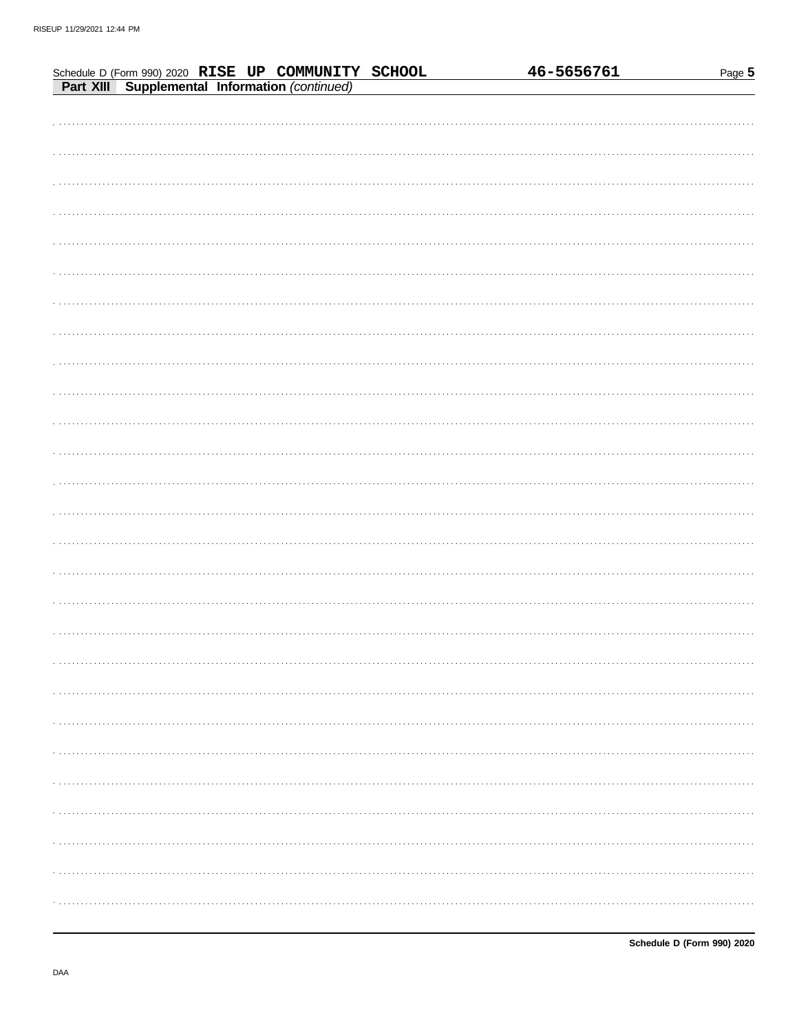| Part XIII Supplemental Information (continued) | Schedule D (Form 990) 2020 RISE UP COMMUNITY SCHOOL |  | 46-5656761 | Page 5 |
|------------------------------------------------|-----------------------------------------------------|--|------------|--------|
|                                                |                                                     |  |            |        |
|                                                |                                                     |  |            |        |
|                                                |                                                     |  |            |        |
|                                                |                                                     |  |            |        |
|                                                |                                                     |  |            |        |
|                                                |                                                     |  |            |        |
|                                                |                                                     |  |            |        |
|                                                |                                                     |  |            |        |
|                                                |                                                     |  |            |        |
|                                                |                                                     |  |            |        |
|                                                |                                                     |  |            |        |
|                                                |                                                     |  |            |        |
|                                                |                                                     |  |            |        |
|                                                |                                                     |  |            |        |
|                                                |                                                     |  |            |        |
|                                                |                                                     |  |            |        |
|                                                |                                                     |  |            |        |
|                                                |                                                     |  |            |        |
|                                                |                                                     |  |            |        |
|                                                |                                                     |  |            |        |
|                                                |                                                     |  |            |        |
|                                                |                                                     |  |            |        |
|                                                |                                                     |  |            |        |
|                                                |                                                     |  |            |        |
|                                                |                                                     |  |            |        |
|                                                |                                                     |  |            |        |
|                                                |                                                     |  |            |        |
|                                                |                                                     |  |            |        |
|                                                |                                                     |  |            |        |
|                                                |                                                     |  |            |        |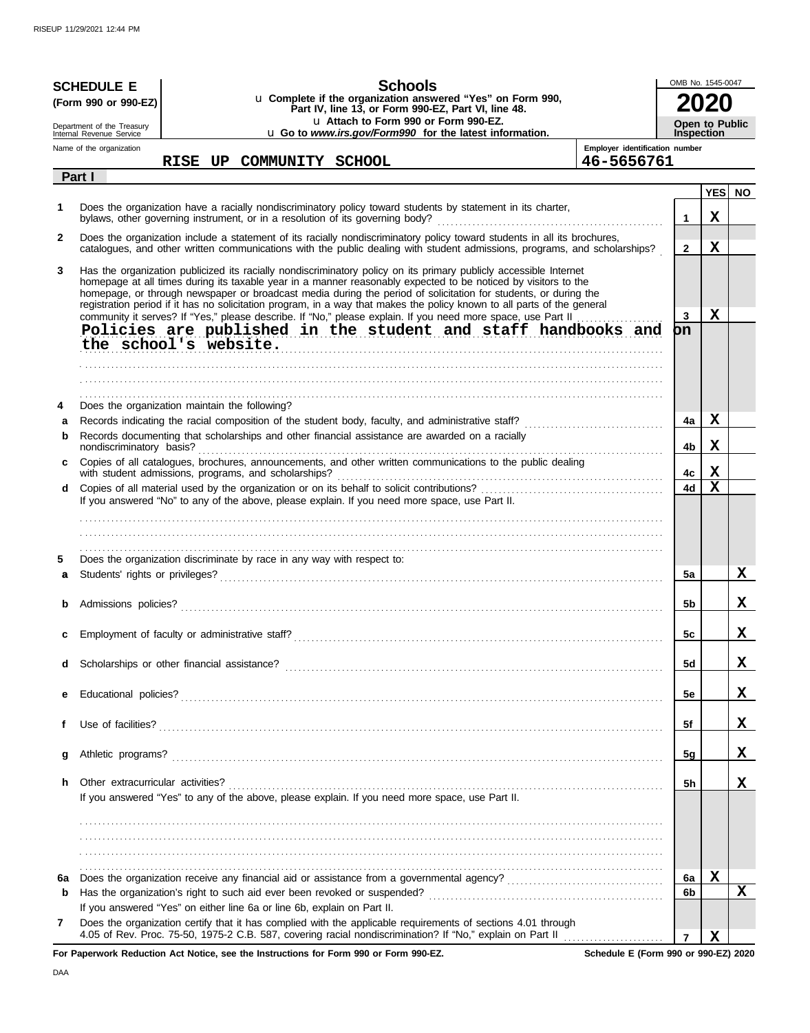|              |                                                                                                                                                                                                                                                                                                                                                                                                                                                                                                                                                                                                                                                                    | <b>SCHEDULE E</b> |  |  |  |  | <b>Schools</b>                                                                                                                                                                                                                                                                                                |                                | OMB No. 1545-0047                          |             |     |  |
|--------------|--------------------------------------------------------------------------------------------------------------------------------------------------------------------------------------------------------------------------------------------------------------------------------------------------------------------------------------------------------------------------------------------------------------------------------------------------------------------------------------------------------------------------------------------------------------------------------------------------------------------------------------------------------------------|-------------------|--|--|--|--|---------------------------------------------------------------------------------------------------------------------------------------------------------------------------------------------------------------------------------------------------------------------------------------------------------------|--------------------------------|--------------------------------------------|-------------|-----|--|
|              | (Form 990 or 990-EZ)                                                                                                                                                                                                                                                                                                                                                                                                                                                                                                                                                                                                                                               |                   |  |  |  |  | u Complete if the organization answered "Yes" on Form 990,<br>Part IV, line 13, or Form 990-EZ, Part VI, line 48.                                                                                                                                                                                             |                                |                                            |             |     |  |
|              | Department of the Treasury<br>Internal Revenue Service                                                                                                                                                                                                                                                                                                                                                                                                                                                                                                                                                                                                             |                   |  |  |  |  | u Attach to Form 990 or Form 990-EZ.<br>u Go to www.irs.gov/Form990 for the latest information.                                                                                                                                                                                                               |                                | <b>Open to Public</b><br><b>Inspection</b> |             |     |  |
|              | Name of the organization                                                                                                                                                                                                                                                                                                                                                                                                                                                                                                                                                                                                                                           |                   |  |  |  |  |                                                                                                                                                                                                                                                                                                               | Employer identification number |                                            |             |     |  |
|              | Part I                                                                                                                                                                                                                                                                                                                                                                                                                                                                                                                                                                                                                                                             |                   |  |  |  |  | RISE UP COMMUNITY SCHOOL                                                                                                                                                                                                                                                                                      | 46-5656761                     |                                            |             |     |  |
|              |                                                                                                                                                                                                                                                                                                                                                                                                                                                                                                                                                                                                                                                                    |                   |  |  |  |  |                                                                                                                                                                                                                                                                                                               |                                |                                            | <b>YES</b>  | NO. |  |
| 1            |                                                                                                                                                                                                                                                                                                                                                                                                                                                                                                                                                                                                                                                                    |                   |  |  |  |  | Does the organization have a racially nondiscriminatory policy toward students by statement in its charter,<br>bylaws, other governing instrument, or in a resolution of its governing body?<br>and the content content content content content content content content content content content content conte |                                | 1                                          | $\mathbf X$ |     |  |
| $\mathbf{2}$ |                                                                                                                                                                                                                                                                                                                                                                                                                                                                                                                                                                                                                                                                    |                   |  |  |  |  | Does the organization include a statement of its racially nondiscriminatory policy toward students in all its brochures,<br>catalogues, and other written communications with the public dealing with student admissions, programs, and scholarships?                                                         |                                | $\mathbf{2}$                               | $\mathbf X$ |     |  |
| 3            | Has the organization publicized its racially nondiscriminatory policy on its primary publicly accessible Internet<br>homepage at all times during its taxable year in a manner reasonably expected to be noticed by visitors to the<br>homepage, or through newspaper or broadcast media during the period of solicitation for students, or during the<br>registration period if it has no solicitation program, in a way that makes the policy known to all parts of the general<br>community it serves? If "Yes," please describe. If "No," please explain. If you need more space, use Part II<br>Policies are published in the student and staff handbooks and |                   |  |  |  |  |                                                                                                                                                                                                                                                                                                               | 3<br>on                        | $\mathbf X$                                |             |     |  |
|              | the school's website.                                                                                                                                                                                                                                                                                                                                                                                                                                                                                                                                                                                                                                              |                   |  |  |  |  |                                                                                                                                                                                                                                                                                                               |                                |                                            |             |     |  |
|              |                                                                                                                                                                                                                                                                                                                                                                                                                                                                                                                                                                                                                                                                    |                   |  |  |  |  |                                                                                                                                                                                                                                                                                                               |                                |                                            |             |     |  |
| 4<br>a       | Does the organization maintain the following?                                                                                                                                                                                                                                                                                                                                                                                                                                                                                                                                                                                                                      |                   |  |  |  |  |                                                                                                                                                                                                                                                                                                               |                                | 4a                                         | $\mathbf x$ |     |  |
| b            |                                                                                                                                                                                                                                                                                                                                                                                                                                                                                                                                                                                                                                                                    |                   |  |  |  |  | Records documenting that scholarships and other financial assistance are awarded on a racially                                                                                                                                                                                                                |                                | 4b                                         | $\mathbf x$ |     |  |
| c            | with student admissions, programs, and scholarships?                                                                                                                                                                                                                                                                                                                                                                                                                                                                                                                                                                                                               |                   |  |  |  |  | Copies of all catalogues, brochures, announcements, and other written communications to the public dealing                                                                                                                                                                                                    |                                | 4с                                         | X           |     |  |
| d            |                                                                                                                                                                                                                                                                                                                                                                                                                                                                                                                                                                                                                                                                    |                   |  |  |  |  | If you answered "No" to any of the above, please explain. If you need more space, use Part II.                                                                                                                                                                                                                |                                | 4d                                         | X           |     |  |
|              |                                                                                                                                                                                                                                                                                                                                                                                                                                                                                                                                                                                                                                                                    |                   |  |  |  |  |                                                                                                                                                                                                                                                                                                               |                                |                                            |             |     |  |
|              |                                                                                                                                                                                                                                                                                                                                                                                                                                                                                                                                                                                                                                                                    |                   |  |  |  |  |                                                                                                                                                                                                                                                                                                               |                                |                                            |             |     |  |
| 5            | Does the organization discriminate by race in any way with respect to:                                                                                                                                                                                                                                                                                                                                                                                                                                                                                                                                                                                             |                   |  |  |  |  |                                                                                                                                                                                                                                                                                                               |                                |                                            |             |     |  |
| a            |                                                                                                                                                                                                                                                                                                                                                                                                                                                                                                                                                                                                                                                                    |                   |  |  |  |  |                                                                                                                                                                                                                                                                                                               |                                | 5a                                         |             | X   |  |
|              |                                                                                                                                                                                                                                                                                                                                                                                                                                                                                                                                                                                                                                                                    |                   |  |  |  |  |                                                                                                                                                                                                                                                                                                               |                                | 5b                                         |             | X   |  |
|              |                                                                                                                                                                                                                                                                                                                                                                                                                                                                                                                                                                                                                                                                    |                   |  |  |  |  |                                                                                                                                                                                                                                                                                                               |                                |                                            |             |     |  |
|              | Employment of faculty or administrative staff?                                                                                                                                                                                                                                                                                                                                                                                                                                                                                                                                                                                                                     |                   |  |  |  |  |                                                                                                                                                                                                                                                                                                               |                                | 5c                                         |             | Χ   |  |
| d            |                                                                                                                                                                                                                                                                                                                                                                                                                                                                                                                                                                                                                                                                    |                   |  |  |  |  |                                                                                                                                                                                                                                                                                                               |                                | 5d                                         |             | X,  |  |
| е            |                                                                                                                                                                                                                                                                                                                                                                                                                                                                                                                                                                                                                                                                    |                   |  |  |  |  |                                                                                                                                                                                                                                                                                                               |                                | 5e                                         |             | X,  |  |
| f            |                                                                                                                                                                                                                                                                                                                                                                                                                                                                                                                                                                                                                                                                    |                   |  |  |  |  |                                                                                                                                                                                                                                                                                                               |                                | 5f                                         |             | X.  |  |
| g            |                                                                                                                                                                                                                                                                                                                                                                                                                                                                                                                                                                                                                                                                    |                   |  |  |  |  |                                                                                                                                                                                                                                                                                                               |                                | <u>5g</u>                                  |             | x   |  |
| h            | Other extracurricular activities?                                                                                                                                                                                                                                                                                                                                                                                                                                                                                                                                                                                                                                  |                   |  |  |  |  | If you answered "Yes" to any of the above, please explain. If you need more space, use Part II.                                                                                                                                                                                                               |                                | 5h                                         |             | x   |  |
|              |                                                                                                                                                                                                                                                                                                                                                                                                                                                                                                                                                                                                                                                                    |                   |  |  |  |  |                                                                                                                                                                                                                                                                                                               |                                |                                            |             |     |  |
| 6а           |                                                                                                                                                                                                                                                                                                                                                                                                                                                                                                                                                                                                                                                                    |                   |  |  |  |  |                                                                                                                                                                                                                                                                                                               |                                | 6a                                         | X           |     |  |
| b            | If you answered "Yes" on either line 6a or line 6b, explain on Part II.                                                                                                                                                                                                                                                                                                                                                                                                                                                                                                                                                                                            |                   |  |  |  |  |                                                                                                                                                                                                                                                                                                               |                                | 6b                                         |             | X   |  |
| 7            |                                                                                                                                                                                                                                                                                                                                                                                                                                                                                                                                                                                                                                                                    |                   |  |  |  |  | Does the organization certify that it has complied with the applicable requirements of sections 4.01 through                                                                                                                                                                                                  |                                | $\overline{7}$                             | X           |     |  |

**For Paperwork Reduction Act Notice, see the Instructions for Form 990 or Form 990-EZ.**

**Schedule E (Form 990 or 990-EZ) 2020**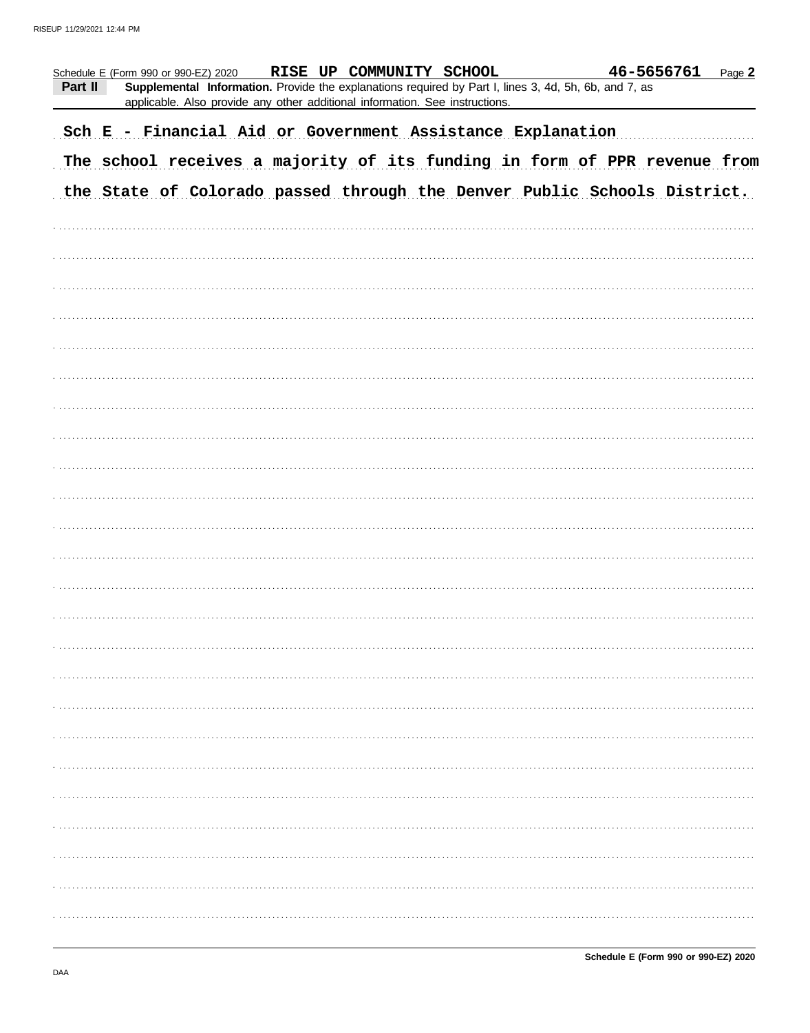| Schedule E (Form 990 or 990-EZ) 2020                       |  |  |  | RISE UP COMMUNITY SCHOOL                                                                                                                                                              |  |  |  |  |  |  | 46-5656761                                                                | Page 2 |
|------------------------------------------------------------|--|--|--|---------------------------------------------------------------------------------------------------------------------------------------------------------------------------------------|--|--|--|--|--|--|---------------------------------------------------------------------------|--------|
| Part II                                                    |  |  |  | Supplemental Information. Provide the explanations required by Part I, lines 3, 4d, 5h, 6b, and 7, as<br>applicable. Also provide any other additional information. See instructions. |  |  |  |  |  |  |                                                                           |        |
| Sch E - Financial Aid or Government Assistance Explanation |  |  |  |                                                                                                                                                                                       |  |  |  |  |  |  |                                                                           |        |
|                                                            |  |  |  |                                                                                                                                                                                       |  |  |  |  |  |  | The school receives a majority of its funding in form of PPR revenue from |        |
|                                                            |  |  |  |                                                                                                                                                                                       |  |  |  |  |  |  | the State of Colorado passed through the Denver Public Schools District.  |        |
|                                                            |  |  |  |                                                                                                                                                                                       |  |  |  |  |  |  |                                                                           |        |
|                                                            |  |  |  |                                                                                                                                                                                       |  |  |  |  |  |  |                                                                           |        |
|                                                            |  |  |  |                                                                                                                                                                                       |  |  |  |  |  |  |                                                                           |        |
|                                                            |  |  |  |                                                                                                                                                                                       |  |  |  |  |  |  |                                                                           |        |
|                                                            |  |  |  |                                                                                                                                                                                       |  |  |  |  |  |  |                                                                           |        |
|                                                            |  |  |  |                                                                                                                                                                                       |  |  |  |  |  |  |                                                                           |        |
|                                                            |  |  |  |                                                                                                                                                                                       |  |  |  |  |  |  |                                                                           |        |
|                                                            |  |  |  |                                                                                                                                                                                       |  |  |  |  |  |  |                                                                           |        |
|                                                            |  |  |  |                                                                                                                                                                                       |  |  |  |  |  |  |                                                                           |        |
|                                                            |  |  |  |                                                                                                                                                                                       |  |  |  |  |  |  |                                                                           |        |
|                                                            |  |  |  |                                                                                                                                                                                       |  |  |  |  |  |  |                                                                           |        |
|                                                            |  |  |  |                                                                                                                                                                                       |  |  |  |  |  |  |                                                                           |        |
|                                                            |  |  |  |                                                                                                                                                                                       |  |  |  |  |  |  |                                                                           |        |
|                                                            |  |  |  |                                                                                                                                                                                       |  |  |  |  |  |  |                                                                           |        |
|                                                            |  |  |  |                                                                                                                                                                                       |  |  |  |  |  |  |                                                                           |        |
|                                                            |  |  |  |                                                                                                                                                                                       |  |  |  |  |  |  |                                                                           |        |
|                                                            |  |  |  |                                                                                                                                                                                       |  |  |  |  |  |  |                                                                           |        |
|                                                            |  |  |  |                                                                                                                                                                                       |  |  |  |  |  |  |                                                                           |        |
|                                                            |  |  |  |                                                                                                                                                                                       |  |  |  |  |  |  |                                                                           |        |
|                                                            |  |  |  |                                                                                                                                                                                       |  |  |  |  |  |  |                                                                           |        |
|                                                            |  |  |  |                                                                                                                                                                                       |  |  |  |  |  |  |                                                                           |        |
|                                                            |  |  |  |                                                                                                                                                                                       |  |  |  |  |  |  |                                                                           |        |
|                                                            |  |  |  |                                                                                                                                                                                       |  |  |  |  |  |  |                                                                           |        |
|                                                            |  |  |  |                                                                                                                                                                                       |  |  |  |  |  |  |                                                                           |        |